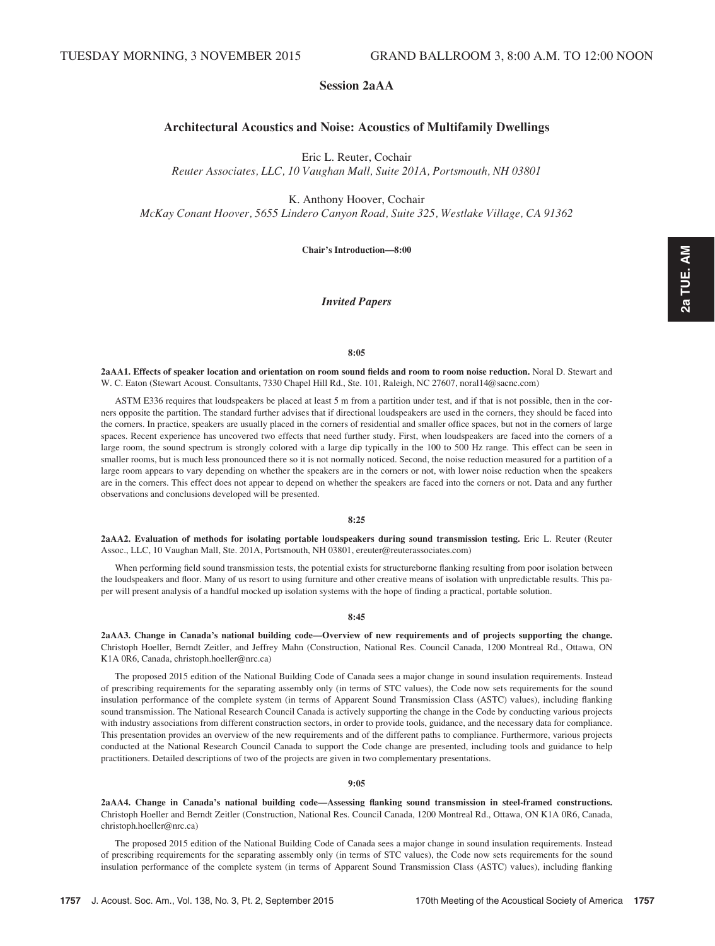# Session 2aAA

# Architectural Acoustics and Noise: Acoustics of Multifamily Dwellings

Eric L. Reuter, Cochair

Reuter Associates, LLC, 10 Vaughan Mall, Suite 201A, Portsmouth, NH 03801

K. Anthony Hoover, Cochair McKay Conant Hoover, 5655 Lindero Canyon Road, Suite 325, Westlake Village, CA 91362

Chair's Introduction—8:00

# Invited Papers

#### 8:05

2aAA1. Effects of speaker location and orientation on room sound fields and room to room noise reduction. Noral D. Stewart and W. C. Eaton (Stewart Acoust. Consultants, 7330 Chapel Hill Rd., Ste. 101, Raleigh, NC 27607, noral14@sacnc.com)

ASTM E336 requires that loudspeakers be placed at least 5 m from a partition under test, and if that is not possible, then in the corners opposite the partition. The standard further advises that if directional loudspeakers are used in the corners, they should be faced into the corners. In practice, speakers are usually placed in the corners of residential and smaller office spaces, but not in the corners of large spaces. Recent experience has uncovered two effects that need further study. First, when loudspeakers are faced into the corners of a large room, the sound spectrum is strongly colored with a large dip typically in the 100 to 500 Hz range. This effect can be seen in smaller rooms, but is much less pronounced there so it is not normally noticed. Second, the noise reduction measured for a partition of a large room appears to vary depending on whether the speakers are in the corners or not, with lower noise reduction when the speakers are in the corners. This effect does not appear to depend on whether the speakers are faced into the corners or not. Data and any further observations and conclusions developed will be presented.

# 8:25

2aAA2. Evaluation of methods for isolating portable loudspeakers during sound transmission testing. Eric L. Reuter (Reuter Assoc., LLC, 10 Vaughan Mall, Ste. 201A, Portsmouth, NH 03801, ereuter@reuterassociates.com)

When performing field sound transmission tests, the potential exists for structureborne flanking resulting from poor isolation between the loudspeakers and floor. Many of us resort to using furniture and other creative means of isolation with unpredictable results. This paper will present analysis of a handful mocked up isolation systems with the hope of finding a practical, portable solution.

8:45

2aAA3. Change in Canada's national building code—Overview of new requirements and of projects supporting the change. Christoph Hoeller, Berndt Zeitler, and Jeffrey Mahn (Construction, National Res. Council Canada, 1200 Montreal Rd., Ottawa, ON K1A 0R6, Canada, christoph.hoeller@nrc.ca)

The proposed 2015 edition of the National Building Code of Canada sees a major change in sound insulation requirements. Instead of prescribing requirements for the separating assembly only (in terms of STC values), the Code now sets requirements for the sound insulation performance of the complete system (in terms of Apparent Sound Transmission Class (ASTC) values), including flanking sound transmission. The National Research Council Canada is actively supporting the change in the Code by conducting various projects with industry associations from different construction sectors, in order to provide tools, guidance, and the necessary data for compliance. This presentation provides an overview of the new requirements and of the different paths to compliance. Furthermore, various projects conducted at the National Research Council Canada to support the Code change are presented, including tools and guidance to help practitioners. Detailed descriptions of two of the projects are given in two complementary presentations.

#### 9:05

2aAA4. Change in Canada's national building code—Assessing flanking sound transmission in steel-framed constructions. Christoph Hoeller and Berndt Zeitler (Construction, National Res. Council Canada, 1200 Montreal Rd., Ottawa, ON K1A 0R6, Canada, christoph.hoeller@nrc.ca)

The proposed 2015 edition of the National Building Code of Canada sees a major change in sound insulation requirements. Instead of prescribing requirements for the separating assembly only (in terms of STC values), the Code now sets requirements for the sound insulation performance of the complete system (in terms of Apparent Sound Transmission Class (ASTC) values), including flanking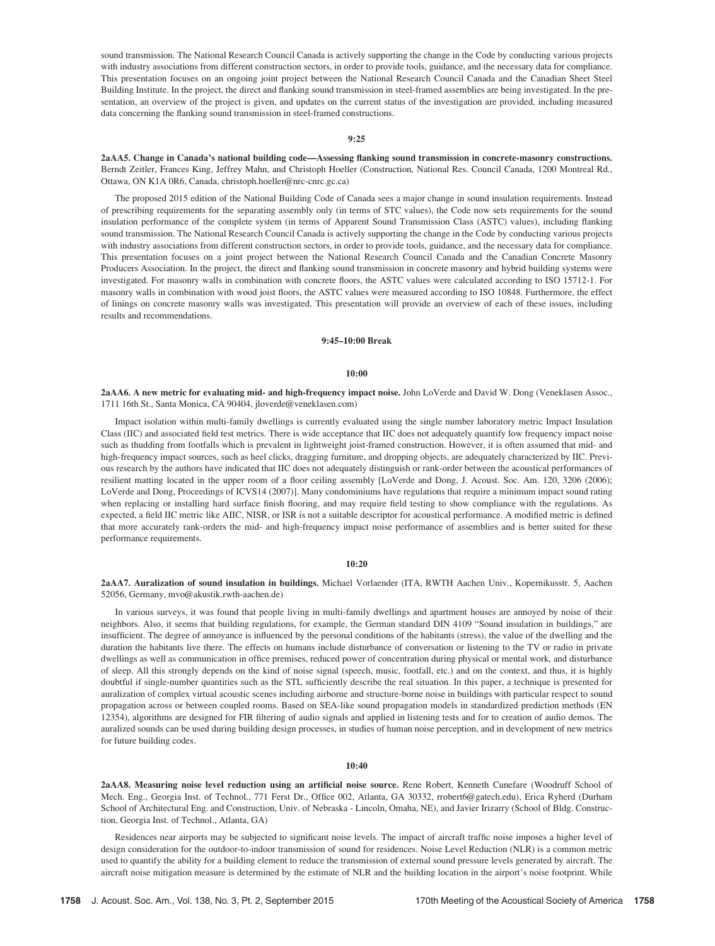sound transmission. The National Research Council Canada is actively supporting the change in the Code by conducting various projects with industry associations from different construction sectors, in order to provide tools, guidance, and the necessary data for compliance. This presentation focuses on an ongoing joint project between the National Research Council Canada and the Canadian Sheet Steel Building Institute. In the project, the direct and flanking sound transmission in steel-framed assemblies are being investigated. In the presentation, an overview of the project is given, and updates on the current status of the investigation are provided, including measured data concerning the flanking sound transmission in steel-framed constructions.

# 9:25

2aAA5. Change in Canada's national building code—Assessing flanking sound transmission in concrete-masonry constructions. Berndt Zeitler, Frances King, Jeffrey Mahn, and Christoph Hoeller (Construction, National Res. Council Canada, 1200 Montreal Rd., Ottawa, ON K1A 0R6, Canada, christoph.hoeller@nrc-cnrc.gc.ca)

The proposed 2015 edition of the National Building Code of Canada sees a major change in sound insulation requirements. Instead of prescribing requirements for the separating assembly only (in terms of STC values), the Code now sets requirements for the sound insulation performance of the complete system (in terms of Apparent Sound Transmission Class (ASTC) values), including flanking sound transmission. The National Research Council Canada is actively supporting the change in the Code by conducting various projects with industry associations from different construction sectors, in order to provide tools, guidance, and the necessary data for compliance. This presentation focuses on a joint project between the National Research Council Canada and the Canadian Concrete Masonry Producers Association. In the project, the direct and flanking sound transmission in concrete masonry and hybrid building systems were investigated. For masonry walls in combination with concrete floors, the ASTC values were calculated according to ISO 15712-1. For masonry walls in combination with wood joist floors, the ASTC values were measured according to ISO 10848. Furthermore, the effect of linings on concrete masonry walls was investigated. This presentation will provide an overview of each of these issues, including results and recommendations.

## 9:45–10:00 Break

#### $10:00$

2aAA6. A new metric for evaluating mid- and high-frequency impact noise. John LoVerde and David W. Dong (Veneklasen Assoc., 1711 16th St., Santa Monica, CA 90404, jloverde@veneklasen.com)

Impact isolation within multi-family dwellings is currently evaluated using the single number laboratory metric Impact Insulation Class (IIC) and associated field test metrics. There is wide acceptance that IIC does not adequately quantify low frequency impact noise such as thudding from footfalls which is prevalent in lightweight joist-framed construction. However, it is often assumed that mid- and high-frequency impact sources, such as heel clicks, dragging furniture, and dropping objects, are adequately characterized by IIC. Previous research by the authors have indicated that IIC does not adequately distinguish or rank-order between the acoustical performances of resilient matting located in the upper room of a floor ceiling assembly [LoVerde and Dong, J. Acoust. Soc. Am. 120, 3206 (2006); LoVerde and Dong, Proceedings of ICVS14 (2007)]. Many condominiums have regulations that require a minimum impact sound rating when replacing or installing hard surface finish flooring, and may require field testing to show compliance with the regulations. As expected, a field IIC metric like AIIC, NISR, or ISR is not a suitable descriptor for acoustical performance. A modified metric is defined that more accurately rank-orders the mid- and high-frequency impact noise performance of assemblies and is better suited for these performance requirements.

## 10:20

2aAA7. Auralization of sound insulation in buildings. Michael Vorlaender (ITA, RWTH Aachen Univ., Kopernikusstr. 5, Aachen 52056, Germany, mvo@akustik.rwth-aachen.de)

In various surveys, it was found that people living in multi-family dwellings and apartment houses are annoyed by noise of their neighbors. Also, it seems that building regulations, for example, the German standard DIN 4109 "Sound insulation in buildings," are insufficient. The degree of annoyance is influenced by the personal conditions of the habitants (stress), the value of the dwelling and the duration the habitants live there. The effects on humans include disturbance of conversation or listening to the TV or radio in private dwellings as well as communication in office premises, reduced power of concentration during physical or mental work, and disturbance of sleep. All this strongly depends on the kind of noise signal (speech, music, footfall, etc.) and on the context, and thus, it is highly doubtful if single-number quantities such as the STL sufficiently describe the real situation. In this paper, a technique is presented for auralization of complex virtual acoustic scenes including airborne and structure-borne noise in buildings with particular respect to sound propagation across or between coupled rooms. Based on SEA-like sound propagation models in standardized prediction methods (EN 12354), algorithms are designed for FIR filtering of audio signals and applied in listening tests and for to creation of audio demos. The auralized sounds can be used during building design processes, in studies of human noise perception, and in development of new metrics for future building codes.

## 10:40

2aAA8. Measuring noise level reduction using an artificial noise source. Rene Robert, Kenneth Cunefare (Woodruff School of Mech. Eng., Georgia Inst. of Technol., 771 Ferst Dr., Office 002, Atlanta, GA 30332, rrobert6@gatech.edu), Erica Ryherd (Durham School of Architectural Eng. and Construction, Univ. of Nebraska - Lincoln, Omaha, NE), and Javier Irizarry (School of Bldg. Construction, Georgia Inst. of Technol., Atlanta, GA)

Residences near airports may be subjected to significant noise levels. The impact of aircraft traffic noise imposes a higher level of design consideration for the outdoor-to-indoor transmission of sound for residences. Noise Level Reduction (NLR) is a common metric used to quantify the ability for a building element to reduce the transmission of external sound pressure levels generated by aircraft. The aircraft noise mitigation measure is determined by the estimate of NLR and the building location in the airport's noise footprint. While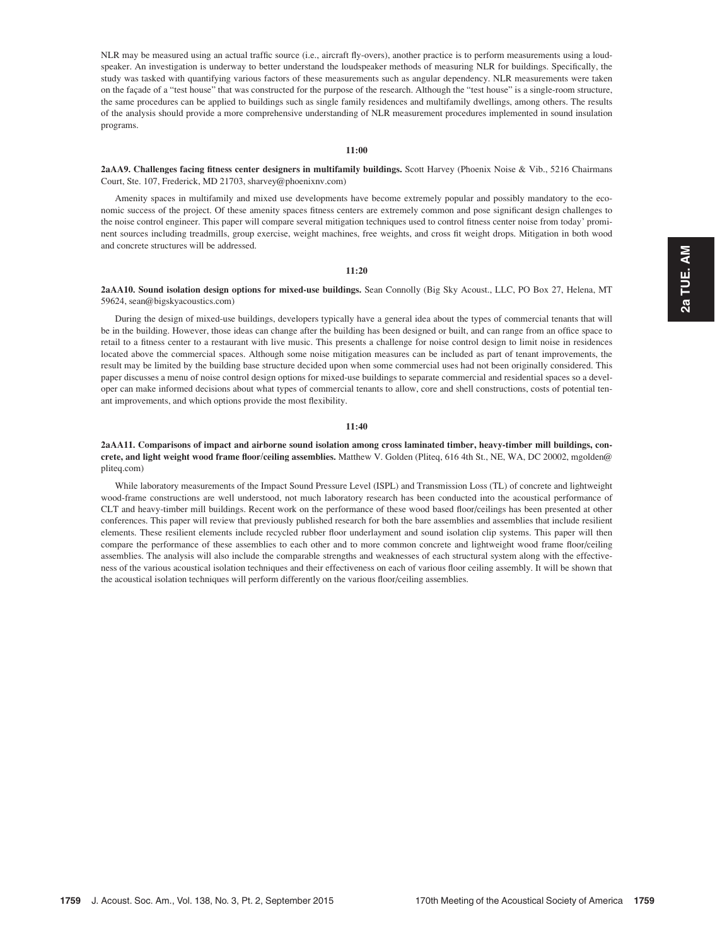NLR may be measured using an actual traffic source (i.e., aircraft fly-overs), another practice is to perform measurements using a loudspeaker. An investigation is underway to better understand the loudspeaker methods of measuring NLR for buildings. Specifically, the study was tasked with quantifying various factors of these measurements such as angular dependency. NLR measurements were taken on the façade of a "test house" that was constructed for the purpose of the research. Although the "test house" is a single-room structure, the same procedures can be applied to buildings such as single family residences and multifamily dwellings, among others. The results of the analysis should provide a more comprehensive understanding of NLR measurement procedures implemented in sound insulation programs.

11:00

2aAA9. Challenges facing fitness center designers in multifamily buildings. Scott Harvey (Phoenix Noise & Vib., 5216 Chairmans Court, Ste. 107, Frederick, MD 21703, sharvey@phoenixnv.com)

Amenity spaces in multifamily and mixed use developments have become extremely popular and possibly mandatory to the economic success of the project. Of these amenity spaces fitness centers are extremely common and pose significant design challenges to the noise control engineer. This paper will compare several mitigation techniques used to control fitness center noise from today' prominent sources including treadmills, group exercise, weight machines, free weights, and cross fit weight drops. Mitigation in both wood and concrete structures will be addressed.

## 11:20

2aAA10. Sound isolation design options for mixed-use buildings. Sean Connolly (Big Sky Acoust., LLC, PO Box 27, Helena, MT 59624, sean@bigskyacoustics.com)

During the design of mixed-use buildings, developers typically have a general idea about the types of commercial tenants that will be in the building. However, those ideas can change after the building has been designed or built, and can range from an office space to retail to a fitness center to a restaurant with live music. This presents a challenge for noise control design to limit noise in residences located above the commercial spaces. Although some noise mitigation measures can be included as part of tenant improvements, the result may be limited by the building base structure decided upon when some commercial uses had not been originally considered. This paper discusses a menu of noise control design options for mixed-use buildings to separate commercial and residential spaces so a developer can make informed decisions about what types of commercial tenants to allow, core and shell constructions, costs of potential tenant improvements, and which options provide the most flexibility.

## $11:40$

2aAA11. Comparisons of impact and airborne sound isolation among cross laminated timber, heavy-timber mill buildings, concrete, and light weight wood frame floor/ceiling assemblies. Matthew V. Golden (Pliteq, 616 4th St., NE, WA, DC 20002, mgolden@ pliteq.com)

While laboratory measurements of the Impact Sound Pressure Level (ISPL) and Transmission Loss (TL) of concrete and lightweight wood-frame constructions are well understood, not much laboratory research has been conducted into the acoustical performance of CLT and heavy-timber mill buildings. Recent work on the performance of these wood based floor/ceilings has been presented at other conferences. This paper will review that previously published research for both the bare assemblies and assemblies that include resilient elements. These resilient elements include recycled rubber floor underlayment and sound isolation clip systems. This paper will then compare the performance of these assemblies to each other and to more common concrete and lightweight wood frame floor/ceiling assemblies. The analysis will also include the comparable strengths and weaknesses of each structural system along with the effectiveness of the various acoustical isolation techniques and their effectiveness on each of various floor ceiling assembly. It will be shown that the acoustical isolation techniques will perform differently on the various floor/ceiling assemblies.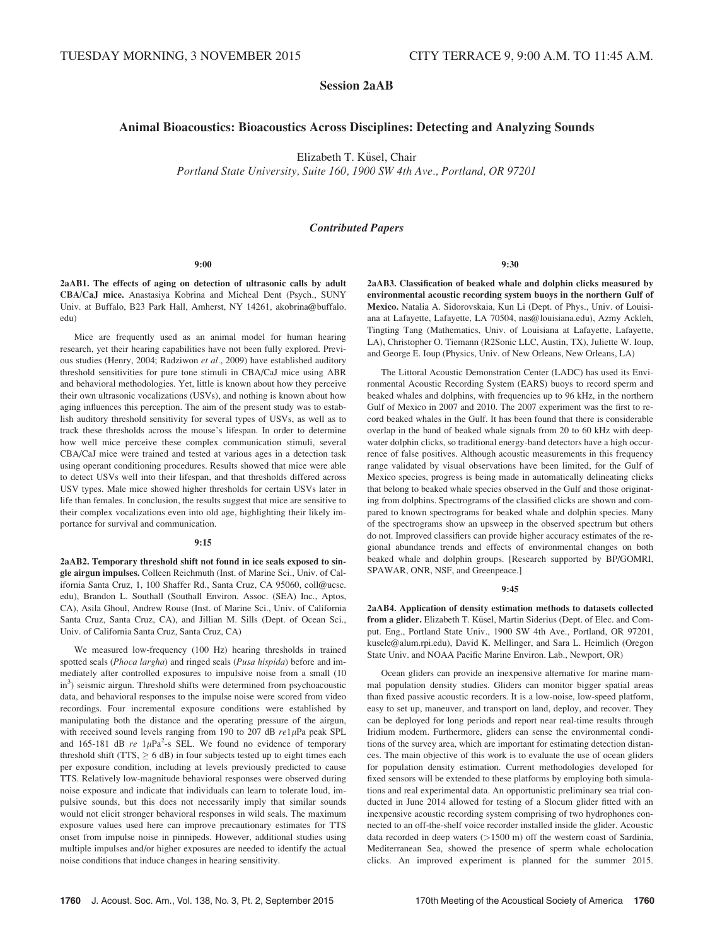Session 2aAB

# Animal Bioacoustics: Bioacoustics Across Disciplines: Detecting and Analyzing Sounds

Elizabeth T. Küsel, Chair

Portland State University, Suite 160, 1900 SW 4th Ave., Portland, OR 97201

# Contributed Papers

#### 9:00

2aAB1. The effects of aging on detection of ultrasonic calls by adult CBA/CaJ mice. Anastasiya Kobrina and Micheal Dent (Psych., SUNY Univ. at Buffalo, B23 Park Hall, Amherst, NY 14261, akobrina@buffalo. edu)

Mice are frequently used as an animal model for human hearing research, yet their hearing capabilities have not been fully explored. Previous studies (Henry, 2004; Radziwon et al., 2009) have established auditory threshold sensitivities for pure tone stimuli in CBA/CaJ mice using ABR and behavioral methodologies. Yet, little is known about how they perceive their own ultrasonic vocalizations (USVs), and nothing is known about how aging influences this perception. The aim of the present study was to establish auditory threshold sensitivity for several types of USVs, as well as to track these thresholds across the mouse's lifespan. In order to determine how well mice perceive these complex communication stimuli, several CBA/CaJ mice were trained and tested at various ages in a detection task using operant conditioning procedures. Results showed that mice were able to detect USVs well into their lifespan, and that thresholds differed across USV types. Male mice showed higher thresholds for certain USVs later in life than females. In conclusion, the results suggest that mice are sensitive to their complex vocalizations even into old age, highlighting their likely importance for survival and communication.

#### 9:15

2aAB2. Temporary threshold shift not found in ice seals exposed to single airgun impulses. Colleen Reichmuth (Inst. of Marine Sci., Univ. of California Santa Cruz, 1, 100 Shaffer Rd., Santa Cruz, CA 95060, coll@ucsc. edu), Brandon L. Southall (Southall Environ. Assoc. (SEA) Inc., Aptos, CA), Asila Ghoul, Andrew Rouse (Inst. of Marine Sci., Univ. of California Santa Cruz, Santa Cruz, CA), and Jillian M. Sills (Dept. of Ocean Sci., Univ. of California Santa Cruz, Santa Cruz, CA)

We measured low-frequency (100 Hz) hearing thresholds in trained spotted seals (Phoca largha) and ringed seals (Pusa hispida) before and immediately after controlled exposures to impulsive noise from a small (10 in<sup>3</sup>) seismic airgun. Threshold shifts were determined from psychoacoustic data, and behavioral responses to the impulse noise were scored from video recordings. Four incremental exposure conditions were established by manipulating both the distance and the operating pressure of the airgun, with received sound levels ranging from 190 to 207 dB  $re1\mu$ Pa peak SPL and 165-181 dB  $re$  1 $\mu$ Pa<sup>2</sup>-s SEL. We found no evidence of temporary threshold shift (TTS,  $\geq$  6 dB) in four subjects tested up to eight times each per exposure condition, including at levels previously predicted to cause TTS. Relatively low-magnitude behavioral responses were observed during noise exposure and indicate that individuals can learn to tolerate loud, impulsive sounds, but this does not necessarily imply that similar sounds would not elicit stronger behavioral responses in wild seals. The maximum exposure values used here can improve precautionary estimates for TTS onset from impulse noise in pinnipeds. However, additional studies using multiple impulses and/or higher exposures are needed to identify the actual noise conditions that induce changes in hearing sensitivity.

9:30

2aAB3. Classification of beaked whale and dolphin clicks measured by environmental acoustic recording system buoys in the northern Gulf of Mexico. Natalia A. Sidorovskaia, Kun Li (Dept. of Phys., Univ. of Louisiana at Lafayette, Lafayette, LA 70504, nas@louisiana.edu), Azmy Ackleh, Tingting Tang (Mathematics, Univ. of Louisiana at Lafayette, Lafayette, LA), Christopher O. Tiemann (R2Sonic LLC, Austin, TX), Juliette W. Ioup, and George E. Ioup (Physics, Univ. of New Orleans, New Orleans, LA)

The Littoral Acoustic Demonstration Center (LADC) has used its Environmental Acoustic Recording System (EARS) buoys to record sperm and beaked whales and dolphins, with frequencies up to 96 kHz, in the northern Gulf of Mexico in 2007 and 2010. The 2007 experiment was the first to record beaked whales in the Gulf. It has been found that there is considerable overlap in the band of beaked whale signals from 20 to 60 kHz with deepwater dolphin clicks, so traditional energy-band detectors have a high occurrence of false positives. Although acoustic measurements in this frequency range validated by visual observations have been limited, for the Gulf of Mexico species, progress is being made in automatically delineating clicks that belong to beaked whale species observed in the Gulf and those originating from dolphins. Spectrograms of the classified clicks are shown and compared to known spectrograms for beaked whale and dolphin species. Many of the spectrograms show an upsweep in the observed spectrum but others do not. Improved classifiers can provide higher accuracy estimates of the regional abundance trends and effects of environmental changes on both beaked whale and dolphin groups. [Research supported by BP/GOMRI, SPAWAR, ONR, NSF, and Greenpeace.]

## 9:45

2aAB4. Application of density estimation methods to datasets collected from a glider. Elizabeth T. Küsel, Martin Siderius (Dept. of Elec. and Comput. Eng., Portland State Univ., 1900 SW 4th Ave., Portland, OR 97201, kusele@alum.rpi.edu), David K. Mellinger, and Sara L. Heimlich (Oregon State Univ. and NOAA Pacific Marine Environ. Lab., Newport, OR)

Ocean gliders can provide an inexpensive alternative for marine mammal population density studies. Gliders can monitor bigger spatial areas than fixed passive acoustic recorders. It is a low-noise, low-speed platform, easy to set up, maneuver, and transport on land, deploy, and recover. They can be deployed for long periods and report near real-time results through Iridium modem. Furthermore, gliders can sense the environmental conditions of the survey area, which are important for estimating detection distances. The main objective of this work is to evaluate the use of ocean gliders for population density estimation. Current methodologies developed for fixed sensors will be extended to these platforms by employing both simulations and real experimental data. An opportunistic preliminary sea trial conducted in June 2014 allowed for testing of a Slocum glider fitted with an inexpensive acoustic recording system comprising of two hydrophones connected to an off-the-shelf voice recorder installed inside the glider. Acoustic data recorded in deep waters (>1500 m) off the western coast of Sardinia, Mediterranean Sea, showed the presence of sperm whale echolocation clicks. An improved experiment is planned for the summer 2015.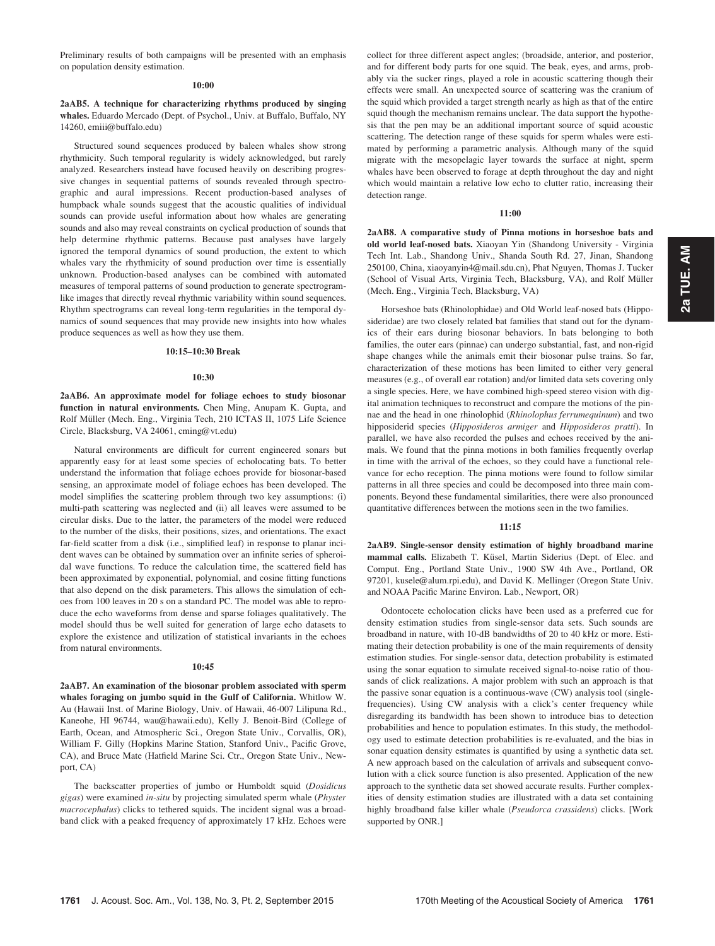Preliminary results of both campaigns will be presented with an emphasis on population density estimation.

#### 10:00

2aAB5. A technique for characterizing rhythms produced by singing whales. Eduardo Mercado (Dept. of Psychol., Univ. at Buffalo, Buffalo, NY 14260, emiii@buffalo.edu)

Structured sound sequences produced by baleen whales show strong rhythmicity. Such temporal regularity is widely acknowledged, but rarely analyzed. Researchers instead have focused heavily on describing progressive changes in sequential patterns of sounds revealed through spectrographic and aural impressions. Recent production-based analyses of humpback whale sounds suggest that the acoustic qualities of individual sounds can provide useful information about how whales are generating sounds and also may reveal constraints on cyclical production of sounds that help determine rhythmic patterns. Because past analyses have largely ignored the temporal dynamics of sound production, the extent to which whales vary the rhythmicity of sound production over time is essentially unknown. Production-based analyses can be combined with automated measures of temporal patterns of sound production to generate spectrogramlike images that directly reveal rhythmic variability within sound sequences. Rhythm spectrograms can reveal long-term regularities in the temporal dynamics of sound sequences that may provide new insights into how whales produce sequences as well as how they use them.

#### 10:15–10:30 Break

#### 10:30

2aAB6. An approximate model for foliage echoes to study biosonar function in natural environments. Chen Ming, Anupam K. Gupta, and Rolf Müller (Mech. Eng., Virginia Tech, 210 ICTAS II, 1075 Life Science Circle, Blacksburg, VA 24061, cming@vt.edu)

Natural environments are difficult for current engineered sonars but apparently easy for at least some species of echolocating bats. To better understand the information that foliage echoes provide for biosonar-based sensing, an approximate model of foliage echoes has been developed. The model simplifies the scattering problem through two key assumptions: (i) multi-path scattering was neglected and (ii) all leaves were assumed to be circular disks. Due to the latter, the parameters of the model were reduced to the number of the disks, their positions, sizes, and orientations. The exact far-field scatter from a disk (i.e., simplified leaf) in response to planar incident waves can be obtained by summation over an infinite series of spheroidal wave functions. To reduce the calculation time, the scattered field has been approximated by exponential, polynomial, and cosine fitting functions that also depend on the disk parameters. This allows the simulation of echoes from 100 leaves in 20 s on a standard PC. The model was able to reproduce the echo waveforms from dense and sparse foliages qualitatively. The model should thus be well suited for generation of large echo datasets to explore the existence and utilization of statistical invariants in the echoes from natural environments.

#### 10:45

2aAB7. An examination of the biosonar problem associated with sperm whales foraging on jumbo squid in the Gulf of California. Whitlow W. Au (Hawaii Inst. of Marine Biology, Univ. of Hawaii, 46-007 Lilipuna Rd., Kaneohe, HI 96744, wau@hawaii.edu), Kelly J. Benoit-Bird (College of Earth, Ocean, and Atmospheric Sci., Oregon State Univ., Corvallis, OR), William F. Gilly (Hopkins Marine Station, Stanford Univ., Pacific Grove, CA), and Bruce Mate (Hatfield Marine Sci. Ctr., Oregon State Univ., Newport, CA)

The backscatter properties of jumbo or Humboldt squid (Dosidicus gigas) were examined in-situ by projecting simulated sperm whale (Physter macrocephalus) clicks to tethered squids. The incident signal was a broadband click with a peaked frequency of approximately 17 kHz. Echoes were collect for three different aspect angles; (broadside, anterior, and posterior, and for different body parts for one squid. The beak, eyes, and arms, probably via the sucker rings, played a role in acoustic scattering though their effects were small. An unexpected source of scattering was the cranium of the squid which provided a target strength nearly as high as that of the entire squid though the mechanism remains unclear. The data support the hypothesis that the pen may be an additional important source of squid acoustic scattering. The detection range of these squids for sperm whales were estimated by performing a parametric analysis. Although many of the squid migrate with the mesopelagic layer towards the surface at night, sperm whales have been observed to forage at depth throughout the day and night which would maintain a relative low echo to clutter ratio, increasing their detection range.

## 11:00

2aAB8. A comparative study of Pinna motions in horseshoe bats and old world leaf-nosed bats. Xiaoyan Yin (Shandong University - Virginia Tech Int. Lab., Shandong Univ., Shanda South Rd. 27, Jinan, Shandong 250100, China, xiaoyanyin4@mail.sdu.cn), Phat Nguyen, Thomas J. Tucker (School of Visual Arts, Virginia Tech, Blacksburg, VA), and Rolf Müller (Mech. Eng., Virginia Tech, Blacksburg, VA)

Horseshoe bats (Rhinolophidae) and Old World leaf-nosed bats (Hipposideridae) are two closely related bat families that stand out for the dynamics of their ears during biosonar behaviors. In bats belonging to both families, the outer ears (pinnae) can undergo substantial, fast, and non-rigid shape changes while the animals emit their biosonar pulse trains. So far, characterization of these motions has been limited to either very general measures (e.g., of overall ear rotation) and/or limited data sets covering only a single species. Here, we have combined high-speed stereo vision with digital animation techniques to reconstruct and compare the motions of the pinnae and the head in one rhinolophid (Rhinolophus ferrumequinum) and two hipposiderid species (Hipposideros armiger and Hipposideros pratti). In parallel, we have also recorded the pulses and echoes received by the animals. We found that the pinna motions in both families frequently overlap in time with the arrival of the echoes, so they could have a functional relevance for echo reception. The pinna motions were found to follow similar patterns in all three species and could be decomposed into three main components. Beyond these fundamental similarities, there were also pronounced quantitative differences between the motions seen in the two families.

## 11:15

2aAB9. Single-sensor density estimation of highly broadband marine mammal calls. Elizabeth T. Küsel, Martin Siderius (Dept. of Elec. and Comput. Eng., Portland State Univ., 1900 SW 4th Ave., Portland, OR 97201, kusele@alum.rpi.edu), and David K. Mellinger (Oregon State Univ. and NOAA Pacific Marine Environ. Lab., Newport, OR)

Odontocete echolocation clicks have been used as a preferred cue for density estimation studies from single-sensor data sets. Such sounds are broadband in nature, with 10-dB bandwidths of 20 to 40 kHz or more. Estimating their detection probability is one of the main requirements of density estimation studies. For single-sensor data, detection probability is estimated using the sonar equation to simulate received signal-to-noise ratio of thousands of click realizations. A major problem with such an approach is that the passive sonar equation is a continuous-wave (CW) analysis tool (singlefrequencies). Using CW analysis with a click's center frequency while disregarding its bandwidth has been shown to introduce bias to detection probabilities and hence to population estimates. In this study, the methodology used to estimate detection probabilities is re-evaluated, and the bias in sonar equation density estimates is quantified by using a synthetic data set. A new approach based on the calculation of arrivals and subsequent convolution with a click source function is also presented. Application of the new approach to the synthetic data set showed accurate results. Further complexities of density estimation studies are illustrated with a data set containing highly broadband false killer whale (Pseudorca crassidens) clicks. [Work supported by ONR.]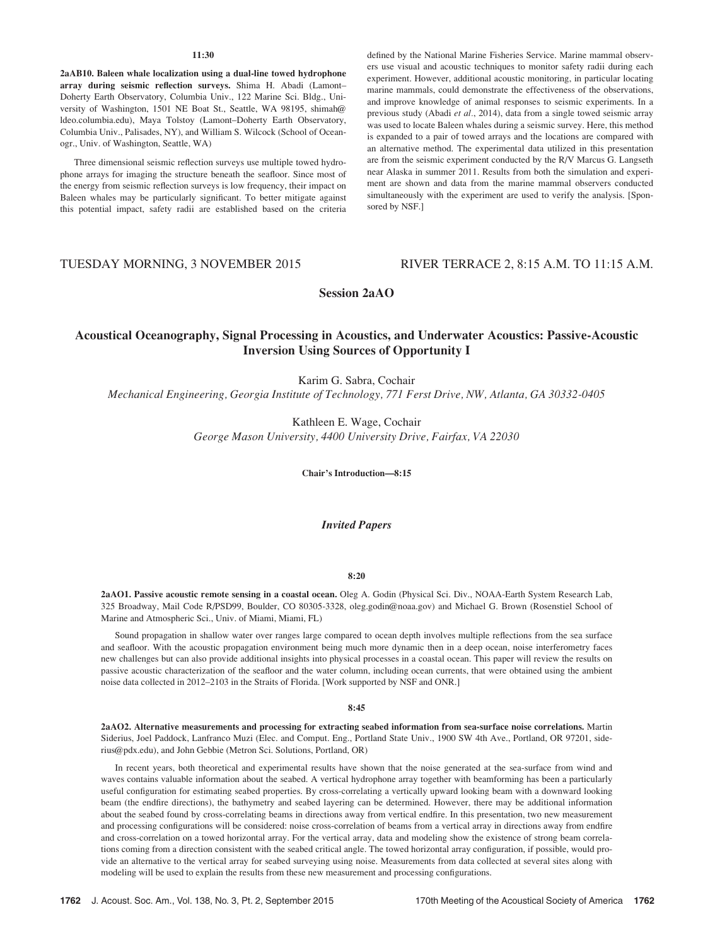## 11:30

2aAB10. Baleen whale localization using a dual-line towed hydrophone array during seismic reflection surveys. Shima H. Abadi (Lamont– Doherty Earth Observatory, Columbia Univ., 122 Marine Sci. Bldg., University of Washington, 1501 NE Boat St., Seattle, WA 98195, shimah@ ldeo.columbia.edu), Maya Tolstoy (Lamont–Doherty Earth Observatory, Columbia Univ., Palisades, NY), and William S. Wilcock (School of Oceanogr., Univ. of Washington, Seattle, WA)

Three dimensional seismic reflection surveys use multiple towed hydrophone arrays for imaging the structure beneath the seafloor. Since most of the energy from seismic reflection surveys is low frequency, their impact on Baleen whales may be particularly significant. To better mitigate against this potential impact, safety radii are established based on the criteria defined by the National Marine Fisheries Service. Marine mammal observers use visual and acoustic techniques to monitor safety radii during each experiment. However, additional acoustic monitoring, in particular locating marine mammals, could demonstrate the effectiveness of the observations, and improve knowledge of animal responses to seismic experiments. In a previous study (Abadi et al., 2014), data from a single towed seismic array was used to locate Baleen whales during a seismic survey. Here, this method is expanded to a pair of towed arrays and the locations are compared with an alternative method. The experimental data utilized in this presentation are from the seismic experiment conducted by the R/V Marcus G. Langseth near Alaska in summer 2011. Results from both the simulation and experiment are shown and data from the marine mammal observers conducted simultaneously with the experiment are used to verify the analysis. [Sponsored by NSF.]

# TUESDAY MORNING, 3 NOVEMBER 2015 RIVER TERRACE 2, 8:15 A.M. TO 11:15 A.M.

Session 2aAO

# Acoustical Oceanography, Signal Processing in Acoustics, and Underwater Acoustics: Passive-Acoustic Inversion Using Sources of Opportunity I

Karim G. Sabra, Cochair

Mechanical Engineering, Georgia Institute of Technology, 771 Ferst Drive, NW, Atlanta, GA 30332-0405

Kathleen E. Wage, Cochair George Mason University, 4400 University Drive, Fairfax, VA 22030

Chair's Introduction—8:15

# Invited Papers

#### 8:20

2aAO1. Passive acoustic remote sensing in a coastal ocean. Oleg A. Godin (Physical Sci. Div., NOAA-Earth System Research Lab, 325 Broadway, Mail Code R/PSD99, Boulder, CO 80305-3328, oleg.godin@noaa.gov) and Michael G. Brown (Rosenstiel School of Marine and Atmospheric Sci., Univ. of Miami, Miami, FL)

Sound propagation in shallow water over ranges large compared to ocean depth involves multiple reflections from the sea surface and seafloor. With the acoustic propagation environment being much more dynamic then in a deep ocean, noise interferometry faces new challenges but can also provide additional insights into physical processes in a coastal ocean. This paper will review the results on passive acoustic characterization of the seafloor and the water column, including ocean currents, that were obtained using the ambient noise data collected in 2012–2103 in the Straits of Florida. [Work supported by NSF and ONR.]

#### 8:45

2aAO2. Alternative measurements and processing for extracting seabed information from sea-surface noise correlations. Martin Siderius, Joel Paddock, Lanfranco Muzi (Elec. and Comput. Eng., Portland State Univ., 1900 SW 4th Ave., Portland, OR 97201, siderius@pdx.edu), and John Gebbie (Metron Sci. Solutions, Portland, OR)

In recent years, both theoretical and experimental results have shown that the noise generated at the sea-surface from wind and waves contains valuable information about the seabed. A vertical hydrophone array together with beamforming has been a particularly useful configuration for estimating seabed properties. By cross-correlating a vertically upward looking beam with a downward looking beam (the endfire directions), the bathymetry and seabed layering can be determined. However, there may be additional information about the seabed found by cross-correlating beams in directions away from vertical endfire. In this presentation, two new measurement and processing configurations will be considered: noise cross-correlation of beams from a vertical array in directions away from endfire and cross-correlation on a towed horizontal array. For the vertical array, data and modeling show the existence of strong beam correlations coming from a direction consistent with the seabed critical angle. The towed horizontal array configuration, if possible, would provide an alternative to the vertical array for seabed surveying using noise. Measurements from data collected at several sites along with modeling will be used to explain the results from these new measurement and processing configurations.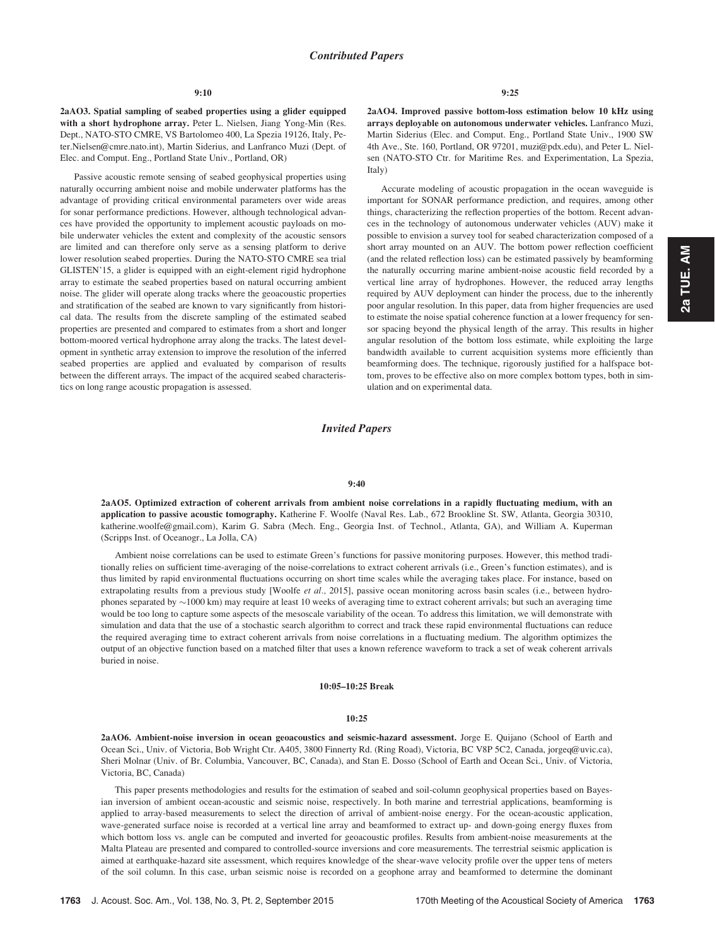2aAO3. Spatial sampling of seabed properties using a glider equipped with a short hydrophone array. Peter L. Nielsen, Jiang Yong-Min (Res. Dept., NATO-STO CMRE, VS Bartolomeo 400, La Spezia 19126, Italy, Peter.Nielsen@cmre.nato.int), Martin Siderius, and Lanfranco Muzi (Dept. of Elec. and Comput. Eng., Portland State Univ., Portland, OR)

Passive acoustic remote sensing of seabed geophysical properties using naturally occurring ambient noise and mobile underwater platforms has the advantage of providing critical environmental parameters over wide areas for sonar performance predictions. However, although technological advances have provided the opportunity to implement acoustic payloads on mobile underwater vehicles the extent and complexity of the acoustic sensors are limited and can therefore only serve as a sensing platform to derive lower resolution seabed properties. During the NATO-STO CMRE sea trial GLISTEN'15, a glider is equipped with an eight-element rigid hydrophone array to estimate the seabed properties based on natural occurring ambient noise. The glider will operate along tracks where the geoacoustic properties and stratification of the seabed are known to vary significantly from historical data. The results from the discrete sampling of the estimated seabed properties are presented and compared to estimates from a short and longer bottom-moored vertical hydrophone array along the tracks. The latest development in synthetic array extension to improve the resolution of the inferred seabed properties are applied and evaluated by comparison of results between the different arrays. The impact of the acquired seabed characteristics on long range acoustic propagation is assessed.

2aAO4. Improved passive bottom-loss estimation below 10 kHz using arrays deployable on autonomous underwater vehicles. Lanfranco Muzi, Martin Siderius (Elec. and Comput. Eng., Portland State Univ., 1900 SW 4th Ave., Ste. 160, Portland, OR 97201, muzi@pdx.edu), and Peter L. Nielsen (NATO-STO Ctr. for Maritime Res. and Experimentation, La Spezia, Italy)

Accurate modeling of acoustic propagation in the ocean waveguide is important for SONAR performance prediction, and requires, among other things, characterizing the reflection properties of the bottom. Recent advances in the technology of autonomous underwater vehicles (AUV) make it possible to envision a survey tool for seabed characterization composed of a short array mounted on an AUV. The bottom power reflection coefficient (and the related reflection loss) can be estimated passively by beamforming the naturally occurring marine ambient-noise acoustic field recorded by a vertical line array of hydrophones. However, the reduced array lengths required by AUV deployment can hinder the process, due to the inherently poor angular resolution. In this paper, data from higher frequencies are used to estimate the noise spatial coherence function at a lower frequency for sensor spacing beyond the physical length of the array. This results in higher angular resolution of the bottom loss estimate, while exploiting the large bandwidth available to current acquisition systems more efficiently than beamforming does. The technique, rigorously justified for a halfspace bottom, proves to be effective also on more complex bottom types, both in simulation and on experimental data.

# Invited Papers

#### 9:40

2aAO5. Optimized extraction of coherent arrivals from ambient noise correlations in a rapidly fluctuating medium, with an application to passive acoustic tomography. Katherine F. Woolfe (Naval Res. Lab., 672 Brookline St. SW, Atlanta, Georgia 30310, katherine.woolfe@gmail.com), Karim G. Sabra (Mech. Eng., Georgia Inst. of Technol., Atlanta, GA), and William A. Kuperman (Scripps Inst. of Oceanogr., La Jolla, CA)

Ambient noise correlations can be used to estimate Green's functions for passive monitoring purposes. However, this method traditionally relies on sufficient time-averaging of the noise-correlations to extract coherent arrivals (i.e., Green's function estimates), and is thus limited by rapid environmental fluctuations occurring on short time scales while the averaging takes place. For instance, based on extrapolating results from a previous study [Woolfe et al., 2015], passive ocean monitoring across basin scales (i.e., between hydrophones separated by  $\sim$  1000 km) may require at least 10 weeks of averaging time to extract coherent arrivals; but such an averaging time would be too long to capture some aspects of the mesoscale variability of the ocean. To address this limitation, we will demonstrate with simulation and data that the use of a stochastic search algorithm to correct and track these rapid environmental fluctuations can reduce the required averaging time to extract coherent arrivals from noise correlations in a fluctuating medium. The algorithm optimizes the output of an objective function based on a matched filter that uses a known reference waveform to track a set of weak coherent arrivals buried in noise.

## 10:05–10:25 Break

#### 10:25

2aAO6. Ambient-noise inversion in ocean geoacoustics and seismic-hazard assessment. Jorge E. Quijano (School of Earth and Ocean Sci., Univ. of Victoria, Bob Wright Ctr. A405, 3800 Finnerty Rd. (Ring Road), Victoria, BC V8P 5C2, Canada, jorgeq@uvic.ca), Sheri Molnar (Univ. of Br. Columbia, Vancouver, BC, Canada), and Stan E. Dosso (School of Earth and Ocean Sci., Univ. of Victoria, Victoria, BC, Canada)

This paper presents methodologies and results for the estimation of seabed and soil-column geophysical properties based on Bayesian inversion of ambient ocean-acoustic and seismic noise, respectively. In both marine and terrestrial applications, beamforming is applied to array-based measurements to select the direction of arrival of ambient-noise energy. For the ocean-acoustic application, wave-generated surface noise is recorded at a vertical line array and beamformed to extract up- and down-going energy fluxes from which bottom loss vs. angle can be computed and inverted for geoacoustic profiles. Results from ambient-noise measurements at the Malta Plateau are presented and compared to controlled-source inversions and core measurements. The terrestrial seismic application is aimed at earthquake-hazard site assessment, which requires knowledge of the shear-wave velocity profile over the upper tens of meters of the soil column. In this case, urban seismic noise is recorded on a geophone array and beamformed to determine the dominant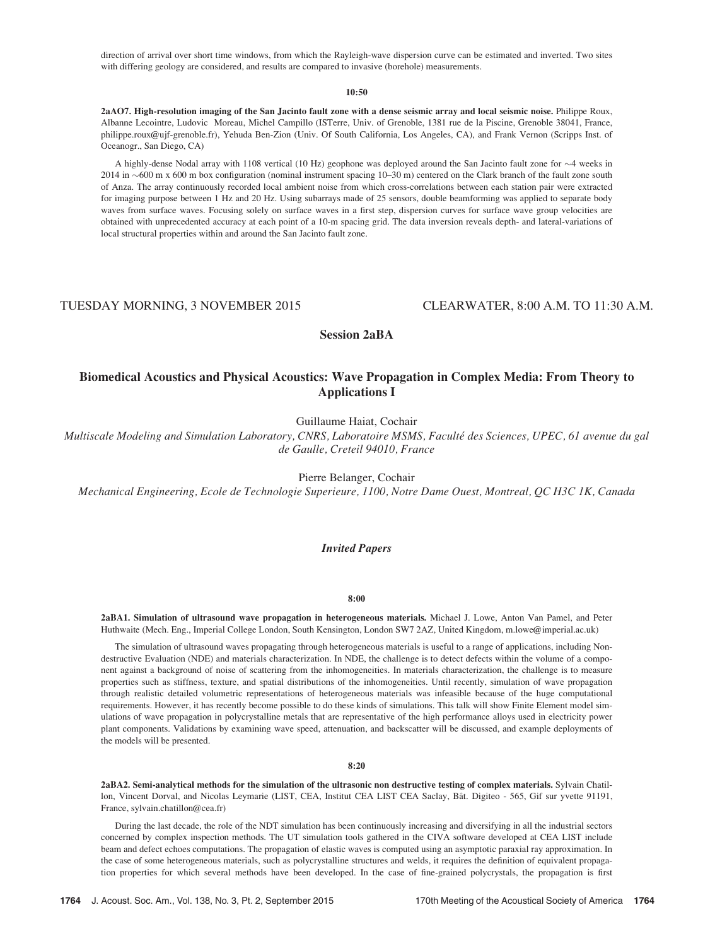direction of arrival over short time windows, from which the Rayleigh-wave dispersion curve can be estimated and inverted. Two sites with differing geology are considered, and results are compared to invasive (borehole) measurements.

## 10:50

2aAO7. High-resolution imaging of the San Jacinto fault zone with a dense seismic array and local seismic noise. Philippe Roux, Albanne Lecointre, Ludovic Moreau, Michel Campillo (ISTerre, Univ. of Grenoble, 1381 rue de la Piscine, Grenoble 38041, France, philippe.roux@ujf-grenoble.fr), Yehuda Ben-Zion (Univ. Of South California, Los Angeles, CA), and Frank Vernon (Scripps Inst. of Oceanogr., San Diego, CA)

A highly-dense Nodal array with 1108 vertical (10 Hz) geophone was deployed around the San Jacinto fault zone for  $\sim$ 4 weeks in 2014 in 600 m x 600 m box configuration (nominal instrument spacing 10–30 m) centered on the Clark branch of the fault zone south of Anza. The array continuously recorded local ambient noise from which cross-correlations between each station pair were extracted for imaging purpose between 1 Hz and 20 Hz. Using subarrays made of 25 sensors, double beamforming was applied to separate body waves from surface waves. Focusing solely on surface waves in a first step, dispersion curves for surface wave group velocities are obtained with unprecedented accuracy at each point of a 10-m spacing grid. The data inversion reveals depth- and lateral-variations of local structural properties within and around the San Jacinto fault zone.

TUESDAY MORNING, 3 NOVEMBER 2015 CLEARWATER, 8:00 A.M. TO 11:30 A.M.

Session 2aBA

# Biomedical Acoustics and Physical Acoustics: Wave Propagation in Complex Media: From Theory to Applications I

Guillaume Haiat, Cochair

Multiscale Modeling and Simulation Laboratory, CNRS, Laboratoire MSMS, Faculté des Sciences, UPEC, 61 avenue du gal de Gaulle, Creteil 94010, France

Pierre Belanger, Cochair

Mechanical Engineering, Ecole de Technologie Superieure, 1100, Notre Dame Ouest, Montreal, QC H3C 1K, Canada

## Invited Papers

8:00

2aBA1. Simulation of ultrasound wave propagation in heterogeneous materials. Michael J. Lowe, Anton Van Pamel, and Peter Huthwaite (Mech. Eng., Imperial College London, South Kensington, London SW7 2AZ, United Kingdom, m.lowe@imperial.ac.uk)

The simulation of ultrasound waves propagating through heterogeneous materials is useful to a range of applications, including Nondestructive Evaluation (NDE) and materials characterization. In NDE, the challenge is to detect defects within the volume of a component against a background of noise of scattering from the inhomogeneities. In materials characterization, the challenge is to measure properties such as stiffness, texture, and spatial distributions of the inhomogeneities. Until recently, simulation of wave propagation through realistic detailed volumetric representations of heterogeneous materials was infeasible because of the huge computational requirements. However, it has recently become possible to do these kinds of simulations. This talk will show Finite Element model simulations of wave propagation in polycrystalline metals that are representative of the high performance alloys used in electricity power plant components. Validations by examining wave speed, attenuation, and backscatter will be discussed, and example deployments of the models will be presented.

## 8:20

2aBA2. Semi-analytical methods for the simulation of the ultrasonic non destructive testing of complex materials. Sylvain Chatillon, Vincent Dorval, and Nicolas Leymarie (LIST, CEA, Institut CEA LIST CEA Saclay, Bât. Digiteo - 565, Gif sur yvette 91191, France, sylvain.chatillon@cea.fr)

During the last decade, the role of the NDT simulation has been continuously increasing and diversifying in all the industrial sectors concerned by complex inspection methods. The UT simulation tools gathered in the CIVA software developed at CEA LIST include beam and defect echoes computations. The propagation of elastic waves is computed using an asymptotic paraxial ray approximation. In the case of some heterogeneous materials, such as polycrystalline structures and welds, it requires the definition of equivalent propagation properties for which several methods have been developed. In the case of fine-grained polycrystals, the propagation is first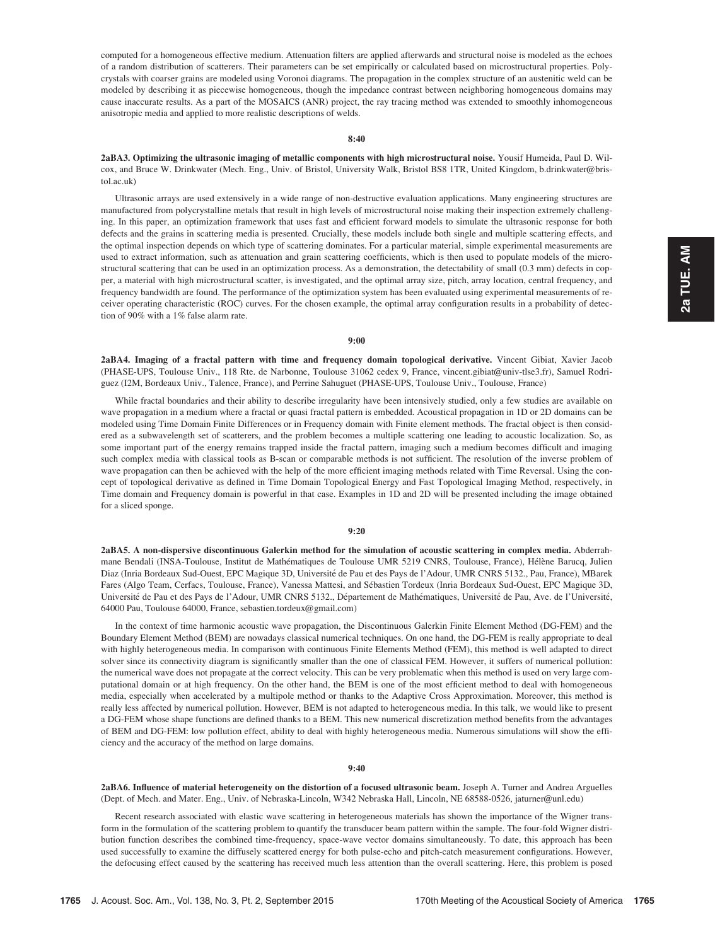computed for a homogeneous effective medium. Attenuation filters are applied afterwards and structural noise is modeled as the echoes of a random distribution of scatterers. Their parameters can be set empirically or calculated based on microstructural properties. Polycrystals with coarser grains are modeled using Voronoi diagrams. The propagation in the complex structure of an austenitic weld can be modeled by describing it as piecewise homogeneous, though the impedance contrast between neighboring homogeneous domains may cause inaccurate results. As a part of the MOSAICS (ANR) project, the ray tracing method was extended to smoothly inhomogeneous anisotropic media and applied to more realistic descriptions of welds.

## 8:40

2aBA3. Optimizing the ultrasonic imaging of metallic components with high microstructural noise. Yousif Humeida, Paul D. Wilcox, and Bruce W. Drinkwater (Mech. Eng., Univ. of Bristol, University Walk, Bristol BS8 1TR, United Kingdom, b.drinkwater@bristol.ac.uk)

Ultrasonic arrays are used extensively in a wide range of non-destructive evaluation applications. Many engineering structures are manufactured from polycrystalline metals that result in high levels of microstructural noise making their inspection extremely challenging. In this paper, an optimization framework that uses fast and efficient forward models to simulate the ultrasonic response for both defects and the grains in scattering media is presented. Crucially, these models include both single and multiple scattering effects, and the optimal inspection depends on which type of scattering dominates. For a particular material, simple experimental measurements are used to extract information, such as attenuation and grain scattering coefficients, which is then used to populate models of the microstructural scattering that can be used in an optimization process. As a demonstration, the detectability of small (0.3 mm) defects in copper, a material with high microstructural scatter, is investigated, and the optimal array size, pitch, array location, central frequency, and frequency bandwidth are found. The performance of the optimization system has been evaluated using experimental measurements of receiver operating characteristic (ROC) curves. For the chosen example, the optimal array configuration results in a probability of detection of 90% with a 1% false alarm rate.

#### 9:00

2aBA4. Imaging of a fractal pattern with time and frequency domain topological derivative. Vincent Gibiat, Xavier Jacob (PHASE-UPS, Toulouse Univ., 118 Rte. de Narbonne, Toulouse 31062 cedex 9, France, vincent.gibiat@univ-tlse3.fr), Samuel Rodriguez (I2M, Bordeaux Univ., Talence, France), and Perrine Sahuguet (PHASE-UPS, Toulouse Univ., Toulouse, France)

While fractal boundaries and their ability to describe irregularity have been intensively studied, only a few studies are available on wave propagation in a medium where a fractal or quasi fractal pattern is embedded. Acoustical propagation in 1D or 2D domains can be modeled using Time Domain Finite Differences or in Frequency domain with Finite element methods. The fractal object is then considered as a subwavelength set of scatterers, and the problem becomes a multiple scattering one leading to acoustic localization. So, as some important part of the energy remains trapped inside the fractal pattern, imaging such a medium becomes difficult and imaging such complex media with classical tools as B-scan or comparable methods is not sufficient. The resolution of the inverse problem of wave propagation can then be achieved with the help of the more efficient imaging methods related with Time Reversal. Using the concept of topological derivative as defined in Time Domain Topological Energy and Fast Topological Imaging Method, respectively, in Time domain and Frequency domain is powerful in that case. Examples in 1D and 2D will be presented including the image obtained for a sliced sponge.

#### 9:20

2aBA5. A non-dispersive discontinuous Galerkin method for the simulation of acoustic scattering in complex media. Abderrahmane Bendali (INSA-Toulouse, Institut de Mathématiques de Toulouse UMR 5219 CNRS, Toulouse, France), Hélène Barucq, Julien Diaz (Inria Bordeaux Sud-Ouest, EPC Magique 3D, Université de Pau et des Pays de l'Adour, UMR CNRS 5132., Pau, France), MBarek Fares (Algo Team, Cerfacs, Toulouse, France), Vanessa Mattesi, and Sébastien Tordeux (Inria Bordeaux Sud-Ouest, EPC Magique 3D, Université de Pau et des Pays de l'Adour, UMR CNRS 5132., Département de Mathématiques, Université de Pau, Ave. de l'Université, 64000 Pau, Toulouse 64000, France, sebastien.tordeux@gmail.com)

In the context of time harmonic acoustic wave propagation, the Discontinuous Galerkin Finite Element Method (DG-FEM) and the Boundary Element Method (BEM) are nowadays classical numerical techniques. On one hand, the DG-FEM is really appropriate to deal with highly heterogeneous media. In comparison with continuous Finite Elements Method (FEM), this method is well adapted to direct solver since its connectivity diagram is significantly smaller than the one of classical FEM. However, it suffers of numerical pollution: the numerical wave does not propagate at the correct velocity. This can be very problematic when this method is used on very large computational domain or at high frequency. On the other hand, the BEM is one of the most efficient method to deal with homogeneous media, especially when accelerated by a multipole method or thanks to the Adaptive Cross Approximation. Moreover, this method is really less affected by numerical pollution. However, BEM is not adapted to heterogeneous media. In this talk, we would like to present a DG-FEM whose shape functions are defined thanks to a BEM. This new numerical discretization method benefits from the advantages of BEM and DG-FEM: low pollution effect, ability to deal with highly heterogeneous media. Numerous simulations will show the efficiency and the accuracy of the method on large domains.

#### 9:40

2aBA6. Influence of material heterogeneity on the distortion of a focused ultrasonic beam. Joseph A. Turner and Andrea Arguelles (Dept. of Mech. and Mater. Eng., Univ. of Nebraska-Lincoln, W342 Nebraska Hall, Lincoln, NE 68588-0526, jaturner@unl.edu)

Recent research associated with elastic wave scattering in heterogeneous materials has shown the importance of the Wigner transform in the formulation of the scattering problem to quantify the transducer beam pattern within the sample. The four-fold Wigner distribution function describes the combined time-frequency, space-wave vector domains simultaneously. To date, this approach has been used successfully to examine the diffusely scattered energy for both pulse-echo and pitch-catch measurement configurations. However, the defocusing effect caused by the scattering has received much less attention than the overall scattering. Here, this problem is posed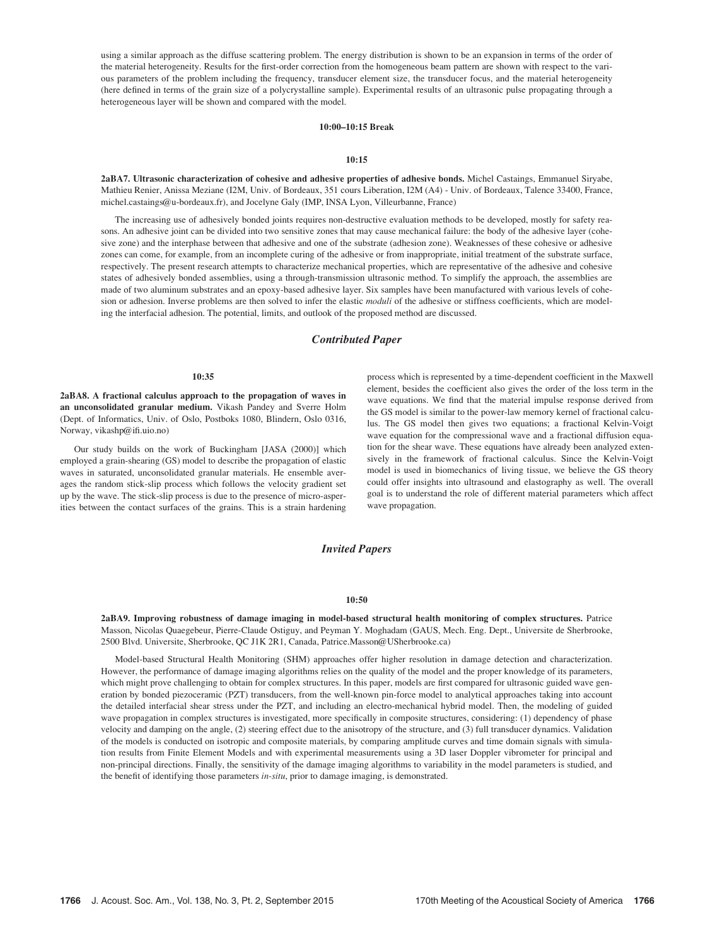using a similar approach as the diffuse scattering problem. The energy distribution is shown to be an expansion in terms of the order of the material heterogeneity. Results for the first-order correction from the homogeneous beam pattern are shown with respect to the various parameters of the problem including the frequency, transducer element size, the transducer focus, and the material heterogeneity (here defined in terms of the grain size of a polycrystalline sample). Experimental results of an ultrasonic pulse propagating through a heterogeneous layer will be shown and compared with the model.

# 10:00–10:15 Break

#### 10:15

2aBA7. Ultrasonic characterization of cohesive and adhesive properties of adhesive bonds. Michel Castaings, Emmanuel Siryabe, Mathieu Renier, Anissa Meziane (I2M, Univ. of Bordeaux, 351 cours Liberation, I2M (A4) - Univ. of Bordeaux, Talence 33400, France, michel.castaings@u-bordeaux.fr), and Jocelyne Galy (IMP, INSA Lyon, Villeurbanne, France)

The increasing use of adhesively bonded joints requires non-destructive evaluation methods to be developed, mostly for safety reasons. An adhesive joint can be divided into two sensitive zones that may cause mechanical failure: the body of the adhesive layer (cohesive zone) and the interphase between that adhesive and one of the substrate (adhesion zone). Weaknesses of these cohesive or adhesive zones can come, for example, from an incomplete curing of the adhesive or from inappropriate, initial treatment of the substrate surface, respectively. The present research attempts to characterize mechanical properties, which are representative of the adhesive and cohesive states of adhesively bonded assemblies, using a through-transmission ultrasonic method. To simplify the approach, the assemblies are made of two aluminum substrates and an epoxy-based adhesive layer. Six samples have been manufactured with various levels of cohesion or adhesion. Inverse problems are then solved to infer the elastic moduli of the adhesive or stiffness coefficients, which are modeling the interfacial adhesion. The potential, limits, and outlook of the proposed method are discussed.

## Contributed Paper

## 10:35

2aBA8. A fractional calculus approach to the propagation of waves in an unconsolidated granular medium. Vikash Pandey and Sverre Holm (Dept. of Informatics, Univ. of Oslo, Postboks 1080, Blindern, Oslo 0316, Norway, vikashp@ifi.uio.no)

Our study builds on the work of Buckingham [JASA (2000)] which employed a grain-shearing (GS) model to describe the propagation of elastic waves in saturated, unconsolidated granular materials. He ensemble averages the random stick-slip process which follows the velocity gradient set up by the wave. The stick-slip process is due to the presence of micro-asperities between the contact surfaces of the grains. This is a strain hardening process which is represented by a time-dependent coefficient in the Maxwell element, besides the coefficient also gives the order of the loss term in the wave equations. We find that the material impulse response derived from the GS model is similar to the power-law memory kernel of fractional calculus. The GS model then gives two equations; a fractional Kelvin-Voigt wave equation for the compressional wave and a fractional diffusion equation for the shear wave. These equations have already been analyzed extensively in the framework of fractional calculus. Since the Kelvin-Voigt model is used in biomechanics of living tissue, we believe the GS theory could offer insights into ultrasound and elastography as well. The overall goal is to understand the role of different material parameters which affect wave propagation.

# Invited Papers

# 10:50

2aBA9. Improving robustness of damage imaging in model-based structural health monitoring of complex structures. Patrice Masson, Nicolas Quaegebeur, Pierre-Claude Ostiguy, and Peyman Y. Moghadam (GAUS, Mech. Eng. Dept., Universite de Sherbrooke, 2500 Blvd. Universite, Sherbrooke, QC J1K 2R1, Canada, Patrice.Masson@USherbrooke.ca)

Model-based Structural Health Monitoring (SHM) approaches offer higher resolution in damage detection and characterization. However, the performance of damage imaging algorithms relies on the quality of the model and the proper knowledge of its parameters, which might prove challenging to obtain for complex structures. In this paper, models are first compared for ultrasonic guided wave generation by bonded piezoceramic (PZT) transducers, from the well-known pin-force model to analytical approaches taking into account the detailed interfacial shear stress under the PZT, and including an electro-mechanical hybrid model. Then, the modeling of guided wave propagation in complex structures is investigated, more specifically in composite structures, considering: (1) dependency of phase velocity and damping on the angle, (2) steering effect due to the anisotropy of the structure, and (3) full transducer dynamics. Validation of the models is conducted on isotropic and composite materials, by comparing amplitude curves and time domain signals with simulation results from Finite Element Models and with experimental measurements using a 3D laser Doppler vibrometer for principal and non-principal directions. Finally, the sensitivity of the damage imaging algorithms to variability in the model parameters is studied, and the benefit of identifying those parameters in-situ, prior to damage imaging, is demonstrated.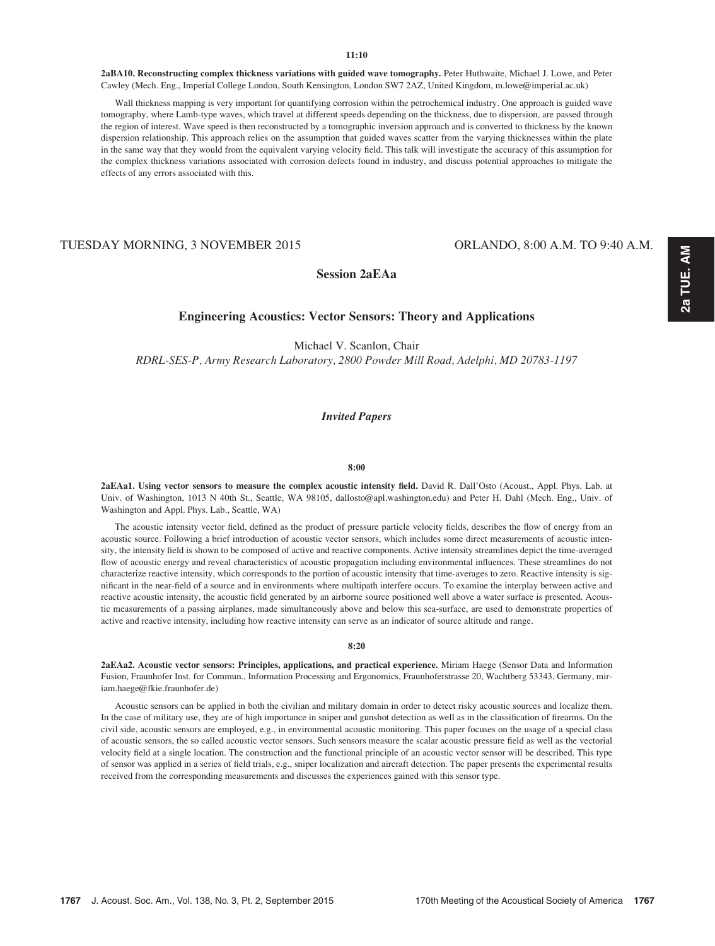2aBA10. Reconstructing complex thickness variations with guided wave tomography. Peter Huthwaite, Michael J. Lowe, and Peter Cawley (Mech. Eng., Imperial College London, South Kensington, London SW7 2AZ, United Kingdom, m.lowe@imperial.ac.uk)

Wall thickness mapping is very important for quantifying corrosion within the petrochemical industry. One approach is guided wave tomography, where Lamb-type waves, which travel at different speeds depending on the thickness, due to dispersion, are passed through the region of interest. Wave speed is then reconstructed by a tomographic inversion approach and is converted to thickness by the known dispersion relationship. This approach relies on the assumption that guided waves scatter from the varying thicknesses within the plate in the same way that they would from the equivalent varying velocity field. This talk will investigate the accuracy of this assumption for the complex thickness variations associated with corrosion defects found in industry, and discuss potential approaches to mitigate the effects of any errors associated with this.

# TUESDAY MORNING, 3 NOVEMBER 2015 ORLANDO, 8:00 A.M. TO 9:40 A.M.

Session 2aEAa

# Engineering Acoustics: Vector Sensors: Theory and Applications

Michael V. Scanlon, Chair RDRL-SES-P, Army Research Laboratory, 2800 Powder Mill Road, Adelphi, MD 20783-1197

# Invited Papers

#### 8:00

2aEAa1. Using vector sensors to measure the complex acoustic intensity field. David R. Dall'Osto (Acoust., Appl. Phys. Lab. at Univ. of Washington, 1013 N 40th St., Seattle, WA 98105, dallosto@apl.washington.edu) and Peter H. Dahl (Mech. Eng., Univ. of Washington and Appl. Phys. Lab., Seattle, WA)

The acoustic intensity vector field, defined as the product of pressure particle velocity fields, describes the flow of energy from an acoustic source. Following a brief introduction of acoustic vector sensors, which includes some direct measurements of acoustic intensity, the intensity field is shown to be composed of active and reactive components. Active intensity streamlines depict the time-averaged flow of acoustic energy and reveal characteristics of acoustic propagation including environmental influences. These streamlines do not characterize reactive intensity, which corresponds to the portion of acoustic intensity that time-averages to zero. Reactive intensity is significant in the near-field of a source and in environments where multipath interfere occurs. To examine the interplay between active and reactive acoustic intensity, the acoustic field generated by an airborne source positioned well above a water surface is presented. Acoustic measurements of a passing airplanes, made simultaneously above and below this sea-surface, are used to demonstrate properties of active and reactive intensity, including how reactive intensity can serve as an indicator of source altitude and range.

#### 8:20

2aEAa2. Acoustic vector sensors: Principles, applications, and practical experience. Miriam Haege (Sensor Data and Information Fusion, Fraunhofer Inst. for Commun., Information Processing and Ergonomics, Fraunhoferstrasse 20, Wachtberg 53343, Germany, miriam.haege@fkie.fraunhofer.de)

Acoustic sensors can be applied in both the civilian and military domain in order to detect risky acoustic sources and localize them. In the case of military use, they are of high importance in sniper and gunshot detection as well as in the classification of firearms. On the civil side, acoustic sensors are employed, e.g., in environmental acoustic monitoring. This paper focuses on the usage of a special class of acoustic sensors, the so called acoustic vector sensors. Such sensors measure the scalar acoustic pressure field as well as the vectorial velocity field at a single location. The construction and the functional principle of an acoustic vector sensor will be described. This type of sensor was applied in a series of field trials, e.g., sniper localization and aircraft detection. The paper presents the experimental results received from the corresponding measurements and discusses the experiences gained with this sensor type.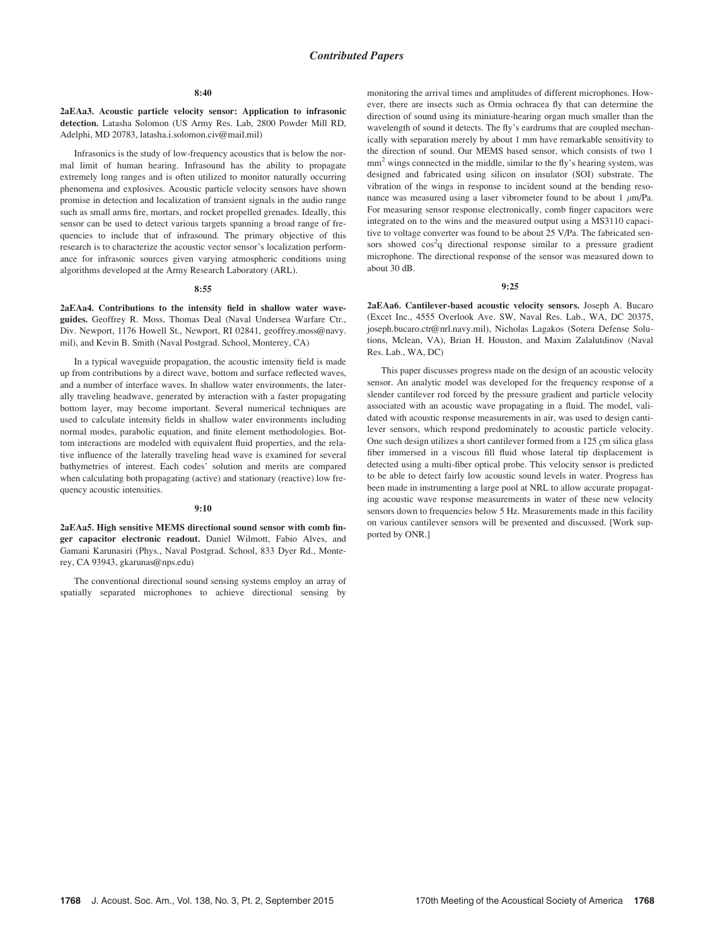#### 8:40

2aEAa3. Acoustic particle velocity sensor: Application to infrasonic detection. Latasha Solomon (US Army Res. Lab, 2800 Powder Mill RD, Adelphi, MD 20783, latasha.i.solomon.civ@mail.mil)

Infrasonics is the study of low-frequency acoustics that is below the normal limit of human hearing. Infrasound has the ability to propagate extremely long ranges and is often utilized to monitor naturally occurring phenomena and explosives. Acoustic particle velocity sensors have shown promise in detection and localization of transient signals in the audio range such as small arms fire, mortars, and rocket propelled grenades. Ideally, this sensor can be used to detect various targets spanning a broad range of frequencies to include that of infrasound. The primary objective of this research is to characterize the acoustic vector sensor's localization performance for infrasonic sources given varying atmospheric conditions using algorithms developed at the Army Research Laboratory (ARL).

#### 8:55

2aEAa4. Contributions to the intensity field in shallow water waveguides. Geoffrey R. Moss, Thomas Deal (Naval Undersea Warfare Ctr., Div. Newport, 1176 Howell St., Newport, RI 02841, geoffrey.moss@navy. mil), and Kevin B. Smith (Naval Postgrad. School, Monterey, CA)

In a typical waveguide propagation, the acoustic intensity field is made up from contributions by a direct wave, bottom and surface reflected waves, and a number of interface waves. In shallow water environments, the laterally traveling headwave, generated by interaction with a faster propagating bottom layer, may become important. Several numerical techniques are used to calculate intensity fields in shallow water environments including normal modes, parabolic equation, and finite element methodologies. Bottom interactions are modeled with equivalent fluid properties, and the relative influence of the laterally traveling head wave is examined for several bathymetries of interest. Each codes' solution and merits are compared when calculating both propagating (active) and stationary (reactive) low frequency acoustic intensities.

#### 9:10

2aEAa5. High sensitive MEMS directional sound sensor with comb finger capacitor electronic readout. Daniel Wilmott, Fabio Alves, and Gamani Karunasiri (Phys., Naval Postgrad. School, 833 Dyer Rd., Monterey, CA 93943, gkarunas@nps.edu)

The conventional directional sound sensing systems employ an array of spatially separated microphones to achieve directional sensing by monitoring the arrival times and amplitudes of different microphones. However, there are insects such as Ormia ochracea fly that can determine the direction of sound using its miniature-hearing organ much smaller than the wavelength of sound it detects. The fly's eardrums that are coupled mechanically with separation merely by about 1 mm have remarkable sensitivity to the direction of sound. Our MEMS based sensor, which consists of two 1 mm<sup>2</sup> wings connected in the middle, similar to the fly's hearing system, was designed and fabricated using silicon on insulator (SOI) substrate. The vibration of the wings in response to incident sound at the bending resonance was measured using a laser vibrometer found to be about 1  $\mu$ m/Pa. For measuring sensor response electronically, comb finger capacitors were integrated on to the wins and the measured output using a MS3110 capacitive to voltage converter was found to be about 25 V/Pa. The fabricated sensors showed  $cos^2 q$  directional response similar to a pressure gradient microphone. The directional response of the sensor was measured down to about 30 dB.

#### 9:25

2aEAa6. Cantilever-based acoustic velocity sensors. Joseph A. Bucaro (Excet Inc., 4555 Overlook Ave. SW, Naval Res. Lab., WA, DC 20375, joseph.bucaro.ctr@nrl.navy.mil), Nicholas Lagakos (Sotera Defense Solutions, Mclean, VA), Brian H. Houston, and Maxim Zalalutdinov (Naval Res. Lab., WA, DC)

This paper discusses progress made on the design of an acoustic velocity sensor. An analytic model was developed for the frequency response of a slender cantilever rod forced by the pressure gradient and particle velocity associated with an acoustic wave propagating in a fluid. The model, validated with acoustic response measurements in air, was used to design cantilever sensors, which respond predominately to acoustic particle velocity. One such design utilizes a short cantilever formed from a  $125$   $\rm cm$  silica glass fiber immersed in a viscous fill fluid whose lateral tip displacement is detected using a multi-fiber optical probe. This velocity sensor is predicted to be able to detect fairly low acoustic sound levels in water. Progress has been made in instrumenting a large pool at NRL to allow accurate propagating acoustic wave response measurements in water of these new velocity sensors down to frequencies below 5 Hz. Measurements made in this facility on various cantilever sensors will be presented and discussed. [Work supported by ONR.]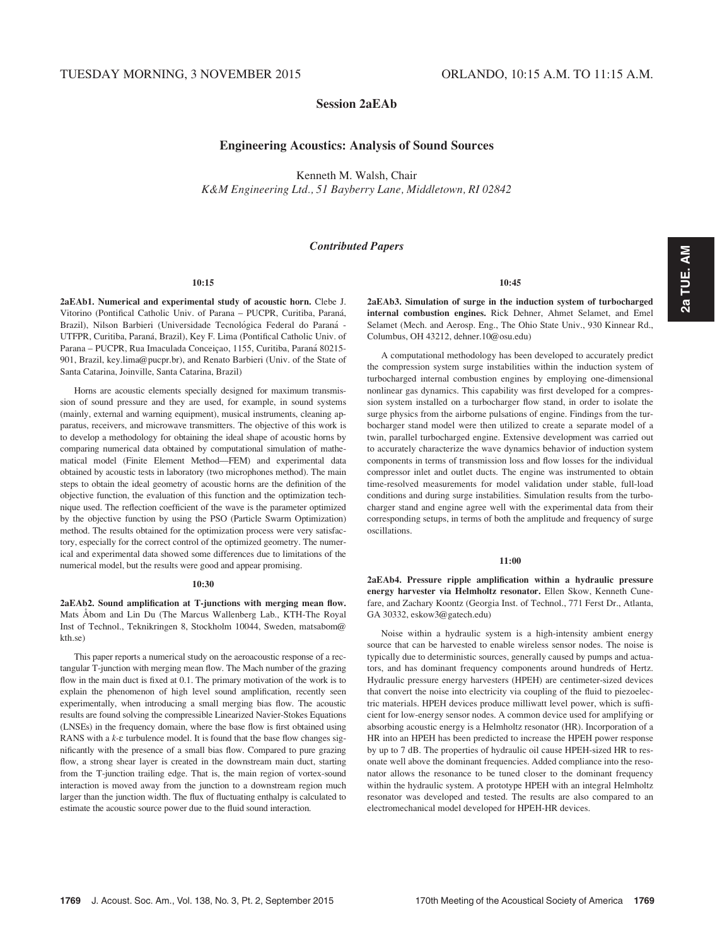# Session 2aEAb

# Engineering Acoustics: Analysis of Sound Sources

Kenneth M. Walsh, Chair

K&M Engineering Ltd., 51 Bayberry Lane, Middletown, RI 02842

# Contributed Papers

# 10:15

2aEAb1. Numerical and experimental study of acoustic horn. Clebe J. Vitorino (Pontifical Catholic Univ. of Parana - PUCPR, Curitiba, Paraná, Brazil), Nilson Barbieri (Universidade Tecnológica Federal do Paraná -UTFPR, Curitiba, Paraná, Brazil), Key F. Lima (Pontifical Catholic Univ. of Parana - PUCPR, Rua Imaculada Conceiçao, 1155, Curitiba, Paraná 80215-901, Brazil, key.lima@pucpr.br), and Renato Barbieri (Univ. of the State of Santa Catarina, Joinville, Santa Catarina, Brazil)

Horns are acoustic elements specially designed for maximum transmission of sound pressure and they are used, for example, in sound systems (mainly, external and warning equipment), musical instruments, cleaning apparatus, receivers, and microwave transmitters. The objective of this work is to develop a methodology for obtaining the ideal shape of acoustic horns by comparing numerical data obtained by computational simulation of mathematical model (Finite Element Method—FEM) and experimental data obtained by acoustic tests in laboratory (two microphones method). The main steps to obtain the ideal geometry of acoustic horns are the definition of the objective function, the evaluation of this function and the optimization technique used. The reflection coefficient of the wave is the parameter optimized by the objective function by using the PSO (Particle Swarm Optimization) method. The results obtained for the optimization process were very satisfactory, especially for the correct control of the optimized geometry. The numerical and experimental data showed some differences due to limitations of the numerical model, but the results were good and appear promising.

#### 10:30

2aEAb2. Sound amplification at T-junctions with merging mean flow. Mats Abom and Lin Du (The Marcus Wallenberg Lab., KTH-The Royal Inst of Technol., Teknikringen 8, Stockholm 10044, Sweden, matsabom@ kth.se)

This paper reports a numerical study on the aeroacoustic response of a rectangular T-junction with merging mean flow. The Mach number of the grazing flow in the main duct is fixed at 0.1. The primary motivation of the work is to explain the phenomenon of high level sound amplification, recently seen experimentally, when introducing a small merging bias flow. The acoustic results are found solving the compressible Linearized Navier-Stokes Equations (LNSEs) in the frequency domain, where the base flow is first obtained using RANS with a  $k$ - $\varepsilon$  turbulence model. It is found that the base flow changes significantly with the presence of a small bias flow. Compared to pure grazing flow, a strong shear layer is created in the downstream main duct, starting from the T-junction trailing edge. That is, the main region of vortex-sound interaction is moved away from the junction to a downstream region much larger than the junction width. The flux of fluctuating enthalpy is calculated to estimate the acoustic source power due to the fluid sound interaction.

#### 10:45

2aEAb3. Simulation of surge in the induction system of turbocharged internal combustion engines. Rick Dehner, Ahmet Selamet, and Emel Selamet (Mech. and Aerosp. Eng., The Ohio State Univ., 930 Kinnear Rd., Columbus, OH 43212, dehner.10@osu.edu)

A computational methodology has been developed to accurately predict the compression system surge instabilities within the induction system of turbocharged internal combustion engines by employing one-dimensional nonlinear gas dynamics. This capability was first developed for a compression system installed on a turbocharger flow stand, in order to isolate the surge physics from the airborne pulsations of engine. Findings from the turbocharger stand model were then utilized to create a separate model of a twin, parallel turbocharged engine. Extensive development was carried out to accurately characterize the wave dynamics behavior of induction system components in terms of transmission loss and flow losses for the individual compressor inlet and outlet ducts. The engine was instrumented to obtain time-resolved measurements for model validation under stable, full-load conditions and during surge instabilities. Simulation results from the turbocharger stand and engine agree well with the experimental data from their corresponding setups, in terms of both the amplitude and frequency of surge oscillations.

#### 11:00

2aEAb4. Pressure ripple amplification within a hydraulic pressure energy harvester via Helmholtz resonator. Ellen Skow, Kenneth Cunefare, and Zachary Koontz (Georgia Inst. of Technol., 771 Ferst Dr., Atlanta, GA 30332, eskow3@gatech.edu)

Noise within a hydraulic system is a high-intensity ambient energy source that can be harvested to enable wireless sensor nodes. The noise is typically due to deterministic sources, generally caused by pumps and actuators, and has dominant frequency components around hundreds of Hertz. Hydraulic pressure energy harvesters (HPEH) are centimeter-sized devices that convert the noise into electricity via coupling of the fluid to piezoelectric materials. HPEH devices produce milliwatt level power, which is sufficient for low-energy sensor nodes. A common device used for amplifying or absorbing acoustic energy is a Helmholtz resonator (HR). Incorporation of a HR into an HPEH has been predicted to increase the HPEH power response by up to 7 dB. The properties of hydraulic oil cause HPEH-sized HR to resonate well above the dominant frequencies. Added compliance into the resonator allows the resonance to be tuned closer to the dominant frequency within the hydraulic system. A prototype HPEH with an integral Helmholtz resonator was developed and tested. The results are also compared to an electromechanical model developed for HPEH-HR devices.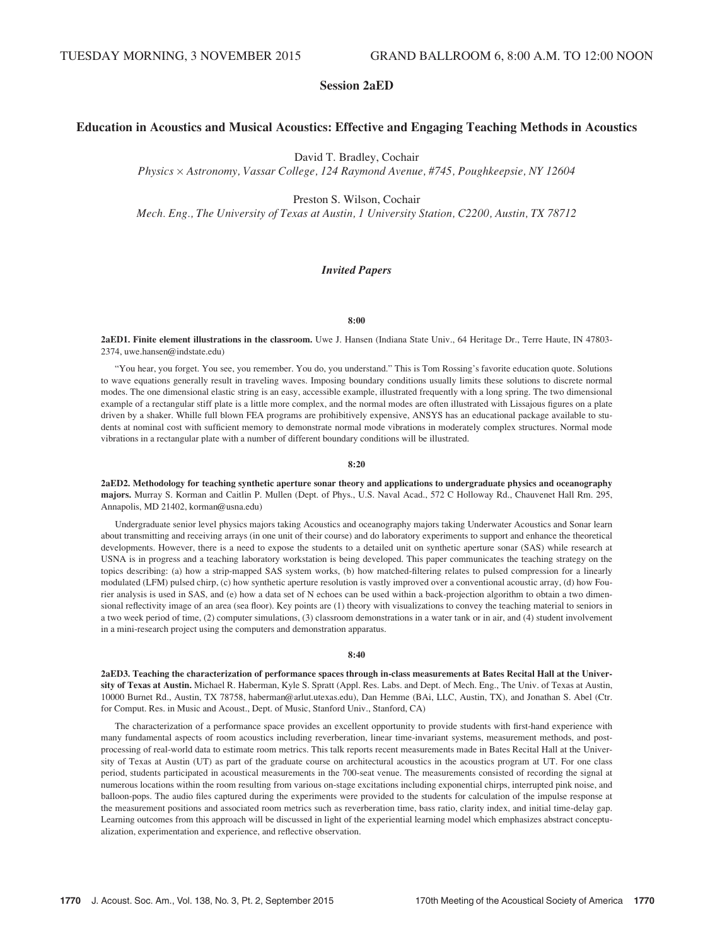# Session 2aED

# Education in Acoustics and Musical Acoustics: Effective and Engaging Teaching Methods in Acoustics

David T. Bradley, Cochair

Physics Astronomy, Vassar College, 124 Raymond Avenue, #745, Poughkeepsie, NY 12604

Preston S. Wilson, Cochair

Mech. Eng., The University of Texas at Austin, 1 University Station, C2200, Austin, TX 78712

## Invited Papers

#### 8:00

2aED1. Finite element illustrations in the classroom. Uwe J. Hansen (Indiana State Univ., 64 Heritage Dr., Terre Haute, IN 47803- 2374, uwe.hansen@indstate.edu)

"You hear, you forget. You see, you remember. You do, you understand." This is Tom Rossing's favorite education quote. Solutions to wave equations generally result in traveling waves. Imposing boundary conditions usually limits these solutions to discrete normal modes. The one dimensional elastic string is an easy, accessible example, illustrated frequently with a long spring. The two dimensional example of a rectangular stiff plate is a little more complex, and the normal modes are often illustrated with Lissajous figures on a plate driven by a shaker. Whille full blown FEA programs are prohibitively expensive, ANSYS has an educational package available to students at nominal cost with sufficient memory to demonstrate normal mode vibrations in moderately complex structures. Normal mode vibrations in a rectangular plate with a number of different boundary conditions will be illustrated.

#### 8:20

2aED2. Methodology for teaching synthetic aperture sonar theory and applications to undergraduate physics and oceanography majors. Murray S. Korman and Caitlin P. Mullen (Dept. of Phys., U.S. Naval Acad., 572 C Holloway Rd., Chauvenet Hall Rm. 295, Annapolis, MD 21402, korman@usna.edu)

Undergraduate senior level physics majors taking Acoustics and oceanography majors taking Underwater Acoustics and Sonar learn about transmitting and receiving arrays (in one unit of their course) and do laboratory experiments to support and enhance the theoretical developments. However, there is a need to expose the students to a detailed unit on synthetic aperture sonar (SAS) while research at USNA is in progress and a teaching laboratory workstation is being developed. This paper communicates the teaching strategy on the topics describing: (a) how a strip-mapped SAS system works, (b) how matched-filtering relates to pulsed compression for a linearly modulated (LFM) pulsed chirp, (c) how synthetic aperture resolution is vastly improved over a conventional acoustic array, (d) how Fourier analysis is used in SAS, and (e) how a data set of N echoes can be used within a back-projection algorithm to obtain a two dimensional reflectivity image of an area (sea floor). Key points are (1) theory with visualizations to convey the teaching material to seniors in a two week period of time, (2) computer simulations, (3) classroom demonstrations in a water tank or in air, and (4) student involvement in a mini-research project using the computers and demonstration apparatus.

#### 8:40

2aED3. Teaching the characterization of performance spaces through in-class measurements at Bates Recital Hall at the University of Texas at Austin. Michael R. Haberman, Kyle S. Spratt (Appl. Res. Labs. and Dept. of Mech. Eng., The Univ. of Texas at Austin, 10000 Burnet Rd., Austin, TX 78758, haberman@arlut.utexas.edu), Dan Hemme (BAi, LLC, Austin, TX), and Jonathan S. Abel (Ctr. for Comput. Res. in Music and Acoust., Dept. of Music, Stanford Univ., Stanford, CA)

The characterization of a performance space provides an excellent opportunity to provide students with first-hand experience with many fundamental aspects of room acoustics including reverberation, linear time-invariant systems, measurement methods, and postprocessing of real-world data to estimate room metrics. This talk reports recent measurements made in Bates Recital Hall at the University of Texas at Austin (UT) as part of the graduate course on architectural acoustics in the acoustics program at UT. For one class period, students participated in acoustical measurements in the 700-seat venue. The measurements consisted of recording the signal at numerous locations within the room resulting from various on-stage excitations including exponential chirps, interrupted pink noise, and balloon-pops. The audio files captured during the experiments were provided to the students for calculation of the impulse response at the measurement positions and associated room metrics such as reverberation time, bass ratio, clarity index, and initial time-delay gap. Learning outcomes from this approach will be discussed in light of the experiential learning model which emphasizes abstract conceptualization, experimentation and experience, and reflective observation.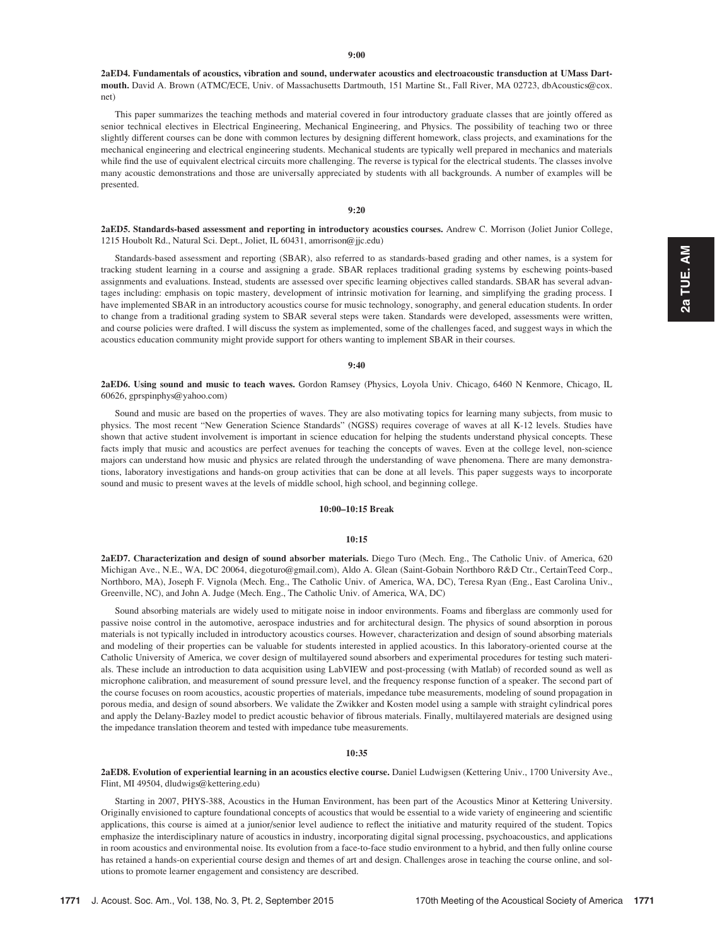2aED4. Fundamentals of acoustics, vibration and sound, underwater acoustics and electroacoustic transduction at UMass Dartmouth. David A. Brown (ATMC/ECE, Univ. of Massachusetts Dartmouth, 151 Martine St., Fall River, MA 02723, dbAcoustics@cox. net)

This paper summarizes the teaching methods and material covered in four introductory graduate classes that are jointly offered as senior technical electives in Electrical Engineering, Mechanical Engineering, and Physics. The possibility of teaching two or three slightly different courses can be done with common lectures by designing different homework, class projects, and examinations for the mechanical engineering and electrical engineering students. Mechanical students are typically well prepared in mechanics and materials while find the use of equivalent electrical circuits more challenging. The reverse is typical for the electrical students. The classes involve many acoustic demonstrations and those are universally appreciated by students with all backgrounds. A number of examples will be presented.

## 9:20

2aED5. Standards-based assessment and reporting in introductory acoustics courses. Andrew C. Morrison (Joliet Junior College, 1215 Houbolt Rd., Natural Sci. Dept., Joliet, IL 60431, amorrison@jjc.edu)

Standards-based assessment and reporting (SBAR), also referred to as standards-based grading and other names, is a system for tracking student learning in a course and assigning a grade. SBAR replaces traditional grading systems by eschewing points-based assignments and evaluations. Instead, students are assessed over specific learning objectives called standards. SBAR has several advantages including: emphasis on topic mastery, development of intrinsic motivation for learning, and simplifying the grading process. I have implemented SBAR in an introductory acoustics course for music technology, sonography, and general education students. In order to change from a traditional grading system to SBAR several steps were taken. Standards were developed, assessments were written, and course policies were drafted. I will discuss the system as implemented, some of the challenges faced, and suggest ways in which the acoustics education community might provide support for others wanting to implement SBAR in their courses.

#### 9:40

2aED6. Using sound and music to teach waves. Gordon Ramsey (Physics, Loyola Univ. Chicago, 6460 N Kenmore, Chicago, IL 60626, gprspinphys@yahoo.com)

Sound and music are based on the properties of waves. They are also motivating topics for learning many subjects, from music to physics. The most recent "New Generation Science Standards" (NGSS) requires coverage of waves at all K-12 levels. Studies have shown that active student involvement is important in science education for helping the students understand physical concepts. These facts imply that music and acoustics are perfect avenues for teaching the concepts of waves. Even at the college level, non-science majors can understand how music and physics are related through the understanding of wave phenomena. There are many demonstrations, laboratory investigations and hands-on group activities that can be done at all levels. This paper suggests ways to incorporate sound and music to present waves at the levels of middle school, high school, and beginning college.

## 10:00–10:15 Break

## 10:15

2aED7. Characterization and design of sound absorber materials. Diego Turo (Mech. Eng., The Catholic Univ. of America, 620 Michigan Ave., N.E., WA, DC 20064, diegoturo@gmail.com), Aldo A. Glean (Saint-Gobain Northboro R&D Ctr., CertainTeed Corp., Northboro, MA), Joseph F. Vignola (Mech. Eng., The Catholic Univ. of America, WA, DC), Teresa Ryan (Eng., East Carolina Univ., Greenville, NC), and John A. Judge (Mech. Eng., The Catholic Univ. of America, WA, DC)

Sound absorbing materials are widely used to mitigate noise in indoor environments. Foams and fiberglass are commonly used for passive noise control in the automotive, aerospace industries and for architectural design. The physics of sound absorption in porous materials is not typically included in introductory acoustics courses. However, characterization and design of sound absorbing materials and modeling of their properties can be valuable for students interested in applied acoustics. In this laboratory-oriented course at the Catholic University of America, we cover design of multilayered sound absorbers and experimental procedures for testing such materials. These include an introduction to data acquisition using LabVIEW and post-processing (with Matlab) of recorded sound as well as microphone calibration, and measurement of sound pressure level, and the frequency response function of a speaker. The second part of the course focuses on room acoustics, acoustic properties of materials, impedance tube measurements, modeling of sound propagation in porous media, and design of sound absorbers. We validate the Zwikker and Kosten model using a sample with straight cylindrical pores and apply the Delany-Bazley model to predict acoustic behavior of fibrous materials. Finally, multilayered materials are designed using the impedance translation theorem and tested with impedance tube measurements.

#### 10:35

2aED8. Evolution of experiential learning in an acoustics elective course. Daniel Ludwigsen (Kettering Univ., 1700 University Ave., Flint, MI 49504, dludwigs@kettering.edu)

Starting in 2007, PHYS-388, Acoustics in the Human Environment, has been part of the Acoustics Minor at Kettering University. Originally envisioned to capture foundational concepts of acoustics that would be essential to a wide variety of engineering and scientific applications, this course is aimed at a junior/senior level audience to reflect the initiative and maturity required of the student. Topics emphasize the interdisciplinary nature of acoustics in industry, incorporating digital signal processing, psychoacoustics, and applications in room acoustics and environmental noise. Its evolution from a face-to-face studio environment to a hybrid, and then fully online course has retained a hands-on experiential course design and themes of art and design. Challenges arose in teaching the course online, and solutions to promote learner engagement and consistency are described.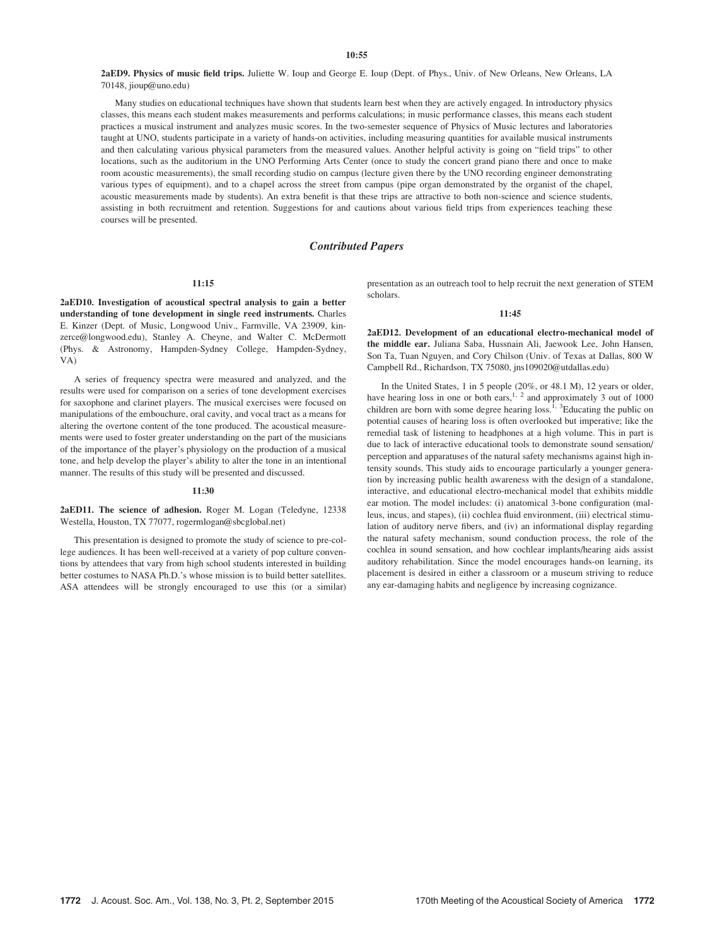## $10:55$

2aED9. Physics of music field trips. Juliette W. Ioup and George E. Ioup (Dept. of Phys., Univ. of New Orleans, New Orleans, LA 70148, jioup@uno.edu)

Many studies on educational techniques have shown that students learn best when they are actively engaged. In introductory physics classes, this means each student makes measurements and performs calculations; in music performance classes, this means each student practices a musical instrument and analyzes music scores. In the two-semester sequence of Physics of Music lectures and laboratories taught at UNO, students participate in a variety of hands-on activities, including measuring quantities for available musical instruments and then calculating various physical parameters from the measured values. Another helpful activity is going on "field trips" to other locations, such as the auditorium in the UNO Performing Arts Center (once to study the concert grand piano there and once to make room acoustic measurements), the small recording studio on campus (lecture given there by the UNO recording engineer demonstrating various types of equipment), and to a chapel across the street from campus (pipe organ demonstrated by the organist of the chapel, acoustic measurements made by students). An extra benefit is that these trips are attractive to both non-science and science students, assisting in both recruitment and retention. Suggestions for and cautions about various field trips from experiences teaching these courses will be presented.

# Contributed Papers

## 11:15

2aED10. Investigation of acoustical spectral analysis to gain a better understanding of tone development in single reed instruments. Charles E. Kinzer (Dept. of Music, Longwood Univ., Farmville, VA 23909, kinzerce@longwood.edu), Stanley A. Cheyne, and Walter C. McDermott (Phys. & Astronomy, Hampden-Sydney College, Hampden-Sydney, VA)

A series of frequency spectra were measured and analyzed, and the results were used for comparison on a series of tone development exercises for saxophone and clarinet players. The musical exercises were focused on manipulations of the embouchure, oral cavity, and vocal tract as a means for altering the overtone content of the tone produced. The acoustical measurements were used to foster greater understanding on the part of the musicians of the importance of the player's physiology on the production of a musical tone, and help develop the player's ability to alter the tone in an intentional manner. The results of this study will be presented and discussed.

#### 11:30

2aED11. The science of adhesion. Roger M. Logan (Teledyne, 12338 Westella, Houston, TX 77077, rogermlogan@sbcglobal.net)

This presentation is designed to promote the study of science to pre-college audiences. It has been well-received at a variety of pop culture conventions by attendees that vary from high school students interested in building better costumes to NASA Ph.D.'s whose mission is to build better satellites. ASA attendees will be strongly encouraged to use this (or a similar) presentation as an outreach tool to help recruit the next generation of STEM scholars.

#### $11.45$

2aED12. Development of an educational electro-mechanical model of the middle ear. Juliana Saba, Hussnain Ali, Jaewook Lee, John Hansen, Son Ta, Tuan Nguyen, and Cory Chilson (Univ. of Texas at Dallas, 800 W Campbell Rd., Richardson, TX 75080, jns109020@utdallas.edu)

In the United States, 1 in 5 people (20%, or 48.1 M), 12 years or older, have hearing loss in one or both ears,  $1, 2$  and approximately 3 out of 1000 children are born with some degree hearing loss.<sup>1, 3</sup>Educating the public on potential causes of hearing loss is often overlooked but imperative; like the remedial task of listening to headphones at a high volume. This in part is due to lack of interactive educational tools to demonstrate sound sensation/ perception and apparatuses of the natural safety mechanisms against high intensity sounds. This study aids to encourage particularly a younger generation by increasing public health awareness with the design of a standalone, interactive, and educational electro-mechanical model that exhibits middle ear motion. The model includes: (i) anatomical 3-bone configuration (malleus, incus, and stapes), (ii) cochlea fluid environment, (iii) electrical stimulation of auditory nerve fibers, and (iv) an informational display regarding the natural safety mechanism, sound conduction process, the role of the cochlea in sound sensation, and how cochlear implants/hearing aids assist auditory rehabilitation. Since the model encourages hands-on learning, its placement is desired in either a classroom or a museum striving to reduce any ear-damaging habits and negligence by increasing cognizance.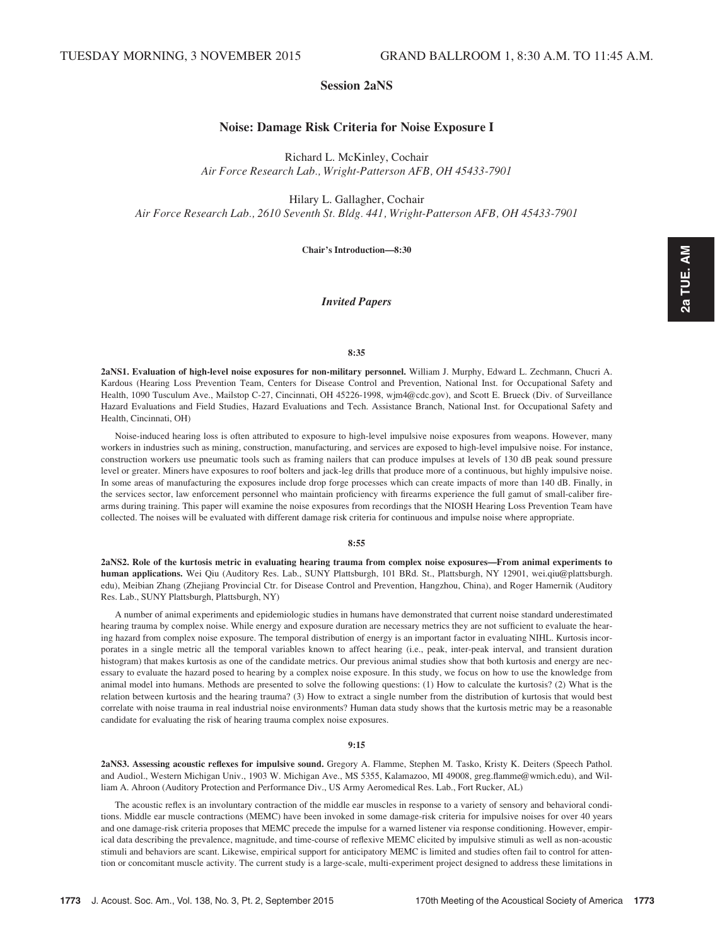# Session 2aNS

# Noise: Damage Risk Criteria for Noise Exposure I

Richard L. McKinley, Cochair Air Force Research Lab., Wright-Patterson AFB, OH 45433-7901

Hilary L. Gallagher, Cochair Air Force Research Lab., 2610 Seventh St. Bldg. 441, Wright-Patterson AFB, OH 45433-7901

Chair's Introduction—8:30

# Invited Papers

### 8:35

2aNS1. Evaluation of high-level noise exposures for non-military personnel. William J. Murphy, Edward L. Zechmann, Chucri A. Kardous (Hearing Loss Prevention Team, Centers for Disease Control and Prevention, National Inst. for Occupational Safety and Health, 1090 Tusculum Ave., Mailstop C-27, Cincinnati, OH 45226-1998, wjm4@cdc.gov), and Scott E. Brueck (Div. of Surveillance Hazard Evaluations and Field Studies, Hazard Evaluations and Tech. Assistance Branch, National Inst. for Occupational Safety and Health, Cincinnati, OH)

Noise-induced hearing loss is often attributed to exposure to high-level impulsive noise exposures from weapons. However, many workers in industries such as mining, construction, manufacturing, and services are exposed to high-level impulsive noise. For instance, construction workers use pneumatic tools such as framing nailers that can produce impulses at levels of 130 dB peak sound pressure level or greater. Miners have exposures to roof bolters and jack-leg drills that produce more of a continuous, but highly impulsive noise. In some areas of manufacturing the exposures include drop forge processes which can create impacts of more than 140 dB. Finally, in the services sector, law enforcement personnel who maintain proficiency with firearms experience the full gamut of small-caliber firearms during training. This paper will examine the noise exposures from recordings that the NIOSH Hearing Loss Prevention Team have collected. The noises will be evaluated with different damage risk criteria for continuous and impulse noise where appropriate.

# 8:55

2aNS2. Role of the kurtosis metric in evaluating hearing trauma from complex noise exposures—From animal experiments to human applications. Wei Qiu (Auditory Res. Lab., SUNY Plattsburgh, 101 BRd. St., Plattsburgh, NY 12901, wei.qiu@plattsburgh. edu), Meibian Zhang (Zhejiang Provincial Ctr. for Disease Control and Prevention, Hangzhou, China), and Roger Hamernik (Auditory Res. Lab., SUNY Plattsburgh, Plattsburgh, NY)

A number of animal experiments and epidemiologic studies in humans have demonstrated that current noise standard underestimated hearing trauma by complex noise. While energy and exposure duration are necessary metrics they are not sufficient to evaluate the hearing hazard from complex noise exposure. The temporal distribution of energy is an important factor in evaluating NIHL. Kurtosis incorporates in a single metric all the temporal variables known to affect hearing (i.e., peak, inter-peak interval, and transient duration histogram) that makes kurtosis as one of the candidate metrics. Our previous animal studies show that both kurtosis and energy are necessary to evaluate the hazard posed to hearing by a complex noise exposure. In this study, we focus on how to use the knowledge from animal model into humans. Methods are presented to solve the following questions: (1) How to calculate the kurtosis? (2) What is the relation between kurtosis and the hearing trauma? (3) How to extract a single number from the distribution of kurtosis that would best correlate with noise trauma in real industrial noise environments? Human data study shows that the kurtosis metric may be a reasonable candidate for evaluating the risk of hearing trauma complex noise exposures.

#### 9:15

2aNS3. Assessing acoustic reflexes for impulsive sound. Gregory A. Flamme, Stephen M. Tasko, Kristy K. Deiters (Speech Pathol. and Audiol., Western Michigan Univ., 1903 W. Michigan Ave., MS 5355, Kalamazoo, MI 49008, greg.flamme@wmich.edu), and William A. Ahroon (Auditory Protection and Performance Div., US Army Aeromedical Res. Lab., Fort Rucker, AL)

The acoustic reflex is an involuntary contraction of the middle ear muscles in response to a variety of sensory and behavioral conditions. Middle ear muscle contractions (MEMC) have been invoked in some damage-risk criteria for impulsive noises for over 40 years and one damage-risk criteria proposes that MEMC precede the impulse for a warned listener via response conditioning. However, empirical data describing the prevalence, magnitude, and time-course of reflexive MEMC elicited by impulsive stimuli as well as non-acoustic stimuli and behaviors are scant. Likewise, empirical support for anticipatory MEMC is limited and studies often fail to control for attention or concomitant muscle activity. The current study is a large-scale, multi-experiment project designed to address these limitations in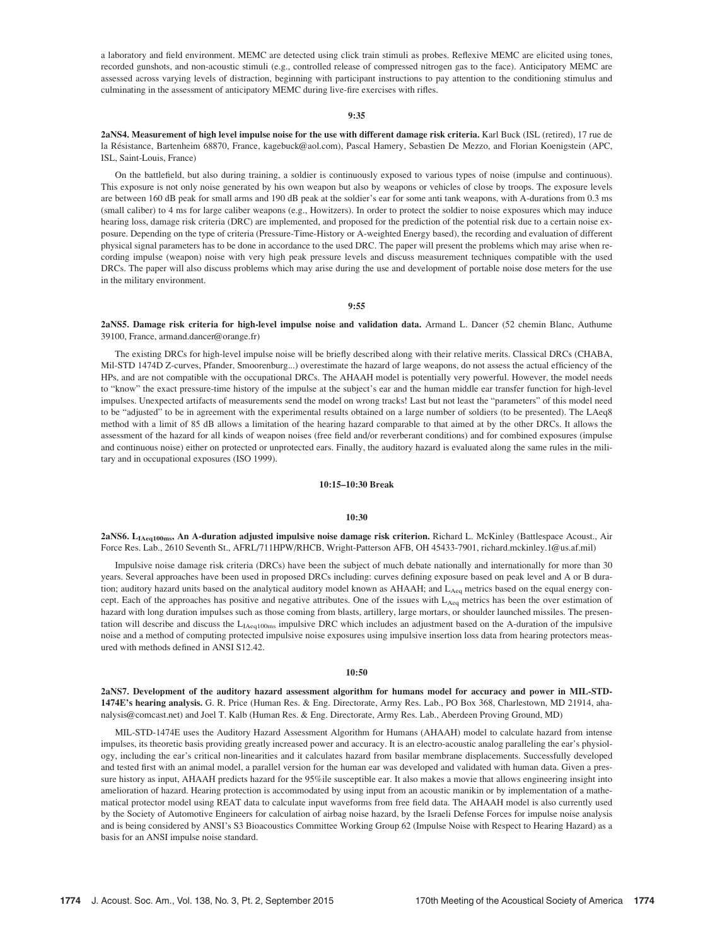a laboratory and field environment. MEMC are detected using click train stimuli as probes. Reflexive MEMC are elicited using tones, recorded gunshots, and non-acoustic stimuli (e.g., controlled release of compressed nitrogen gas to the face). Anticipatory MEMC are assessed across varying levels of distraction, beginning with participant instructions to pay attention to the conditioning stimulus and culminating in the assessment of anticipatory MEMC during live-fire exercises with rifles.

## 9:35

2aNS4. Measurement of high level impulse noise for the use with different damage risk criteria. Karl Buck (ISL (retired), 17 rue de la Résistance, Bartenheim 68870, France, kagebuck@aol.com), Pascal Hamery, Sebastien De Mezzo, and Florian Koenigstein (APC, ISL, Saint-Louis, France)

On the battlefield, but also during training, a soldier is continuously exposed to various types of noise (impulse and continuous). This exposure is not only noise generated by his own weapon but also by weapons or vehicles of close by troops. The exposure levels are between 160 dB peak for small arms and 190 dB peak at the soldier's ear for some anti tank weapons, with A-durations from 0.3 ms (small caliber) to 4 ms for large caliber weapons (e.g., Howitzers). In order to protect the soldier to noise exposures which may induce hearing loss, damage risk criteria (DRC) are implemented, and proposed for the prediction of the potential risk due to a certain noise exposure. Depending on the type of criteria (Pressure-Time-History or A-weighted Energy based), the recording and evaluation of different physical signal parameters has to be done in accordance to the used DRC. The paper will present the problems which may arise when recording impulse (weapon) noise with very high peak pressure levels and discuss measurement techniques compatible with the used DRCs. The paper will also discuss problems which may arise during the use and development of portable noise dose meters for the use in the military environment.

9:55

2aNS5. Damage risk criteria for high-level impulse noise and validation data. Armand L. Dancer (52 chemin Blanc, Authume 39100, France, armand.dancer@orange.fr)

The existing DRCs for high-level impulse noise will be briefly described along with their relative merits. Classical DRCs (CHABA, Mil-STD 1474D Z-curves, Pfander, Smoorenburg...) overestimate the hazard of large weapons, do not assess the actual efficiency of the HPs, and are not compatible with the occupational DRCs. The AHAAH model is potentially very powerful. However, the model needs to "know" the exact pressure-time history of the impulse at the subject's ear and the human middle ear transfer function for high-level impulses. Unexpected artifacts of measurements send the model on wrong tracks! Last but not least the "parameters" of this model need to be "adjusted" to be in agreement with the experimental results obtained on a large number of soldiers (to be presented). The LAeq8 method with a limit of 85 dB allows a limitation of the hearing hazard comparable to that aimed at by the other DRCs. It allows the assessment of the hazard for all kinds of weapon noises (free field and/or reverberant conditions) and for combined exposures (impulse and continuous noise) either on protected or unprotected ears. Finally, the auditory hazard is evaluated along the same rules in the military and in occupational exposures (ISO 1999).

## 10:15–10:30 Break

#### 10:30

2aNS6. L<sub>IAeq100ms</sub>, An A-duration adjusted impulsive noise damage risk criterion. Richard L. McKinley (Battlespace Acoust., Air Force Res. Lab., 2610 Seventh St., AFRL/711HPW/RHCB, Wright-Patterson AFB, OH 45433-7901, richard.mckinley.1@us.af.mil)

Impulsive noise damage risk criteria (DRCs) have been the subject of much debate nationally and internationally for more than 30 years. Several approaches have been used in proposed DRCs including: curves defining exposure based on peak level and A or B duration; auditory hazard units based on the analytical auditory model known as AHAAH; and L<sub>Aeq</sub> metrics based on the equal energy concept. Each of the approaches has positive and negative attributes. One of the issues with L<sub>Aeq</sub> metrics has been the over estimation of hazard with long duration impulses such as those coming from blasts, artillery, large mortars, or shoulder launched missiles. The presentation will describe and discuss the  $L_{I Aeq100ms}$  impulsive DRC which includes an adjustment based on the A-duration of the impulsive noise and a method of computing protected impulsive noise exposures using impulsive insertion loss data from hearing protectors measured with methods defined in ANSI S12.42.

## 10:50

2aNS7. Development of the auditory hazard assessment algorithm for humans model for accuracy and power in MIL-STD-1474E's hearing analysis. G. R. Price (Human Res. & Eng. Directorate, Army Res. Lab., PO Box 368, Charlestown, MD 21914, ahanalysis@comcast.net) and Joel T. Kalb (Human Res. & Eng. Directorate, Army Res. Lab., Aberdeen Proving Ground, MD)

MIL-STD-1474E uses the Auditory Hazard Assessment Algorithm for Humans (AHAAH) model to calculate hazard from intense impulses, its theoretic basis providing greatly increased power and accuracy. It is an electro-acoustic analog paralleling the ear's physiology, including the ear's critical non-linearities and it calculates hazard from basilar membrane displacements. Successfully developed and tested first with an animal model, a parallel version for the human ear was developed and validated with human data. Given a pressure history as input, AHAAH predicts hazard for the 95%ile susceptible ear. It also makes a movie that allows engineering insight into amelioration of hazard. Hearing protection is accommodated by using input from an acoustic manikin or by implementation of a mathematical protector model using REAT data to calculate input waveforms from free field data. The AHAAH model is also currently used by the Society of Automotive Engineers for calculation of airbag noise hazard, by the Israeli Defense Forces for impulse noise analysis and is being considered by ANSI's S3 Bioacoustics Committee Working Group 62 (Impulse Noise with Respect to Hearing Hazard) as a basis for an ANSI impulse noise standard.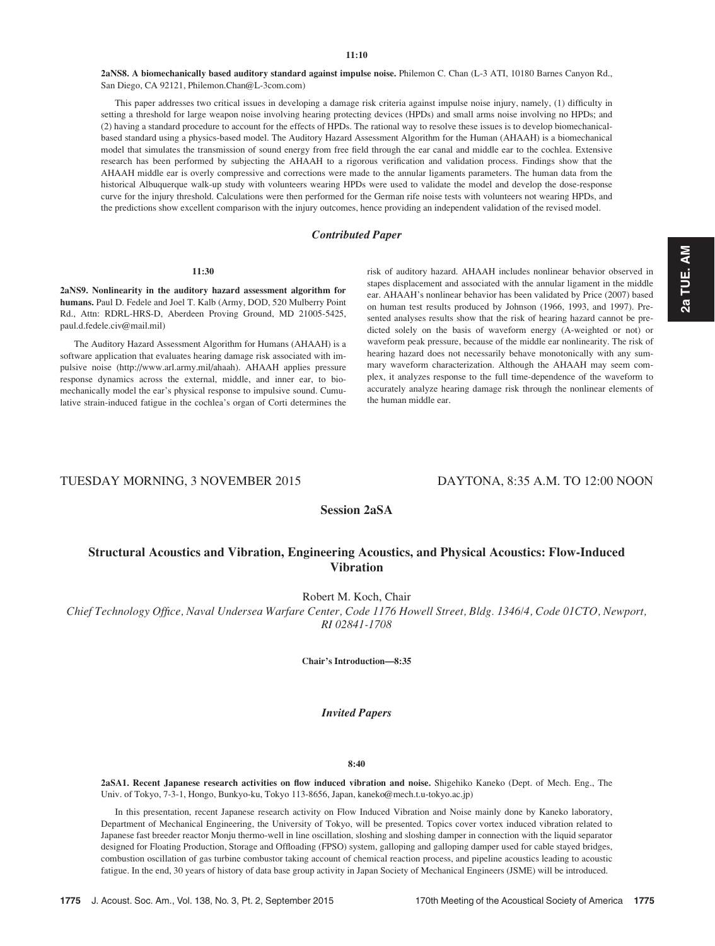# 11:10

2aNS8. A biomechanically based auditory standard against impulse noise. Philemon C. Chan (L-3 ATI, 10180 Barnes Canyon Rd., San Diego, CA 92121, Philemon.Chan@L-3com.com)

This paper addresses two critical issues in developing a damage risk criteria against impulse noise injury, namely, (1) difficulty in setting a threshold for large weapon noise involving hearing protecting devices (HPDs) and small arms noise involving no HPDs; and (2) having a standard procedure to account for the effects of HPDs. The rational way to resolve these issues is to develop biomechanicalbased standard using a physics-based model. The Auditory Hazard Assessment Algorithm for the Human (AHAAH) is a biomechanical model that simulates the transmission of sound energy from free field through the ear canal and middle ear to the cochlea. Extensive research has been performed by subjecting the AHAAH to a rigorous verification and validation process. Findings show that the AHAAH middle ear is overly compressive and corrections were made to the annular ligaments parameters. The human data from the historical Albuquerque walk-up study with volunteers wearing HPDs were used to validate the model and develop the dose-response curve for the injury threshold. Calculations were then performed for the German rife noise tests with volunteers not wearing HPDs, and the predictions show excellent comparison with the injury outcomes, hence providing an independent validation of the revised model.

# Contributed Paper

#### 11:30

2aNS9. Nonlinearity in the auditory hazard assessment algorithm for humans. Paul D. Fedele and Joel T. Kalb (Army, DOD, 520 Mulberry Point Rd., Attn: RDRL-HRS-D, Aberdeen Proving Ground, MD 21005-5425, paul.d.fedele.civ@mail.mil)

The Auditory Hazard Assessment Algorithm for Humans (AHAAH) is a software application that evaluates hearing damage risk associated with impulsive noise (http://www.arl.army.mil/ahaah). AHAAH applies pressure response dynamics across the external, middle, and inner ear, to biomechanically model the ear's physical response to impulsive sound. Cumulative strain-induced fatigue in the cochlea's organ of Corti determines the risk of auditory hazard. AHAAH includes nonlinear behavior observed in stapes displacement and associated with the annular ligament in the middle ear. AHAAH's nonlinear behavior has been validated by Price (2007) based on human test results produced by Johnson (1966, 1993, and 1997). Presented analyses results show that the risk of hearing hazard cannot be predicted solely on the basis of waveform energy (A-weighted or not) or waveform peak pressure, because of the middle ear nonlinearity. The risk of hearing hazard does not necessarily behave monotonically with any summary waveform characterization. Although the AHAAH may seem complex, it analyzes response to the full time-dependence of the waveform to accurately analyze hearing damage risk through the nonlinear elements of the human middle ear.

# TUESDAY MORNING, 3 NOVEMBER 2015 DAYTONA, 8:35 A.M. TO 12:00 NOON

# Session 2aSA

# Structural Acoustics and Vibration, Engineering Acoustics, and Physical Acoustics: Flow-Induced Vibration

Robert M. Koch, Chair

Chief Technology Office, Naval Undersea Warfare Center, Code 1176 Howell Street, Bldg. 1346/4, Code 01CTO, Newport, RI 02841-1708

Chair's Introduction—8:35

# Invited Papers

# 8:40

2aSA1. Recent Japanese research activities on flow induced vibration and noise. Shigehiko Kaneko (Dept. of Mech. Eng., The Univ. of Tokyo, 7-3-1, Hongo, Bunkyo-ku, Tokyo 113-8656, Japan, kaneko@mech.t.u-tokyo.ac.jp)

In this presentation, recent Japanese research activity on Flow Induced Vibration and Noise mainly done by Kaneko laboratory, Department of Mechanical Engineering, the University of Tokyo, will be presented. Topics cover vortex induced vibration related to Japanese fast breeder reactor Monju thermo-well in line oscillation, sloshing and sloshing damper in connection with the liquid separator designed for Floating Production, Storage and Offloading (FPSO) system, galloping and galloping damper used for cable stayed bridges, combustion oscillation of gas turbine combustor taking account of chemical reaction process, and pipeline acoustics leading to acoustic fatigue. In the end, 30 years of history of data base group activity in Japan Society of Mechanical Engineers (JSME) will be introduced.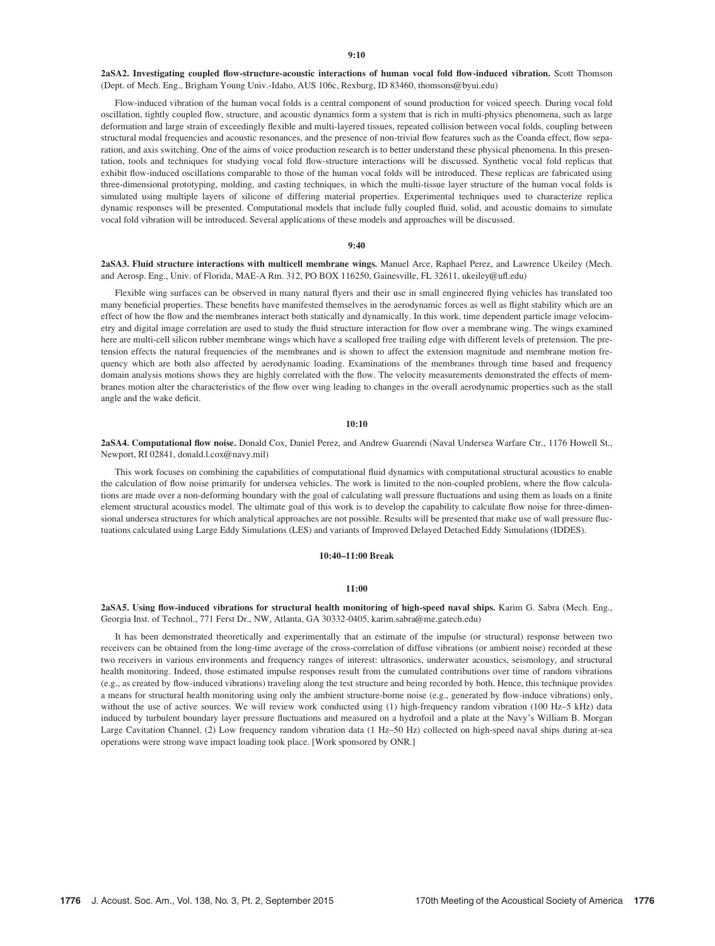2aSA2. Investigating coupled flow-structure-acoustic interactions of human vocal fold flow-induced vibration. Scott Thomson (Dept. of Mech. Eng., Brigham Young Univ.-Idaho, AUS 106c, Rexburg, ID 83460, thomsons@byui.edu)

Flow-induced vibration of the human vocal folds is a central component of sound production for voiced speech. During vocal fold oscillation, tightly coupled flow, structure, and acoustic dynamics form a system that is rich in multi-physics phenomena, such as large deformation and large strain of exceedingly flexible and multi-layered tissues, repeated collision between vocal folds, coupling between structural modal frequencies and acoustic resonances, and the presence of non-trivial flow features such as the Coanda effect, flow separation, and axis switching. One of the aims of voice production research is to better understand these physical phenomena. In this presentation, tools and techniques for studying vocal fold flow-structure interactions will be discussed. Synthetic vocal fold replicas that exhibit flow-induced oscillations comparable to those of the human vocal folds will be introduced. These replicas are fabricated using three-dimensional prototyping, molding, and casting techniques, in which the multi-tissue layer structure of the human vocal folds is simulated using multiple layers of silicone of differing material properties. Experimental techniques used to characterize replica dynamic responses will be presented. Computational models that include fully coupled fluid, solid, and acoustic domains to simulate vocal fold vibration will be introduced. Several applications of these models and approaches will be discussed.

#### 9:40

# 2aSA3. Fluid structure interactions with multicell membrane wings. Manuel Arce, Raphael Perez, and Lawrence Ukeiley (Mech. and Aerosp. Eng., Univ. of Florida, MAE-A Rm. 312, PO BOX 116250, Gainesville, FL 32611, ukeiley@ufl.edu)

Flexible wing surfaces can be observed in many natural flyers and their use in small engineered flying vehicles has translated too many beneficial properties. These benefits have manifested themselves in the aerodynamic forces as well as flight stability which are an effect of how the flow and the membranes interact both statically and dynamically. In this work, time dependent particle image velocimetry and digital image correlation are used to study the fluid structure interaction for flow over a membrane wing. The wings examined here are multi-cell silicon rubber membrane wings which have a scalloped free trailing edge with different levels of pretension. The pretension effects the natural frequencies of the membranes and is shown to affect the extension magnitude and membrane motion frequency which are both also affected by aerodynamic loading. Examinations of the membranes through time based and frequency domain analysis motions shows they are highly correlated with the flow. The velocity measurements demonstrated the effects of membranes motion alter the characteristics of the flow over wing leading to changes in the overall aerodynamic properties such as the stall angle and the wake deficit.

### 10:10

2aSA4. Computational flow noise. Donald Cox, Daniel Perez, and Andrew Guarendi (Naval Undersea Warfare Ctr., 1176 Howell St., Newport, RI 02841, donald.l.cox@navy.mil)

This work focuses on combining the capabilities of computational fluid dynamics with computational structural acoustics to enable the calculation of flow noise primarily for undersea vehicles. The work is limited to the non-coupled problem, where the flow calculations are made over a non-deforming boundary with the goal of calculating wall pressure fluctuations and using them as loads on a finite element structural acoustics model. The ultimate goal of this work is to develop the capability to calculate flow noise for three-dimensional undersea structures for which analytical approaches are not possible. Results will be presented that make use of wall pressure fluctuations calculated using Large Eddy Simulations (LES) and variants of Improved Delayed Detached Eddy Simulations (IDDES).

#### 10:40–11:00 Break

#### 11:00

2aSA5. Using flow-induced vibrations for structural health monitoring of high-speed naval ships. Karim G. Sabra (Mech. Eng., Georgia Inst. of Technol., 771 Ferst Dr., NW, Atlanta, GA 30332-0405, karim.sabra@me.gatech.edu)

It has been demonstrated theoretically and experimentally that an estimate of the impulse (or structural) response between two receivers can be obtained from the long-time average of the cross-correlation of diffuse vibrations (or ambient noise) recorded at these two receivers in various environments and frequency ranges of interest: ultrasonics, underwater acoustics, seismology, and structural health monitoring. Indeed, those estimated impulse responses result from the cumulated contributions over time of random vibrations (e.g., as created by flow-induced vibrations) traveling along the test structure and being recorded by both. Hence, this technique provides a means for structural health monitoring using only the ambient structure-borne noise (e.g., generated by flow-induce vibrations) only, without the use of active sources. We will review work conducted using (1) high-frequency random vibration (100 Hz–5 kHz) data induced by turbulent boundary layer pressure fluctuations and measured on a hydrofoil and a plate at the Navy's William B. Morgan Large Cavitation Channel. (2) Low frequency random vibration data (1 Hz–50 Hz) collected on high-speed naval ships during at-sea operations were strong wave impact loading took place. [Work sponsored by ONR.]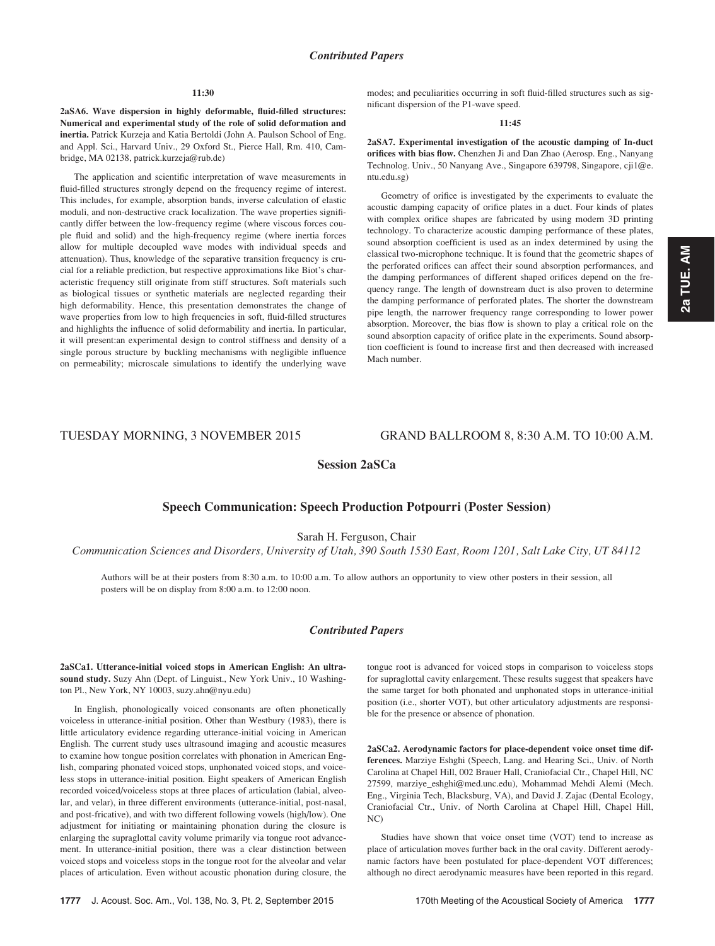## 11:30

2aSA6. Wave dispersion in highly deformable, fluid-filled structures: Numerical and experimental study of the role of solid deformation and inertia. Patrick Kurzeja and Katia Bertoldi (John A. Paulson School of Eng. and Appl. Sci., Harvard Univ., 29 Oxford St., Pierce Hall, Rm. 410, Cambridge, MA 02138, patrick.kurzeja@rub.de)

The application and scientific interpretation of wave measurements in fluid-filled structures strongly depend on the frequency regime of interest. This includes, for example, absorption bands, inverse calculation of elastic moduli, and non-destructive crack localization. The wave properties significantly differ between the low-frequency regime (where viscous forces couple fluid and solid) and the high-frequency regime (where inertia forces allow for multiple decoupled wave modes with individual speeds and attenuation). Thus, knowledge of the separative transition frequency is crucial for a reliable prediction, but respective approximations like Biot's characteristic frequency still originate from stiff structures. Soft materials such as biological tissues or synthetic materials are neglected regarding their high deformability. Hence, this presentation demonstrates the change of wave properties from low to high frequencies in soft, fluid-filled structures and highlights the influence of solid deformability and inertia. In particular, it will present:an experimental design to control stiffness and density of a single porous structure by buckling mechanisms with negligible influence on permeability; microscale simulations to identify the underlying wave modes; and peculiarities occurring in soft fluid-filled structures such as significant dispersion of the P1-wave speed.

#### 11:45

2aSA7. Experimental investigation of the acoustic damping of In-duct orifices with bias flow. Chenzhen Ji and Dan Zhao (Aerosp. Eng., Nanyang Technolog. Univ., 50 Nanyang Ave., Singapore 639798, Singapore, cji1@e. ntu.edu.sg)

Geometry of orifice is investigated by the experiments to evaluate the acoustic damping capacity of orifice plates in a duct. Four kinds of plates with complex orifice shapes are fabricated by using modern 3D printing technology. To characterize acoustic damping performance of these plates, sound absorption coefficient is used as an index determined by using the classical two-microphone technique. It is found that the geometric shapes of the perforated orifices can affect their sound absorption performances, and the damping performances of different shaped orifices depend on the frequency range. The length of downstream duct is also proven to determine the damping performance of perforated plates. The shorter the downstream pipe length, the narrower frequency range corresponding to lower power absorption. Moreover, the bias flow is shown to play a critical role on the sound absorption capacity of orifice plate in the experiments. Sound absorption coefficient is found to increase first and then decreased with increased Mach number.

# TUESDAY MORNING, 3 NOVEMBER 2015 GRAND BALLROOM 8, 8:30 A.M. TO 10:00 A.M.

# Session 2aSCa

# Speech Communication: Speech Production Potpourri (Poster Session)

Sarah H. Ferguson, Chair

Communication Sciences and Disorders, University of Utah, 390 South 1530 East, Room 1201, Salt Lake City, UT 84112

Authors will be at their posters from 8:30 a.m. to 10:00 a.m. To allow authors an opportunity to view other posters in their session, all posters will be on display from 8:00 a.m. to 12:00 noon.

# Contributed Papers

2aSCa1. Utterance-initial voiced stops in American English: An ultrasound study. Suzy Ahn (Dept. of Linguist., New York Univ., 10 Washington Pl., New York, NY 10003, suzy.ahn@nyu.edu)

In English, phonologically voiced consonants are often phonetically voiceless in utterance-initial position. Other than Westbury (1983), there is little articulatory evidence regarding utterance-initial voicing in American English. The current study uses ultrasound imaging and acoustic measures to examine how tongue position correlates with phonation in American English, comparing phonated voiced stops, unphonated voiced stops, and voiceless stops in utterance-initial position. Eight speakers of American English recorded voiced/voiceless stops at three places of articulation (labial, alveolar, and velar), in three different environments (utterance-initial, post-nasal, and post-fricative), and with two different following vowels (high/low). One adjustment for initiating or maintaining phonation during the closure is enlarging the supraglottal cavity volume primarily via tongue root advancement. In utterance-initial position, there was a clear distinction between voiced stops and voiceless stops in the tongue root for the alveolar and velar places of articulation. Even without acoustic phonation during closure, the tongue root is advanced for voiced stops in comparison to voiceless stops for supraglottal cavity enlargement. These results suggest that speakers have the same target for both phonated and unphonated stops in utterance-initial position (i.e., shorter VOT), but other articulatory adjustments are responsible for the presence or absence of phonation.

2aSCa2. Aerodynamic factors for place-dependent voice onset time differences. Marziye Eshghi (Speech, Lang. and Hearing Sci., Univ. of North Carolina at Chapel Hill, 002 Brauer Hall, Craniofacial Ctr., Chapel Hill, NC 27599, marziye\_eshghi@med.unc.edu), Mohammad Mehdi Alemi (Mech. Eng., Virginia Tech, Blacksburg, VA), and David J. Zajac (Dental Ecology, Craniofacial Ctr., Univ. of North Carolina at Chapel Hill, Chapel Hill,  $N^{\prime}$ 

Studies have shown that voice onset time (VOT) tend to increase as place of articulation moves further back in the oral cavity. Different aerodynamic factors have been postulated for place-dependent VOT differences; although no direct aerodynamic measures have been reported in this regard.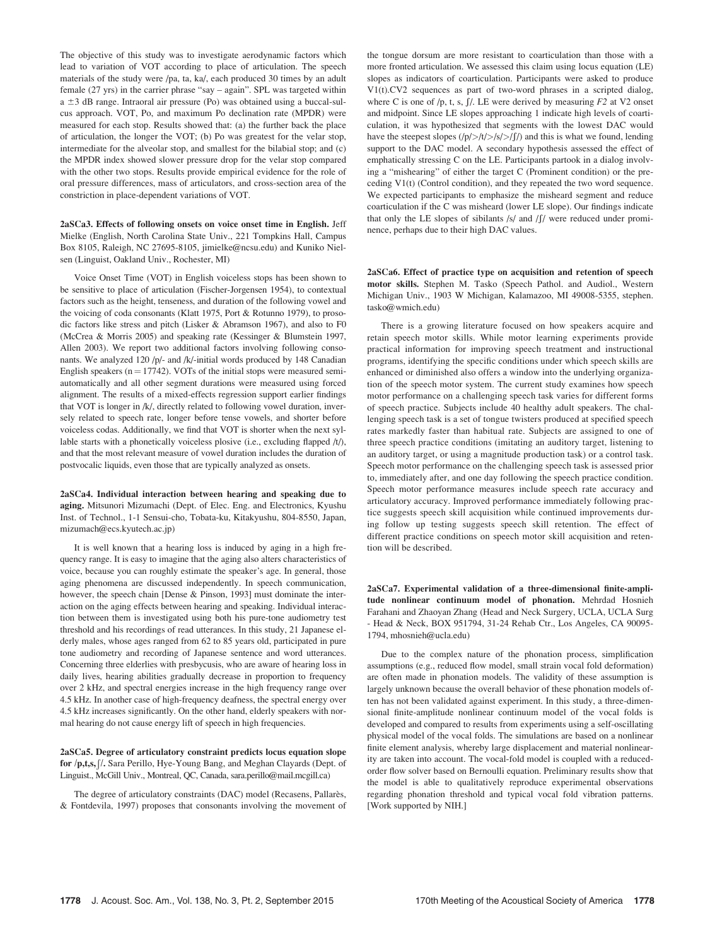The objective of this study was to investigate aerodynamic factors which lead to variation of VOT according to place of articulation. The speech materials of the study were /pa, ta, ka/, each produced 30 times by an adult female (27 yrs) in the carrier phrase "say – again". SPL was targeted within a  $\pm 3$  dB range. Intraoral air pressure (Po) was obtained using a buccal-sulcus approach. VOT, Po, and maximum Po declination rate (MPDR) were measured for each stop. Results showed that: (a) the further back the place of articulation, the longer the VOT; (b) Po was greatest for the velar stop, intermediate for the alveolar stop, and smallest for the bilabial stop; and (c) the MPDR index showed slower pressure drop for the velar stop compared with the other two stops. Results provide empirical evidence for the role of oral pressure differences, mass of articulators, and cross-section area of the constriction in place-dependent variations of VOT.

2aSCa3. Effects of following onsets on voice onset time in English. Jeff Mielke (English, North Carolina State Univ., 221 Tompkins Hall, Campus Box 8105, Raleigh, NC 27695-8105, jimielke@ncsu.edu) and Kuniko Nielsen (Linguist, Oakland Univ., Rochester, MI)

Voice Onset Time (VOT) in English voiceless stops has been shown to be sensitive to place of articulation (Fischer-Jorgensen 1954), to contextual factors such as the height, tenseness, and duration of the following vowel and the voicing of coda consonants (Klatt 1975, Port & Rotunno 1979), to prosodic factors like stress and pitch (Lisker & Abramson 1967), and also to F0 (McCrea & Morris 2005) and speaking rate (Kessinger & Blumstein 1997, Allen 2003). We report two additional factors involving following consonants. We analyzed 120 /p/- and /k/-initial words produced by 148 Canadian English speakers ( $n = 17742$ ). VOTs of the initial stops were measured semiautomatically and all other segment durations were measured using forced alignment. The results of a mixed-effects regression support earlier findings that VOT is longer in /k/, directly related to following vowel duration, inversely related to speech rate, longer before tense vowels, and shorter before voiceless codas. Additionally, we find that VOT is shorter when the next syllable starts with a phonetically voiceless plosive (i.e., excluding flapped /t/), and that the most relevant measure of vowel duration includes the duration of postvocalic liquids, even those that are typically analyzed as onsets.

2aSCa4. Individual interaction between hearing and speaking due to aging. Mitsunori Mizumachi (Dept. of Elec. Eng. and Electronics, Kyushu Inst. of Technol., 1-1 Sensui-cho, Tobata-ku, Kitakyushu, 804-8550, Japan, mizumach@ecs.kyutech.ac.jp)

It is well known that a hearing loss is induced by aging in a high frequency range. It is easy to imagine that the aging also alters characteristics of voice, because you can roughly estimate the speaker's age. In general, those aging phenomena are discussed independently. In speech communication, however, the speech chain [Dense & Pinson, 1993] must dominate the interaction on the aging effects between hearing and speaking. Individual interaction between them is investigated using both his pure-tone audiometry test threshold and his recordings of read utterances. In this study, 21 Japanese elderly males, whose ages ranged from 62 to 85 years old, participated in pure tone audiometry and recording of Japanese sentence and word utterances. Concerning three elderlies with presbycusis, who are aware of hearing loss in daily lives, hearing abilities gradually decrease in proportion to frequency over 2 kHz, and spectral energies increase in the high frequency range over 4.5 kHz. In another case of high-frequency deafness, the spectral energy over 4.5 kHz increases significantly. On the other hand, elderly speakers with normal hearing do not cause energy lift of speech in high frequencies.

## 2aSCa5. Degree of articulatory constraint predicts locus equation slope for /p,t,s,<sup>Ð</sup> /. Sara Perillo, Hye-Young Bang, and Meghan Clayards (Dept. of Linguist., McGill Univ., Montreal, QC, Canada, sara.perillo@mail.mcgill.ca)

The degree of articulatory constraints (DAC) model (Recasens, Pallarès, & Fontdevila, 1997) proposes that consonants involving the movement of the tongue dorsum are more resistant to coarticulation than those with a more fronted articulation. We assessed this claim using locus equation (LE) slopes as indicators of coarticulation. Participants were asked to produce V1(t).CV2 sequences as part of two-word phrases in a scripted dialog, where C is one of /p, t, s,  $\int$ /. LE were derived by measuring  $F2$  at V2 onset and midpoint. Since LE slopes approaching 1 indicate high levels of coarticulation, it was hypothesized that segments with the lowest DAC would have the steepest slopes  $(|p|>|t|>|s|/|f|)$  and this is what we found, lending support to the DAC model. A secondary hypothesis assessed the effect of emphatically stressing C on the LE. Participants partook in a dialog involving a "mishearing" of either the target C (Prominent condition) or the preceding V1(t) (Control condition), and they repeated the two word sequence. We expected participants to emphasize the misheard segment and reduce coarticulation if the C was misheard (lower LE slope). Our findings indicate that only the LE slopes of sibilants  $/s/$  and  $/f/$  were reduced under prominence, perhaps due to their high DAC values.

2aSCa6. Effect of practice type on acquisition and retention of speech motor skills. Stephen M. Tasko (Speech Pathol. and Audiol., Western Michigan Univ., 1903 W Michigan, Kalamazoo, MI 49008-5355, stephen. tasko@wmich.edu)

There is a growing literature focused on how speakers acquire and retain speech motor skills. While motor learning experiments provide practical information for improving speech treatment and instructional programs, identifying the specific conditions under which speech skills are enhanced or diminished also offers a window into the underlying organization of the speech motor system. The current study examines how speech motor performance on a challenging speech task varies for different forms of speech practice. Subjects include 40 healthy adult speakers. The challenging speech task is a set of tongue twisters produced at specified speech rates markedly faster than habitual rate. Subjects are assigned to one of three speech practice conditions (imitating an auditory target, listening to an auditory target, or using a magnitude production task) or a control task. Speech motor performance on the challenging speech task is assessed prior to, immediately after, and one day following the speech practice condition. Speech motor performance measures include speech rate accuracy and articulatory accuracy. Improved performance immediately following practice suggests speech skill acquisition while continued improvements during follow up testing suggests speech skill retention. The effect of different practice conditions on speech motor skill acquisition and retention will be described.

2aSCa7. Experimental validation of a three-dimensional finite-amplitude nonlinear continuum model of phonation. Mehrdad Hosnieh Farahani and Zhaoyan Zhang (Head and Neck Surgery, UCLA, UCLA Surg - Head & Neck, BOX 951794, 31-24 Rehab Ctr., Los Angeles, CA 90095- 1794, mhosnieh@ucla.edu)

Due to the complex nature of the phonation process, simplification assumptions (e.g., reduced flow model, small strain vocal fold deformation) are often made in phonation models. The validity of these assumption is largely unknown because the overall behavior of these phonation models often has not been validated against experiment. In this study, a three-dimensional finite-amplitude nonlinear continuum model of the vocal folds is developed and compared to results from experiments using a self-oscillating physical model of the vocal folds. The simulations are based on a nonlinear finite element analysis, whereby large displacement and material nonlinearity are taken into account. The vocal-fold model is coupled with a reducedorder flow solver based on Bernoulli equation. Preliminary results show that the model is able to qualitatively reproduce experimental observations regarding phonation threshold and typical vocal fold vibration patterns. [Work supported by NIH.]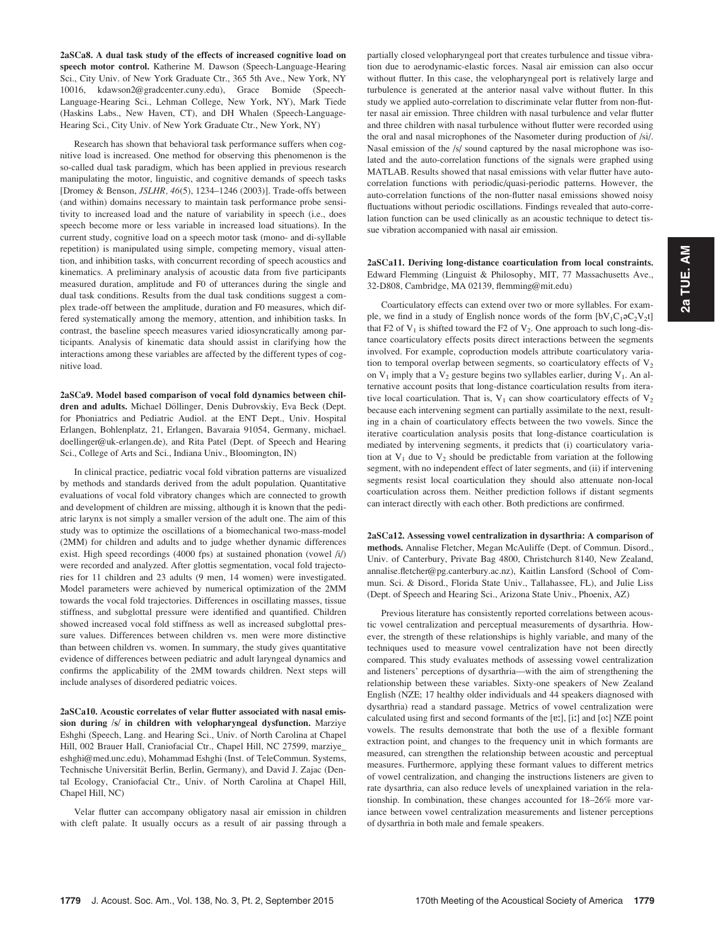2aSCa8. A dual task study of the effects of increased cognitive load on speech motor control. Katherine M. Dawson (Speech-Language-Hearing Sci., City Univ. of New York Graduate Ctr., 365 5th Ave., New York, NY 10016, kdawson2@gradcenter.cuny.edu), Grace Bomide (Speech-Language-Hearing Sci., Lehman College, New York, NY), Mark Tiede (Haskins Labs., New Haven, CT), and DH Whalen (Speech-Language-Hearing Sci., City Univ. of New York Graduate Ctr., New York, NY)

Research has shown that behavioral task performance suffers when cognitive load is increased. One method for observing this phenomenon is the so-called dual task paradigm, which has been applied in previous research manipulating the motor, linguistic, and cognitive demands of speech tasks [Dromey & Benson, JSLHR, 46(5), 1234–1246 (2003)]. Trade-offs between (and within) domains necessary to maintain task performance probe sensitivity to increased load and the nature of variability in speech (i.e., does speech become more or less variable in increased load situations). In the current study, cognitive load on a speech motor task (mono- and di-syllable repetition) is manipulated using simple, competing memory, visual attention, and inhibition tasks, with concurrent recording of speech acoustics and kinematics. A preliminary analysis of acoustic data from five participants measured duration, amplitude and F0 of utterances during the single and dual task conditions. Results from the dual task conditions suggest a complex trade-off between the amplitude, duration and F0 measures, which differed systematically among the memory, attention, and inhibition tasks. In contrast, the baseline speech measures varied idiosyncratically among participants. Analysis of kinematic data should assist in clarifying how the interactions among these variables are affected by the different types of cognitive load.

2aSCa9. Model based comparison of vocal fold dynamics between children and adults. Michael Döllinger, Denis Dubrovskiy, Eva Beck (Dept. for Phoniatrics and Pediatric Audiol. at the ENT Dept., Univ. Hospital Erlangen, Bohlenplatz, 21, Erlangen, Bavaraia 91054, Germany, michael. doellinger@uk-erlangen.de), and Rita Patel (Dept. of Speech and Hearing Sci., College of Arts and Sci., Indiana Univ., Bloomington, IN)

In clinical practice, pediatric vocal fold vibration patterns are visualized by methods and standards derived from the adult population. Quantitative evaluations of vocal fold vibratory changes which are connected to growth and development of children are missing, although it is known that the pediatric larynx is not simply a smaller version of the adult one. The aim of this study was to optimize the oscillations of a biomechanical two-mass-model (2MM) for children and adults and to judge whether dynamic differences exist. High speed recordings (4000 fps) at sustained phonation (vowel /i/) were recorded and analyzed. After glottis segmentation, vocal fold trajectories for 11 children and 23 adults (9 men, 14 women) were investigated. Model parameters were achieved by numerical optimization of the 2MM towards the vocal fold trajectories. Differences in oscillating masses, tissue stiffness, and subglottal pressure were identified and quantified. Children showed increased vocal fold stiffness as well as increased subglottal pressure values. Differences between children vs. men were more distinctive than between children vs. women. In summary, the study gives quantitative evidence of differences between pediatric and adult laryngeal dynamics and confirms the applicability of the 2MM towards children. Next steps will include analyses of disordered pediatric voices.

2aSCa10. Acoustic correlates of velar flutter associated with nasal emission during /s/ in children with velopharyngeal dysfunction. Marziye Eshghi (Speech, Lang. and Hearing Sci., Univ. of North Carolina at Chapel Hill, 002 Brauer Hall, Craniofacial Ctr., Chapel Hill, NC 27599, marziye\_ eshghi@med.unc.edu), Mohammad Eshghi (Inst. of TeleCommun. Systems, Technische Universität Berlin, Berlin, Germany), and David J. Zajac (Dental Ecology, Craniofacial Ctr., Univ. of North Carolina at Chapel Hill, Chapel Hill, NC)

Velar flutter can accompany obligatory nasal air emission in children with cleft palate. It usually occurs as a result of air passing through a partially closed velopharyngeal port that creates turbulence and tissue vibration due to aerodynamic-elastic forces. Nasal air emission can also occur without flutter. In this case, the velopharyngeal port is relatively large and turbulence is generated at the anterior nasal valve without flutter. In this study we applied auto-correlation to discriminate velar flutter from non-flutter nasal air emission. Three children with nasal turbulence and velar flutter and three children with nasal turbulence without flutter were recorded using the oral and nasal microphones of the Nasometer during production of /si/. Nasal emission of the /s/ sound captured by the nasal microphone was isolated and the auto-correlation functions of the signals were graphed using MATLAB. Results showed that nasal emissions with velar flutter have autocorrelation functions with periodic/quasi-periodic patterns. However, the auto-correlation functions of the non-flutter nasal emissions showed noisy fluctuations without periodic oscillations. Findings revealed that auto-correlation function can be used clinically as an acoustic technique to detect tissue vibration accompanied with nasal air emission.

2aSCa11. Deriving long-distance coarticulation from local constraints. Edward Flemming (Linguist & Philosophy, MIT, 77 Massachusetts Ave., 32-D808, Cambridge, MA 02139, flemming@mit.edu)

Coarticulatory effects can extend over two or more syllables. For example, we find in a study of English nonce words of the form  $[bV_1C_1 \circ C_2V_2t]$ that F2 of  $V_1$  is shifted toward the F2 of  $V_2$ . One approach to such long-distance coarticulatory effects posits direct interactions between the segments involved. For example, coproduction models attribute coarticulatory variation to temporal overlap between segments, so coarticulatory effects of  $V_2$ on  $V_1$  imply that a  $V_2$  gesture begins two syllables earlier, during  $V_1$ . An alternative account posits that long-distance coarticulation results from iterative local coarticulation. That is,  $V_1$  can show coarticulatory effects of  $V_2$ because each intervening segment can partially assimilate to the next, resulting in a chain of coarticulatory effects between the two vowels. Since the iterative coarticulation analysis posits that long-distance coarticulation is mediated by intervening segments, it predicts that (i) coarticulatory variation at  $V_1$  due to  $V_2$  should be predictable from variation at the following segment, with no independent effect of later segments, and (ii) if intervening segments resist local coarticulation they should also attenuate non-local coarticulation across them. Neither prediction follows if distant segments can interact directly with each other. Both predictions are confirmed.

2aSCa12. Assessing vowel centralization in dysarthria: A comparison of methods. Annalise Fletcher, Megan McAuliffe (Dept. of Commun. Disord., Univ. of Canterbury, Private Bag 4800, Christchurch 8140, New Zealand, annalise.fletcher@pg.canterbury.ac.nz), Kaitlin Lansford (School of Commun. Sci. & Disord., Florida State Univ., Tallahassee, FL), and Julie Liss (Dept. of Speech and Hearing Sci., Arizona State Univ., Phoenix, AZ)

Previous literature has consistently reported correlations between acoustic vowel centralization and perceptual measurements of dysarthria. However, the strength of these relationships is highly variable, and many of the techniques used to measure vowel centralization have not been directly compared. This study evaluates methods of assessing vowel centralization and listeners' perceptions of dysarthria—with the aim of strengthening the relationship between these variables. Sixty-one speakers of New Zealand English (NZE; 17 healthy older individuals and 44 speakers diagnosed with dysarthria) read a standard passage. Metrics of vowel centralization were calculated using first and second formants of the [ɐː], [iː] and [oː] NZE point vowels. The results demonstrate that both the use of a flexible formant extraction point, and changes to the frequency unit in which formants are measured, can strengthen the relationship between acoustic and perceptual measures. Furthermore, applying these formant values to different metrics of vowel centralization, and changing the instructions listeners are given to rate dysarthria, can also reduce levels of unexplained variation in the relationship. In combination, these changes accounted for 18–26% more variance between vowel centralization measurements and listener perceptions of dysarthria in both male and female speakers.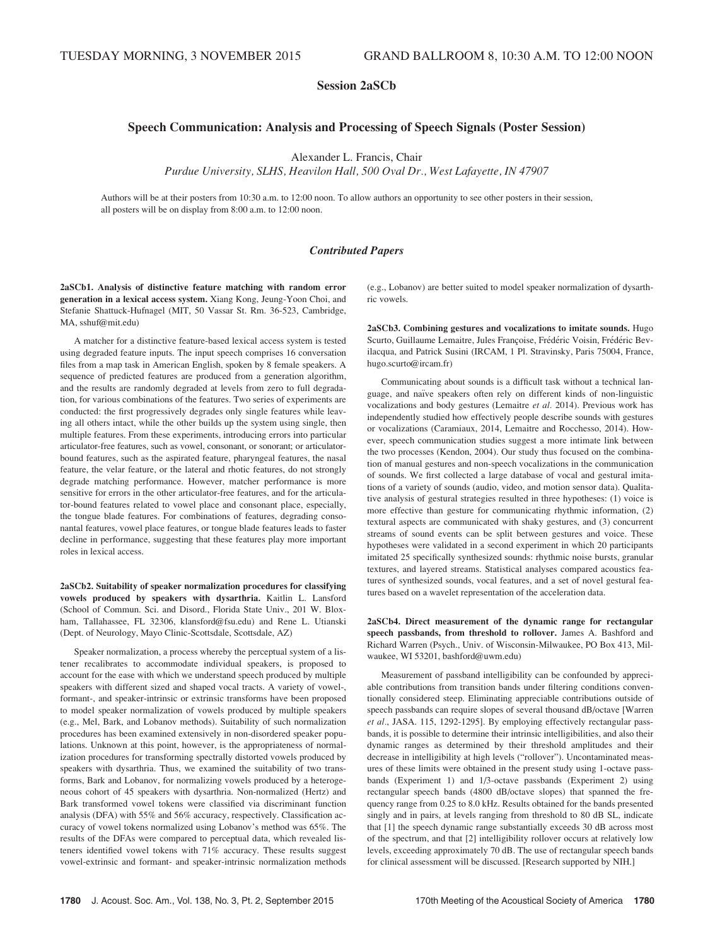# Session 2aSCb

# Speech Communication: Analysis and Processing of Speech Signals (Poster Session)

Alexander L. Francis, Chair

Purdue University, SLHS, Heavilon Hall, 500 Oval Dr., West Lafayette, IN 47907

Authors will be at their posters from 10:30 a.m. to 12:00 noon. To allow authors an opportunity to see other posters in their session, all posters will be on display from 8:00 a.m. to 12:00 noon.

# Contributed Papers

2aSCb1. Analysis of distinctive feature matching with random error generation in a lexical access system. Xiang Kong, Jeung-Yoon Choi, and Stefanie Shattuck-Hufnagel (MIT, 50 Vassar St. Rm. 36-523, Cambridge, MA, sshuf@mit.edu)

A matcher for a distinctive feature-based lexical access system is tested using degraded feature inputs. The input speech comprises 16 conversation files from a map task in American English, spoken by 8 female speakers. A sequence of predicted features are produced from a generation algorithm, and the results are randomly degraded at levels from zero to full degradation, for various combinations of the features. Two series of experiments are conducted: the first progressively degrades only single features while leaving all others intact, while the other builds up the system using single, then multiple features. From these experiments, introducing errors into particular articulator-free features, such as vowel, consonant, or sonorant; or articulatorbound features, such as the aspirated feature, pharyngeal features, the nasal feature, the velar feature, or the lateral and rhotic features, do not strongly degrade matching performance. However, matcher performance is more sensitive for errors in the other articulator-free features, and for the articulator-bound features related to vowel place and consonant place, especially, the tongue blade features. For combinations of features, degrading consonantal features, vowel place features, or tongue blade features leads to faster decline in performance, suggesting that these features play more important roles in lexical access.

2aSCb2. Suitability of speaker normalization procedures for classifying vowels produced by speakers with dysarthria. Kaitlin L. Lansford (School of Commun. Sci. and Disord., Florida State Univ., 201 W. Bloxham, Tallahassee, FL 32306, klansford@fsu.edu) and Rene L. Utianski (Dept. of Neurology, Mayo Clinic-Scottsdale, Scottsdale, AZ)

Speaker normalization, a process whereby the perceptual system of a listener recalibrates to accommodate individual speakers, is proposed to account for the ease with which we understand speech produced by multiple speakers with different sized and shaped vocal tracts. A variety of vowel-, formant-, and speaker-intrinsic or extrinsic transforms have been proposed to model speaker normalization of vowels produced by multiple speakers (e.g., Mel, Bark, and Lobanov methods). Suitability of such normalization procedures has been examined extensively in non-disordered speaker populations. Unknown at this point, however, is the appropriateness of normalization procedures for transforming spectrally distorted vowels produced by speakers with dysarthria. Thus, we examined the suitability of two transforms, Bark and Lobanov, for normalizing vowels produced by a heterogeneous cohort of 45 speakers with dysarthria. Non-normalized (Hertz) and Bark transformed vowel tokens were classified via discriminant function analysis (DFA) with 55% and 56% accuracy, respectively. Classification accuracy of vowel tokens normalized using Lobanov's method was 65%. The results of the DFAs were compared to perceptual data, which revealed listeners identified vowel tokens with 71% accuracy. These results suggest vowel-extrinsic and formant- and speaker-intrinsic normalization methods (e.g., Lobanov) are better suited to model speaker normalization of dysarthric vowels.

2aSCb3. Combining gestures and vocalizations to imitate sounds. Hugo Scurto, Guillaume Lemaitre, Jules Françoise, Frédéric Voisin, Frédéric Bevilacqua, and Patrick Susini (IRCAM, 1 Pl. Stravinsky, Paris 75004, France, hugo.scurto@ircam.fr)

Communicating about sounds is a difficult task without a technical language, and naïve speakers often rely on different kinds of non-linguistic vocalizations and body gestures (Lemaitre et al. 2014). Previous work has independently studied how effectively people describe sounds with gestures or vocalizations (Caramiaux, 2014, Lemaitre and Rocchesso, 2014). However, speech communication studies suggest a more intimate link between the two processes (Kendon, 2004). Our study thus focused on the combination of manual gestures and non-speech vocalizations in the communication of sounds. We first collected a large database of vocal and gestural imitations of a variety of sounds (audio, video, and motion sensor data). Qualitative analysis of gestural strategies resulted in three hypotheses: (1) voice is more effective than gesture for communicating rhythmic information, (2) textural aspects are communicated with shaky gestures, and (3) concurrent streams of sound events can be split between gestures and voice. These hypotheses were validated in a second experiment in which 20 participants imitated 25 specifically synthesized sounds: rhythmic noise bursts, granular textures, and layered streams. Statistical analyses compared acoustics features of synthesized sounds, vocal features, and a set of novel gestural features based on a wavelet representation of the acceleration data.

2aSCb4. Direct measurement of the dynamic range for rectangular speech passbands, from threshold to rollover. James A. Bashford and Richard Warren (Psych., Univ. of Wisconsin-Milwaukee, PO Box 413, Milwaukee, WI 53201, bashford@uwm.edu)

Measurement of passband intelligibility can be confounded by appreciable contributions from transition bands under filtering conditions conventionally considered steep. Eliminating appreciable contributions outside of speech passbands can require slopes of several thousand dB/octave [Warren et al., JASA. 115, 1292-1295]. By employing effectively rectangular passbands, it is possible to determine their intrinsic intelligibilities, and also their dynamic ranges as determined by their threshold amplitudes and their decrease in intelligibility at high levels ("rollover"). Uncontaminated measures of these limits were obtained in the present study using 1-octave passbands (Experiment 1) and 1/3-octave passbands (Experiment 2) using rectangular speech bands (4800 dB/octave slopes) that spanned the frequency range from 0.25 to 8.0 kHz. Results obtained for the bands presented singly and in pairs, at levels ranging from threshold to 80 dB SL, indicate that [1] the speech dynamic range substantially exceeds 30 dB across most of the spectrum, and that [2] intelligibility rollover occurs at relatively low levels, exceeding approximately 70 dB. The use of rectangular speech bands for clinical assessment will be discussed. [Research supported by NIH.]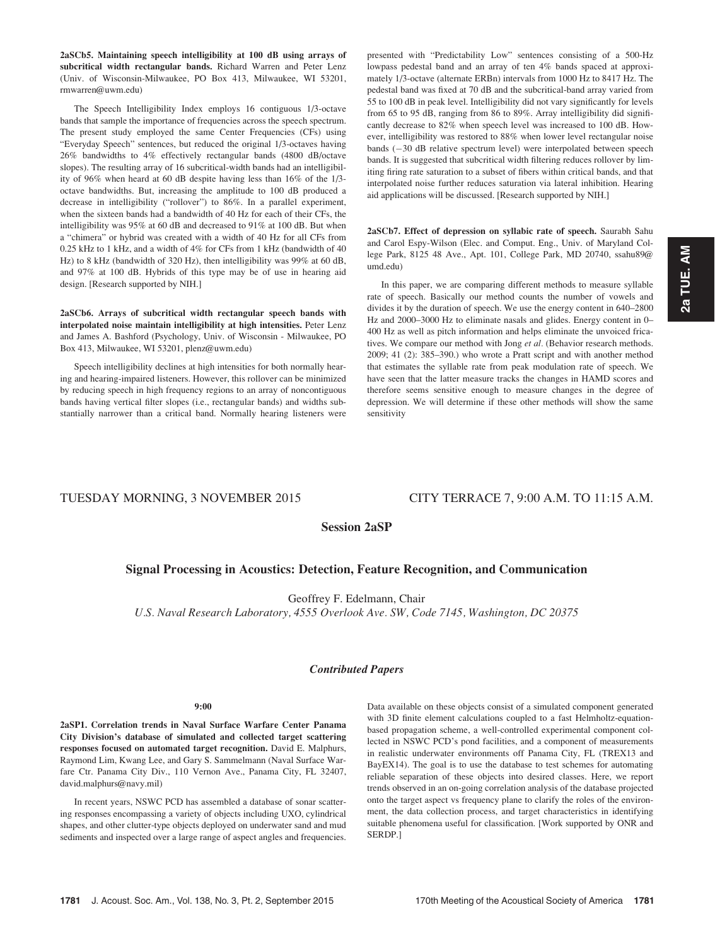2aSCb5. Maintaining speech intelligibility at 100 dB using arrays of subcritical width rectangular bands. Richard Warren and Peter Lenz (Univ. of Wisconsin-Milwaukee, PO Box 413, Milwaukee, WI 53201, rmwarren@uwm.edu)

The Speech Intelligibility Index employs 16 contiguous 1/3-octave bands that sample the importance of frequencies across the speech spectrum. The present study employed the same Center Frequencies (CFs) using "Everyday Speech" sentences, but reduced the original 1/3-octaves having 26% bandwidths to 4% effectively rectangular bands (4800 dB/octave slopes). The resulting array of 16 subcritical-width bands had an intelligibility of 96% when heard at 60 dB despite having less than 16% of the 1/3 octave bandwidths. But, increasing the amplitude to 100 dB produced a decrease in intelligibility ("rollover") to 86%. In a parallel experiment, when the sixteen bands had a bandwidth of 40 Hz for each of their CFs, the intelligibility was 95% at 60 dB and decreased to 91% at 100 dB. But when a "chimera" or hybrid was created with a width of 40 Hz for all CFs from 0.25 kHz to 1 kHz, and a width of 4% for CFs from 1 kHz (bandwidth of 40 Hz) to 8 kHz (bandwidth of 320 Hz), then intelligibility was 99% at 60 dB, and 97% at 100 dB. Hybrids of this type may be of use in hearing aid design. [Research supported by NIH.]

2aSCb6. Arrays of subcritical width rectangular speech bands with interpolated noise maintain intelligibility at high intensities. Peter Lenz and James A. Bashford (Psychology, Univ. of Wisconsin - Milwaukee, PO Box 413, Milwaukee, WI 53201, plenz@uwm.edu)

Speech intelligibility declines at high intensities for both normally hearing and hearing-impaired listeners. However, this rollover can be minimized by reducing speech in high frequency regions to an array of noncontiguous bands having vertical filter slopes (i.e., rectangular bands) and widths substantially narrower than a critical band. Normally hearing listeners were presented with "Predictability Low" sentences consisting of a 500-Hz lowpass pedestal band and an array of ten 4% bands spaced at approximately 1/3-octave (alternate ERBn) intervals from 1000 Hz to 8417 Hz. The pedestal band was fixed at 70 dB and the subcritical-band array varied from 55 to 100 dB in peak level. Intelligibility did not vary significantly for levels from 65 to 95 dB, ranging from 86 to 89%. Array intelligibility did significantly decrease to 82% when speech level was increased to 100 dB. However, intelligibility was restored to 88% when lower level rectangular noise bands  $(-30$  dB relative spectrum level) were interpolated between speech bands. It is suggested that subcritical width filtering reduces rollover by limiting firing rate saturation to a subset of fibers within critical bands, and that interpolated noise further reduces saturation via lateral inhibition. Hearing aid applications will be discussed. [Research supported by NIH.]

2aSCb7. Effect of depression on syllabic rate of speech. Saurabh Sahu and Carol Espy-Wilson (Elec. and Comput. Eng., Univ. of Maryland College Park, 8125 48 Ave., Apt. 101, College Park, MD 20740, ssahu89@ umd.edu)

In this paper, we are comparing different methods to measure syllable rate of speech. Basically our method counts the number of vowels and divides it by the duration of speech. We use the energy content in 640–2800 Hz and 2000–3000 Hz to eliminate nasals and glides. Energy content in 0– 400 Hz as well as pitch information and helps eliminate the unvoiced fricatives. We compare our method with Jong et al. (Behavior research methods. 2009; 41 (2): 385–390.) who wrote a Pratt script and with another method that estimates the syllable rate from peak modulation rate of speech. We have seen that the latter measure tracks the changes in HAMD scores and therefore seems sensitive enough to measure changes in the degree of depression. We will determine if these other methods will show the same sensitivity

# TUESDAY MORNING, 3 NOVEMBER 2015 CITY TERRACE 7, 9:00 A.M. TO 11:15 A.M.

# Session 2aSP

# Signal Processing in Acoustics: Detection, Feature Recognition, and Communication

Geoffrey F. Edelmann, Chair

U.S. Naval Research Laboratory, 4555 Overlook Ave. SW, Code 7145, Washington, DC 20375

# Contributed Papers

#### 9:00

2aSP1. Correlation trends in Naval Surface Warfare Center Panama City Division's database of simulated and collected target scattering responses focused on automated target recognition. David E. Malphurs, Raymond Lim, Kwang Lee, and Gary S. Sammelmann (Naval Surface Warfare Ctr. Panama City Div., 110 Vernon Ave., Panama City, FL 32407, david.malphurs@navy.mil)

In recent years, NSWC PCD has assembled a database of sonar scattering responses encompassing a variety of objects including UXO, cylindrical shapes, and other clutter-type objects deployed on underwater sand and mud sediments and inspected over a large range of aspect angles and frequencies. Data available on these objects consist of a simulated component generated with 3D finite element calculations coupled to a fast Helmholtz-equationbased propagation scheme, a well-controlled experimental component collected in NSWC PCD's pond facilities, and a component of measurements in realistic underwater environments off Panama City, FL (TREX13 and BayEX14). The goal is to use the database to test schemes for automating reliable separation of these objects into desired classes. Here, we report trends observed in an on-going correlation analysis of the database projected onto the target aspect vs frequency plane to clarify the roles of the environment, the data collection process, and target characteristics in identifying suitable phenomena useful for classification. [Work supported by ONR and SERDP.]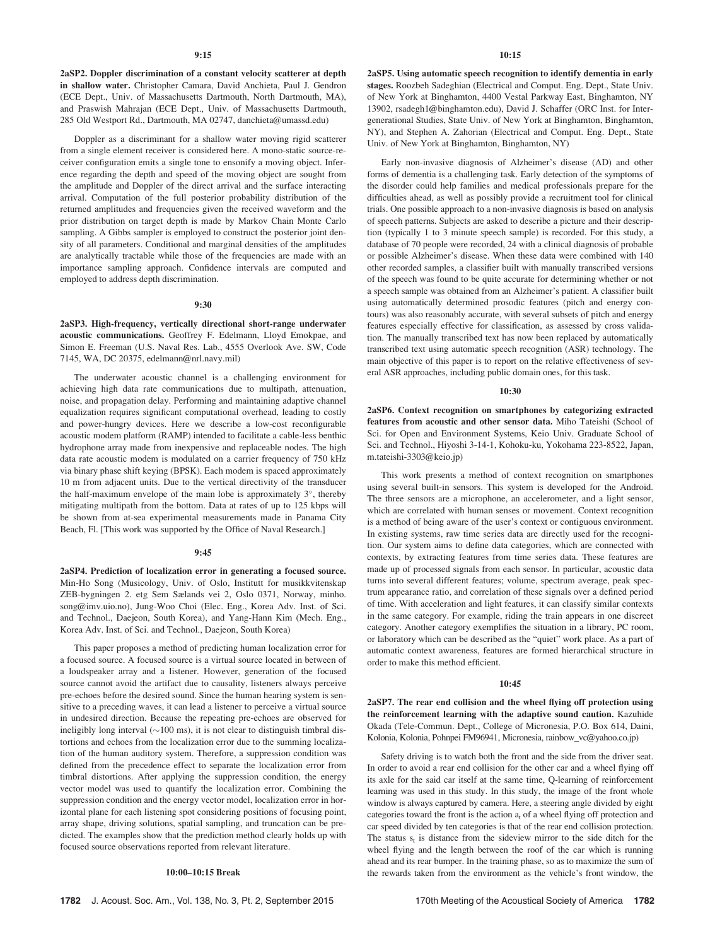2aSP2. Doppler discrimination of a constant velocity scatterer at depth in shallow water. Christopher Camara, David Anchieta, Paul J. Gendron (ECE Dept., Univ. of Massachusetts Dartmouth, North Dartmouth, MA), and Praswish Mahrajan (ECE Dept., Univ. of Massachusetts Dartmouth, 285 Old Westport Rd., Dartmouth, MA 02747, danchieta@umassd.edu)

Doppler as a discriminant for a shallow water moving rigid scatterer from a single element receiver is considered here. A mono-static source-receiver configuration emits a single tone to ensonify a moving object. Inference regarding the depth and speed of the moving object are sought from the amplitude and Doppler of the direct arrival and the surface interacting arrival. Computation of the full posterior probability distribution of the returned amplitudes and frequencies given the received waveform and the prior distribution on target depth is made by Markov Chain Monte Carlo sampling. A Gibbs sampler is employed to construct the posterior joint density of all parameters. Conditional and marginal densities of the amplitudes are analytically tractable while those of the frequencies are made with an importance sampling approach. Confidence intervals are computed and employed to address depth discrimination.

#### 9:30

2aSP3. High-frequency, vertically directional short-range underwater acoustic communications. Geoffrey F. Edelmann, Lloyd Emokpae, and Simon E. Freeman (U.S. Naval Res. Lab., 4555 Overlook Ave. SW, Code 7145, WA, DC 20375, edelmann@nrl.navy.mil)

The underwater acoustic channel is a challenging environment for achieving high data rate communications due to multipath, attenuation, noise, and propagation delay. Performing and maintaining adaptive channel equalization requires significant computational overhead, leading to costly and power-hungry devices. Here we describe a low-cost reconfigurable acoustic modem platform (RAMP) intended to facilitate a cable-less benthic hydrophone array made from inexpensive and replaceable nodes. The high data rate acoustic modem is modulated on a carrier frequency of 750 kHz via binary phase shift keying (BPSK). Each modem is spaced approximately 10 m from adjacent units. Due to the vertical directivity of the transducer the half-maximum envelope of the main lobe is approximately  $3^\circ$ , thereby mitigating multipath from the bottom. Data at rates of up to 125 kbps will be shown from at-sea experimental measurements made in Panama City Beach, Fl. [This work was supported by the Office of Naval Research.]

#### 9:45

2aSP4. Prediction of localization error in generating a focused source. Min-Ho Song (Musicology, Univ. of Oslo, Institutt for musikkvitenskap ZEB-bygningen 2. etg Sem Sælands vei 2, Oslo 0371, Norway, minho. song@imv.uio.no), Jung-Woo Choi (Elec. Eng., Korea Adv. Inst. of Sci. and Technol., Daejeon, South Korea), and Yang-Hann Kim (Mech. Eng., Korea Adv. Inst. of Sci. and Technol., Daejeon, South Korea)

This paper proposes a method of predicting human localization error for a focused source. A focused source is a virtual source located in between of a loudspeaker array and a listener. However, generation of the focused source cannot avoid the artifact due to causality, listeners always perceive pre-echoes before the desired sound. Since the human hearing system is sensitive to a preceding waves, it can lead a listener to perceive a virtual source in undesired direction. Because the repeating pre-echoes are observed for ineligibly long interval  $(\sim 100 \text{ ms})$ , it is not clear to distinguish timbral distortions and echoes from the localization error due to the summing localization of the human auditory system. Therefore, a suppression condition was defined from the precedence effect to separate the localization error from timbral distortions. After applying the suppression condition, the energy vector model was used to quantify the localization error. Combining the suppression condition and the energy vector model, localization error in horizontal plane for each listening spot considering positions of focusing point, array shape, driving solutions, spatial sampling, and truncation can be predicted. The examples show that the prediction method clearly holds up with focused source observations reported from relevant literature.

#### 10:00–10:15 Break

2aSP5. Using automatic speech recognition to identify dementia in early stages. Roozbeh Sadeghian (Electrical and Comput. Eng. Dept., State Univ. of New York at Binghamton, 4400 Vestal Parkway East, Binghamton, NY 13902, rsadegh1@binghamton.edu), David J. Schaffer (ORC Inst. for Intergenerational Studies, State Univ. of New York at Binghamton, Binghamton, NY), and Stephen A. Zahorian (Electrical and Comput. Eng. Dept., State Univ. of New York at Binghamton, Binghamton, NY)

Early non-invasive diagnosis of Alzheimer's disease (AD) and other forms of dementia is a challenging task. Early detection of the symptoms of the disorder could help families and medical professionals prepare for the difficulties ahead, as well as possibly provide a recruitment tool for clinical trials. One possible approach to a non-invasive diagnosis is based on analysis of speech patterns. Subjects are asked to describe a picture and their description (typically 1 to 3 minute speech sample) is recorded. For this study, a database of 70 people were recorded, 24 with a clinical diagnosis of probable or possible Alzheimer's disease. When these data were combined with 140 other recorded samples, a classifier built with manually transcribed versions of the speech was found to be quite accurate for determining whether or not a speech sample was obtained from an Alzheimer's patient. A classifier built using automatically determined prosodic features (pitch and energy contours) was also reasonably accurate, with several subsets of pitch and energy features especially effective for classification, as assessed by cross validation. The manually transcribed text has now been replaced by automatically transcribed text using automatic speech recognition (ASR) technology. The main objective of this paper is to report on the relative effectiveness of several ASR approaches, including public domain ones, for this task.

## 10:30

2aSP6. Context recognition on smartphones by categorizing extracted features from acoustic and other sensor data. Miho Tateishi (School of Sci. for Open and Environment Systems, Keio Univ. Graduate School of Sci. and Technol., Hiyoshi 3-14-1, Kohoku-ku, Yokohama 223-8522, Japan, m.tateishi-3303@keio.jp)

This work presents a method of context recognition on smartphones using several built-in sensors. This system is developed for the Android. The three sensors are a microphone, an accelerometer, and a light sensor, which are correlated with human senses or movement. Context recognition is a method of being aware of the user's context or contiguous environment. In existing systems, raw time series data are directly used for the recognition. Our system aims to define data categories, which are connected with contexts, by extracting features from time series data. These features are made up of processed signals from each sensor. In particular, acoustic data turns into several different features; volume, spectrum average, peak spectrum appearance ratio, and correlation of these signals over a defined period of time. With acceleration and light features, it can classify similar contexts in the same category. For example, riding the train appears in one discreet category. Another category exemplifies the situation in a library, PC room, or laboratory which can be described as the "quiet" work place. As a part of automatic context awareness, features are formed hierarchical structure in order to make this method efficient.

#### $10.45$

2aSP7. The rear end collision and the wheel flying off protection using the reinforcement learning with the adaptive sound caution. Kazuhide Okada (Tele-Commun. Dept., College of Micronesia, P.O. Box 614, Daini, Kolonia, Kolonia, Pohnpei FM96941, Micronesia, rainbow\_vc@yahoo.co.jp)

Safety driving is to watch both the front and the side from the driver seat. In order to avoid a rear end collision for the other car and a wheel flying off its axle for the said car itself at the same time, Q-learning of reinforcement learning was used in this study. In this study, the image of the front whole window is always captured by camera. Here, a steering angle divided by eight categories toward the front is the action  $a_t$  of a wheel flying off protection and car speed divided by ten categories is that of the rear end collision protection. The status  $s_t$  is distance from the sideview mirror to the side ditch for the wheel flying and the length between the roof of the car which is running ahead and its rear bumper. In the training phase, so as to maximize the sum of the rewards taken from the environment as the vehicle's front window, the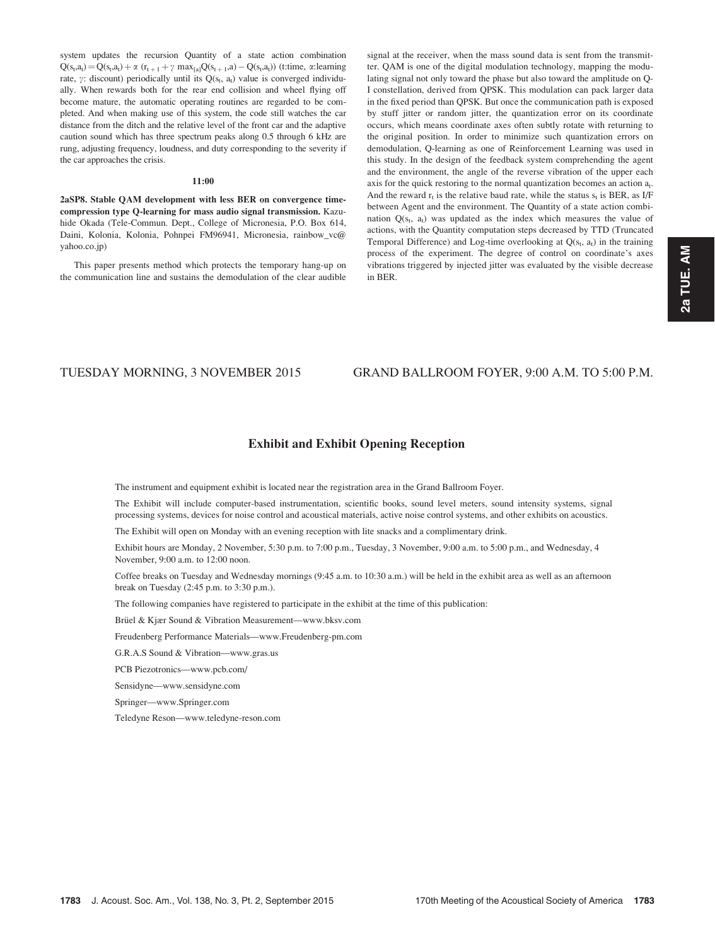system updates the recursion Quantity of a state action combination  $Q(s_t, a_t) = Q(s_t, a_t) + \alpha (r_{t+1} + \gamma max_{[a]}Q(s_{t+1}, a) - Q(s_t, a_t))$  (t:time,  $\alpha$ :learning rate,  $\gamma$ : discount) periodically until its Q( $s_t$ ,  $a_t$ ) value is converged individually. When rewards both for the rear end collision and wheel flying off become mature, the automatic operating routines are regarded to be completed. And when making use of this system, the code still watches the car distance from the ditch and the relative level of the front car and the adaptive caution sound which has three spectrum peaks along 0.5 through 6 kHz are rung, adjusting frequency, loudness, and duty corresponding to the severity if the car approaches the crisis.

# 11:00

2aSP8. Stable QAM development with less BER on convergence timecompression type Q-learning for mass audio signal transmission. Kazuhide Okada (Tele-Commun. Dept., College of Micronesia, P.O. Box 614, Daini, Kolonia, Kolonia, Pohnpei FM96941, Micronesia, rainbow\_vc@ yahoo.co.jp)

This paper presents method which protects the temporary hang-up on the communication line and sustains the demodulation of the clear audible signal at the receiver, when the mass sound data is sent from the transmitter. QAM is one of the digital modulation technology, mapping the modulating signal not only toward the phase but also toward the amplitude on Q-I constellation, derived from QPSK. This modulation can pack larger data in the fixed period than QPSK. But once the communication path is exposed by stuff jitter or random jitter, the quantization error on its coordinate occurs, which means coordinate axes often subtly rotate with returning to the original position. In order to minimize such quantization errors on demodulation, Q-learning as one of Reinforcement Learning was used in this study. In the design of the feedback system comprehending the agent and the environment, the angle of the reverse vibration of the upper each axis for the quick restoring to the normal quantization becomes an action  $a_t$ . And the reward  $r_t$  is the relative baud rate, while the status  $s_t$  is BER, as I/F between Agent and the environment. The Quantity of a state action combination  $Q(s_t, a_t)$  was updated as the index which measures the value of actions, with the Quantity computation steps decreased by TTD (Truncated Temporal Difference) and Log-time overlooking at  $Q(s_t, a_t)$  in the training process of the experiment. The degree of control on coordinate's axes vibrations triggered by injected jitter was evaluated by the visible decrease in BER.

# TUESDAY MORNING, 3 NOVEMBER 2015 GRAND BALLROOM FOYER, 9:00 A.M. TO 5:00 P.M.

# Exhibit and Exhibit Opening Reception

The instrument and equipment exhibit is located near the registration area in the Grand Ballroom Foyer.

The Exhibit will include computer-based instrumentation, scientific books, sound level meters, sound intensity systems, signal processing systems, devices for noise control and acoustical materials, active noise control systems, and other exhibits on acoustics.

The Exhibit will open on Monday with an evening reception with lite snacks and a complimentary drink.

Exhibit hours are Monday, 2 November, 5:30 p.m. to 7:00 p.m., Tuesday, 3 November, 9:00 a.m. to 5:00 p.m., and Wednesday, 4 November, 9:00 a.m. to 12:00 noon.

Coffee breaks on Tuesday and Wednesday mornings (9:45 a.m. to 10:30 a.m.) will be held in the exhibit area as well as an afternoon break on Tuesday (2:45 p.m. to 3:30 p.m.).

The following companies have registered to participate in the exhibit at the time of this publication:

Brüel & Kjær Sound & Vibration Measurement—www.bksv.com

Freudenberg Performance Materials—www.Freudenberg-pm.com

G.R.A.S Sound & Vibration—www.gras.us

PCB Piezotronics—www.pcb.com/

Sensidyne—www.sensidyne.com

Springer—www.Springer.com

Teledyne Reson—www.teledyne-reson.com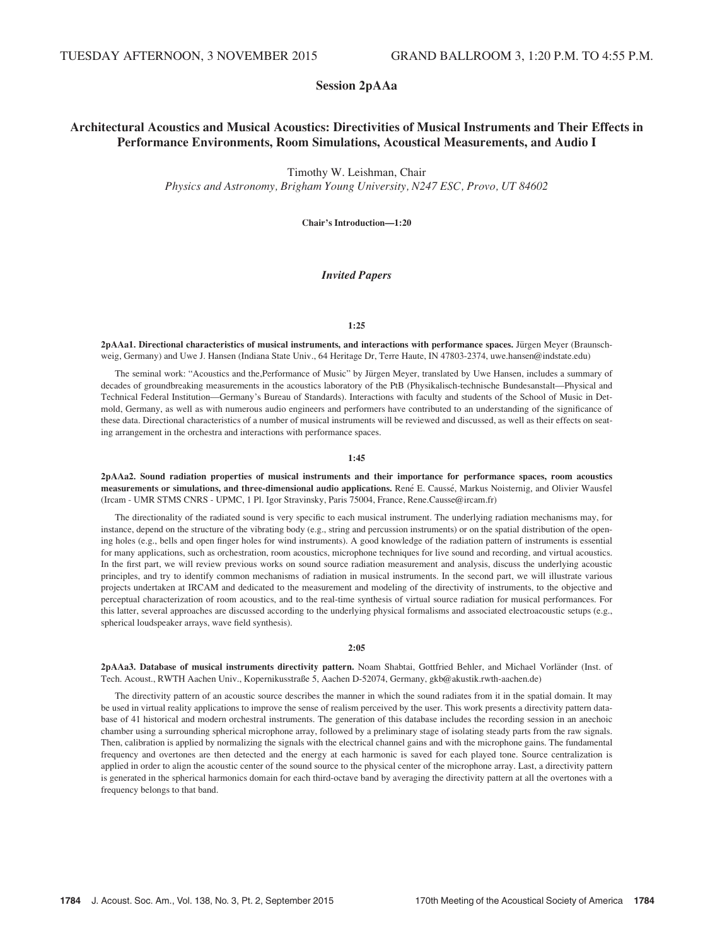# Session 2pAAa

# Architectural Acoustics and Musical Acoustics: Directivities of Musical Instruments and Their Effects in Performance Environments, Room Simulations, Acoustical Measurements, and Audio I

Timothy W. Leishman, Chair

Physics and Astronomy, Brigham Young University, N247 ESC, Provo, UT 84602

Chair's Introduction—1:20

# Invited Papers

## 1:25

2pAAa1. Directional characteristics of musical instruments, and interactions with performance spaces. Jürgen Meyer (Braunschweig, Germany) and Uwe J. Hansen (Indiana State Univ., 64 Heritage Dr, Terre Haute, IN 47803-2374, uwe.hansen@indstate.edu)

The seminal work: "Acoustics and the,Performance of Music" by Jürgen Meyer, translated by Uwe Hansen, includes a summary of decades of groundbreaking measurements in the acoustics laboratory of the PtB (Physikalisch-technische Bundesanstalt—Physical and Technical Federal Institution—Germany's Bureau of Standards). Interactions with faculty and students of the School of Music in Detmold, Germany, as well as with numerous audio engineers and performers have contributed to an understanding of the significance of these data. Directional characteristics of a number of musical instruments will be reviewed and discussed, as well as their effects on seating arrangement in the orchestra and interactions with performance spaces.

## 1:45

2pAAa2. Sound radiation properties of musical instruments and their importance for performance spaces, room acoustics measurements or simulations, and three-dimensional audio applications. René E. Caussé, Markus Noisternig, and Olivier Wausfel (Ircam - UMR STMS CNRS - UPMC, 1 Pl. Igor Stravinsky, Paris 75004, France, Rene.Causse@ircam.fr)

The directionality of the radiated sound is very specific to each musical instrument. The underlying radiation mechanisms may, for instance, depend on the structure of the vibrating body (e.g., string and percussion instruments) or on the spatial distribution of the opening holes (e.g., bells and open finger holes for wind instruments). A good knowledge of the radiation pattern of instruments is essential for many applications, such as orchestration, room acoustics, microphone techniques for live sound and recording, and virtual acoustics. In the first part, we will review previous works on sound source radiation measurement and analysis, discuss the underlying acoustic principles, and try to identify common mechanisms of radiation in musical instruments. In the second part, we will illustrate various projects undertaken at IRCAM and dedicated to the measurement and modeling of the directivity of instruments, to the objective and perceptual characterization of room acoustics, and to the real-time synthesis of virtual source radiation for musical performances. For this latter, several approaches are discussed according to the underlying physical formalisms and associated electroacoustic setups (e.g., spherical loudspeaker arrays, wave field synthesis).

#### 2:05

2pAAa3. Database of musical instruments directivity pattern. Noam Shabtai, Gottfried Behler, and Michael Vorländer (Inst. of Tech. Acoust., RWTH Aachen Univ., Kopernikusstraße 5, Aachen D-52074, Germany, gkb@akustik.rwth-aachen.de)

The directivity pattern of an acoustic source describes the manner in which the sound radiates from it in the spatial domain. It may be used in virtual reality applications to improve the sense of realism perceived by the user. This work presents a directivity pattern database of 41 historical and modern orchestral instruments. The generation of this database includes the recording session in an anechoic chamber using a surrounding spherical microphone array, followed by a preliminary stage of isolating steady parts from the raw signals. Then, calibration is applied by normalizing the signals with the electrical channel gains and with the microphone gains. The fundamental frequency and overtones are then detected and the energy at each harmonic is saved for each played tone. Source centralization is applied in order to align the acoustic center of the sound source to the physical center of the microphone array. Last, a directivity pattern is generated in the spherical harmonics domain for each third-octave band by averaging the directivity pattern at all the overtones with a frequency belongs to that band.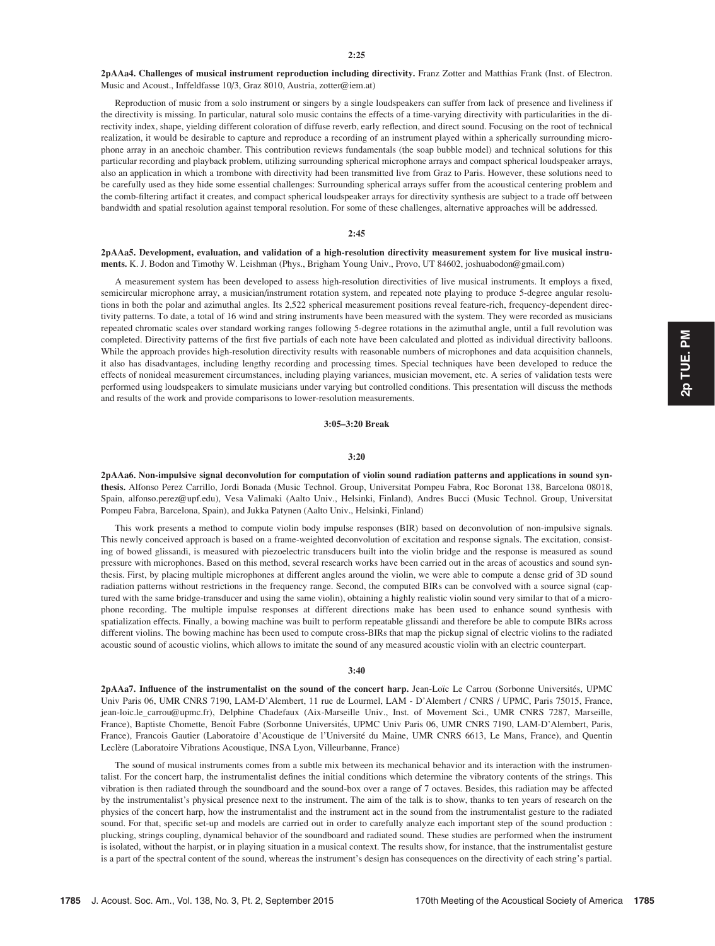2pAAa4. Challenges of musical instrument reproduction including directivity. Franz Zotter and Matthias Frank (Inst. of Electron. Music and Acoust., Inffeldfasse 10/3, Graz 8010, Austria, zotter@iem.at)

Reproduction of music from a solo instrument or singers by a single loudspeakers can suffer from lack of presence and liveliness if the directivity is missing. In particular, natural solo music contains the effects of a time-varying directivity with particularities in the directivity index, shape, yielding different coloration of diffuse reverb, early reflection, and direct sound. Focusing on the root of technical realization, it would be desirable to capture and reproduce a recording of an instrument played within a spherically surrounding microphone array in an anechoic chamber. This contribution reviews fundamentals (the soap bubble model) and technical solutions for this particular recording and playback problem, utilizing surrounding spherical microphone arrays and compact spherical loudspeaker arrays, also an application in which a trombone with directivity had been transmitted live from Graz to Paris. However, these solutions need to be carefully used as they hide some essential challenges: Surrounding spherical arrays suffer from the acoustical centering problem and the comb-filtering artifact it creates, and compact spherical loudspeaker arrays for directivity synthesis are subject to a trade off between bandwidth and spatial resolution against temporal resolution. For some of these challenges, alternative approaches will be addressed.

## $2:45$

# 2pAAa5. Development, evaluation, and validation of a high-resolution directivity measurement system for live musical instruments. K. J. Bodon and Timothy W. Leishman (Phys., Brigham Young Univ., Provo, UT 84602, joshuabodon@gmail.com)

A measurement system has been developed to assess high-resolution directivities of live musical instruments. It employs a fixed, semicircular microphone array, a musician/instrument rotation system, and repeated note playing to produce 5-degree angular resolutions in both the polar and azimuthal angles. Its 2,522 spherical measurement positions reveal feature-rich, frequency-dependent directivity patterns. To date, a total of 16 wind and string instruments have been measured with the system. They were recorded as musicians repeated chromatic scales over standard working ranges following 5-degree rotations in the azimuthal angle, until a full revolution was completed. Directivity patterns of the first five partials of each note have been calculated and plotted as individual directivity balloons. While the approach provides high-resolution directivity results with reasonable numbers of microphones and data acquisition channels, it also has disadvantages, including lengthy recording and processing times. Special techniques have been developed to reduce the effects of nonideal measurement circumstances, including playing variances, musician movement, etc. A series of validation tests were performed using loudspeakers to simulate musicians under varying but controlled conditions. This presentation will discuss the methods and results of the work and provide comparisons to lower-resolution measurements.

### 3:05–3:20 Break

#### 3:20

2pAAa6. Non-impulsive signal deconvolution for computation of violin sound radiation patterns and applications in sound synthesis. Alfonso Perez Carrillo, Jordi Bonada (Music Technol. Group, Universitat Pompeu Fabra, Roc Boronat 138, Barcelona 08018, Spain, alfonso.perez@upf.edu), Vesa Valimaki (Aalto Univ., Helsinki, Finland), Andres Bucci (Music Technol. Group, Universitat Pompeu Fabra, Barcelona, Spain), and Jukka Patynen (Aalto Univ., Helsinki, Finland)

This work presents a method to compute violin body impulse responses (BIR) based on deconvolution of non-impulsive signals. This newly conceived approach is based on a frame-weighted deconvolution of excitation and response signals. The excitation, consisting of bowed glissandi, is measured with piezoelectric transducers built into the violin bridge and the response is measured as sound pressure with microphones. Based on this method, several research works have been carried out in the areas of acoustics and sound synthesis. First, by placing multiple microphones at different angles around the violin, we were able to compute a dense grid of 3D sound radiation patterns without restrictions in the frequency range. Second, the computed BIRs can be convolved with a source signal (captured with the same bridge-transducer and using the same violin), obtaining a highly realistic violin sound very similar to that of a microphone recording. The multiple impulse responses at different directions make has been used to enhance sound synthesis with spatialization effects. Finally, a bowing machine was built to perform repeatable glissandi and therefore be able to compute BIRs across different violins. The bowing machine has been used to compute cross-BIRs that map the pickup signal of electric violins to the radiated acoustic sound of acoustic violins, which allows to imitate the sound of any measured acoustic violin with an electric counterpart.

#### 3:40

2pAAa7. Influence of the instrumentalist on the sound of the concert harp. Jean-Loïc Le Carrou (Sorbonne Universités, UPMC Univ Paris 06, UMR CNRS 7190, LAM-D'Alembert, 11 rue de Lourmel, LAM - D'Alembert / CNRS / UPMC, Paris 75015, France, jean-loic.le\_carrou@upmc.fr), Delphine Chadefaux (Aix-Marseille Univ., Inst. of Movement Sci., UMR CNRS 7287, Marseille, France), Baptiste Chomette, Benoît Fabre (Sorbonne Universités, UPMC Univ Paris 06, UMR CNRS 7190, LAM-D'Alembert, Paris, France), Francois Gautier (Laboratoire d'Acoustique de l'Université du Maine, UMR CNRS 6613, Le Mans, France), and Quentin Leclère (Laboratoire Vibrations Acoustique, INSA Lyon, Villeurbanne, France)

The sound of musical instruments comes from a subtle mix between its mechanical behavior and its interaction with the instrumentalist. For the concert harp, the instrumentalist defines the initial conditions which determine the vibratory contents of the strings. This vibration is then radiated through the soundboard and the sound-box over a range of 7 octaves. Besides, this radiation may be affected by the instrumentalist's physical presence next to the instrument. The aim of the talk is to show, thanks to ten years of research on the physics of the concert harp, how the instrumentalist and the instrument act in the sound from the instrumentalist gesture to the radiated sound. For that, specific set-up and models are carried out in order to carefully analyze each important step of the sound production : plucking, strings coupling, dynamical behavior of the soundboard and radiated sound. These studies are performed when the instrument is isolated, without the harpist, or in playing situation in a musical context. The results show, for instance, that the instrumentalist gesture is a part of the spectral content of the sound, whereas the instrument's design has consequences on the directivity of each string's partial.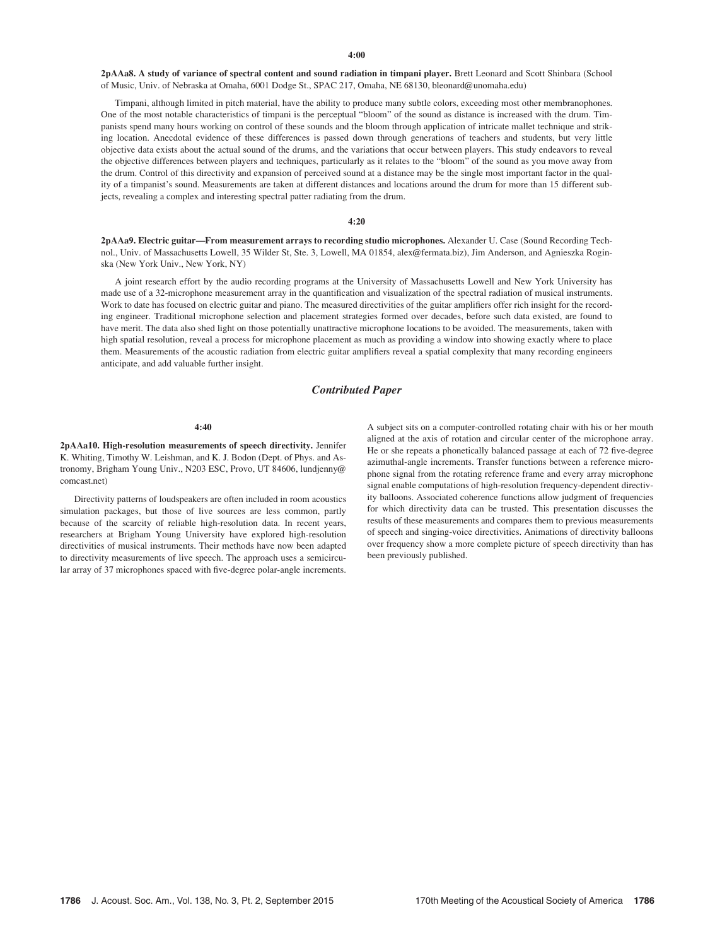2pAAa8. A study of variance of spectral content and sound radiation in timpani player. Brett Leonard and Scott Shinbara (School of Music, Univ. of Nebraska at Omaha, 6001 Dodge St., SPAC 217, Omaha, NE 68130, bleonard@unomaha.edu)

Timpani, although limited in pitch material, have the ability to produce many subtle colors, exceeding most other membranophones. One of the most notable characteristics of timpani is the perceptual "bloom" of the sound as distance is increased with the drum. Timpanists spend many hours working on control of these sounds and the bloom through application of intricate mallet technique and striking location. Anecdotal evidence of these differences is passed down through generations of teachers and students, but very little objective data exists about the actual sound of the drums, and the variations that occur between players. This study endeavors to reveal the objective differences between players and techniques, particularly as it relates to the "bloom" of the sound as you move away from the drum. Control of this directivity and expansion of perceived sound at a distance may be the single most important factor in the quality of a timpanist's sound. Measurements are taken at different distances and locations around the drum for more than 15 different subjects, revealing a complex and interesting spectral patter radiating from the drum.

#### 4:20

2pAAa9. Electric guitar—From measurement arrays to recording studio microphones. Alexander U. Case (Sound Recording Technol., Univ. of Massachusetts Lowell, 35 Wilder St, Ste. 3, Lowell, MA 01854, alex@fermata.biz), Jim Anderson, and Agnieszka Roginska (New York Univ., New York, NY)

A joint research effort by the audio recording programs at the University of Massachusetts Lowell and New York University has made use of a 32-microphone measurement array in the quantification and visualization of the spectral radiation of musical instruments. Work to date has focused on electric guitar and piano. The measured directivities of the guitar amplifiers offer rich insight for the recording engineer. Traditional microphone selection and placement strategies formed over decades, before such data existed, are found to have merit. The data also shed light on those potentially unattractive microphone locations to be avoided. The measurements, taken with high spatial resolution, reveal a process for microphone placement as much as providing a window into showing exactly where to place them. Measurements of the acoustic radiation from electric guitar amplifiers reveal a spatial complexity that many recording engineers anticipate, and add valuable further insight.

## Contributed Paper

#### 4:40

2pAAa10. High-resolution measurements of speech directivity. Jennifer K. Whiting, Timothy W. Leishman, and K. J. Bodon (Dept. of Phys. and Astronomy, Brigham Young Univ., N203 ESC, Provo, UT 84606, lundjenny@ comcast.net)

Directivity patterns of loudspeakers are often included in room acoustics simulation packages, but those of live sources are less common, partly because of the scarcity of reliable high-resolution data. In recent years, researchers at Brigham Young University have explored high-resolution directivities of musical instruments. Their methods have now been adapted to directivity measurements of live speech. The approach uses a semicircular array of 37 microphones spaced with five-degree polar-angle increments. A subject sits on a computer-controlled rotating chair with his or her mouth aligned at the axis of rotation and circular center of the microphone array. He or she repeats a phonetically balanced passage at each of 72 five-degree azimuthal-angle increments. Transfer functions between a reference microphone signal from the rotating reference frame and every array microphone signal enable computations of high-resolution frequency-dependent directivity balloons. Associated coherence functions allow judgment of frequencies for which directivity data can be trusted. This presentation discusses the results of these measurements and compares them to previous measurements of speech and singing-voice directivities. Animations of directivity balloons over frequency show a more complete picture of speech directivity than has been previously published.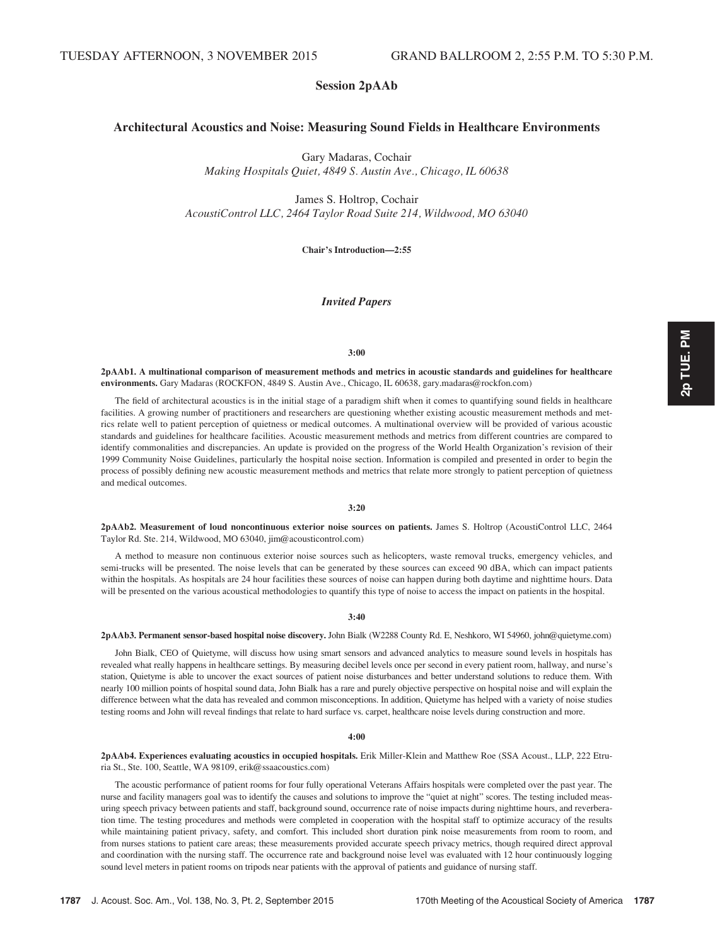# Session 2pAAb

# Architectural Acoustics and Noise: Measuring Sound Fields in Healthcare Environments

Gary Madaras, Cochair

Making Hospitals Quiet, 4849 S. Austin Ave., Chicago, IL 60638

James S. Holtrop, Cochair AcoustiControl LLC, 2464 Taylor Road Suite 214, Wildwood, MO 63040

Chair's Introduction—2:55

# Invited Papers

## 3:00

2pAAb1. A multinational comparison of measurement methods and metrics in acoustic standards and guidelines for healthcare environments. Gary Madaras (ROCKFON, 4849 S. Austin Ave., Chicago, IL 60638, gary.madaras@rockfon.com)

The field of architectural acoustics is in the initial stage of a paradigm shift when it comes to quantifying sound fields in healthcare facilities. A growing number of practitioners and researchers are questioning whether existing acoustic measurement methods and metrics relate well to patient perception of quietness or medical outcomes. A multinational overview will be provided of various acoustic standards and guidelines for healthcare facilities. Acoustic measurement methods and metrics from different countries are compared to identify commonalities and discrepancies. An update is provided on the progress of the World Health Organization's revision of their 1999 Community Noise Guidelines, particularly the hospital noise section. Information is compiled and presented in order to begin the process of possibly defining new acoustic measurement methods and metrics that relate more strongly to patient perception of quietness and medical outcomes.

## 3:20

2pAAb2. Measurement of loud noncontinuous exterior noise sources on patients. James S. Holtrop (AcoustiControl LLC, 2464 Taylor Rd. Ste. 214, Wildwood, MO 63040, jim@acousticontrol.com)

A method to measure non continuous exterior noise sources such as helicopters, waste removal trucks, emergency vehicles, and semi-trucks will be presented. The noise levels that can be generated by these sources can exceed 90 dBA, which can impact patients within the hospitals. As hospitals are 24 hour facilities these sources of noise can happen during both daytime and nighttime hours. Data will be presented on the various acoustical methodologies to quantify this type of noise to access the impact on patients in the hospital.

#### 3:40

## 2pAAb3. Permanent sensor-based hospital noise discovery. John Bialk (W2288 County Rd. E, Neshkoro, WI 54960, john@quietyme.com)

John Bialk, CEO of Quietyme, will discuss how using smart sensors and advanced analytics to measure sound levels in hospitals has revealed what really happens in healthcare settings. By measuring decibel levels once per second in every patient room, hallway, and nurse's station, Quietyme is able to uncover the exact sources of patient noise disturbances and better understand solutions to reduce them. With nearly 100 million points of hospital sound data, John Bialk has a rare and purely objective perspective on hospital noise and will explain the difference between what the data has revealed and common misconceptions. In addition, Quietyme has helped with a variety of noise studies testing rooms and John will reveal findings that relate to hard surface vs. carpet, healthcare noise levels during construction and more.

#### 4:00

2pAAb4. Experiences evaluating acoustics in occupied hospitals. Erik Miller-Klein and Matthew Roe (SSA Acoust., LLP, 222 Etruria St., Ste. 100, Seattle, WA 98109, erik@ssaacoustics.com)

The acoustic performance of patient rooms for four fully operational Veterans Affairs hospitals were completed over the past year. The nurse and facility managers goal was to identify the causes and solutions to improve the "quiet at night" scores. The testing included measuring speech privacy between patients and staff, background sound, occurrence rate of noise impacts during nighttime hours, and reverberation time. The testing procedures and methods were completed in cooperation with the hospital staff to optimize accuracy of the results while maintaining patient privacy, safety, and comfort. This included short duration pink noise measurements from room to room, and from nurses stations to patient care areas; these measurements provided accurate speech privacy metrics, though required direct approval and coordination with the nursing staff. The occurrence rate and background noise level was evaluated with 12 hour continuously logging sound level meters in patient rooms on tripods near patients with the approval of patients and guidance of nursing staff.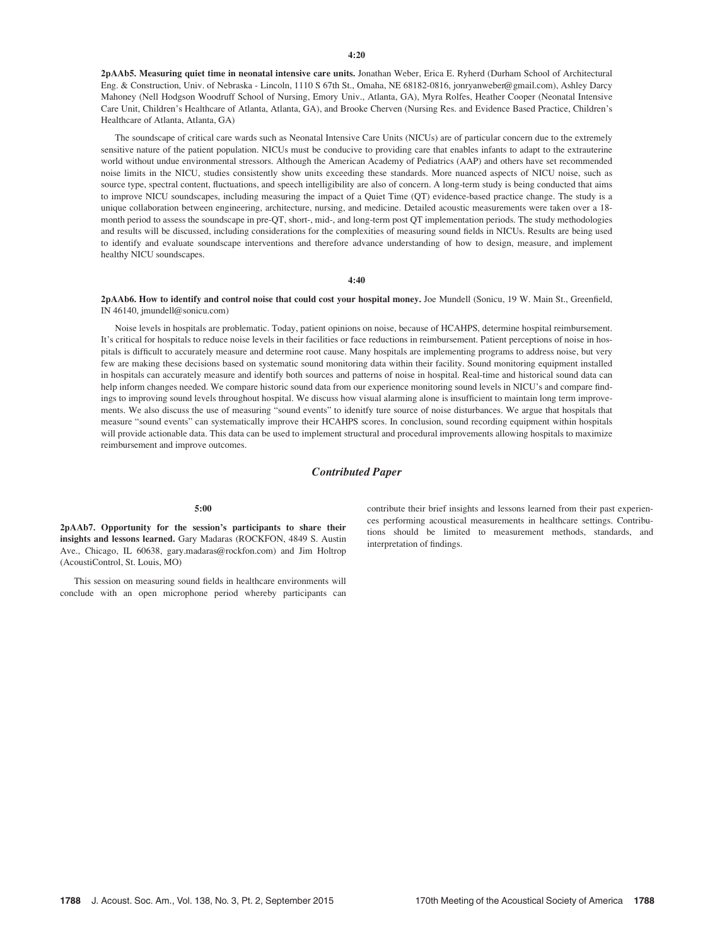2pAAb5. Measuring quiet time in neonatal intensive care units. Jonathan Weber, Erica E. Ryherd (Durham School of Architectural Eng. & Construction, Univ. of Nebraska - Lincoln, 1110 S 67th St., Omaha, NE 68182-0816, jonryanweber@gmail.com), Ashley Darcy Mahoney (Nell Hodgson Woodruff School of Nursing, Emory Univ., Atlanta, GA), Myra Rolfes, Heather Cooper (Neonatal Intensive Care Unit, Children's Healthcare of Atlanta, Atlanta, GA), and Brooke Cherven (Nursing Res. and Evidence Based Practice, Children's Healthcare of Atlanta, Atlanta, GA)

The soundscape of critical care wards such as Neonatal Intensive Care Units (NICUs) are of particular concern due to the extremely sensitive nature of the patient population. NICUs must be conducive to providing care that enables infants to adapt to the extrauterine world without undue environmental stressors. Although the American Academy of Pediatrics (AAP) and others have set recommended noise limits in the NICU, studies consistently show units exceeding these standards. More nuanced aspects of NICU noise, such as source type, spectral content, fluctuations, and speech intelligibility are also of concern. A long-term study is being conducted that aims to improve NICU soundscapes, including measuring the impact of a Quiet Time (QT) evidence-based practice change. The study is a unique collaboration between engineering, architecture, nursing, and medicine. Detailed acoustic measurements were taken over a 18 month period to assess the soundscape in pre-QT, short-, mid-, and long-term post QT implementation periods. The study methodologies and results will be discussed, including considerations for the complexities of measuring sound fields in NICUs. Results are being used to identify and evaluate soundscape interventions and therefore advance understanding of how to design, measure, and implement healthy NICU soundscapes.

4:40

2pAAb6. How to identify and control noise that could cost your hospital money. Joe Mundell (Sonicu, 19 W. Main St., Greenfield, IN 46140, jmundell@sonicu.com)

Noise levels in hospitals are problematic. Today, patient opinions on noise, because of HCAHPS, determine hospital reimbursement. It's critical for hospitals to reduce noise levels in their facilities or face reductions in reimbursement. Patient perceptions of noise in hospitals is difficult to accurately measure and determine root cause. Many hospitals are implementing programs to address noise, but very few are making these decisions based on systematic sound monitoring data within their facility. Sound monitoring equipment installed in hospitals can accurately measure and identify both sources and patterns of noise in hospital. Real-time and historical sound data can help inform changes needed. We compare historic sound data from our experience monitoring sound levels in NICU's and compare findings to improving sound levels throughout hospital. We discuss how visual alarming alone is insufficient to maintain long term improvements. We also discuss the use of measuring "sound events" to idenitfy ture source of noise disturbances. We argue that hospitals that measure "sound events" can systematically improve their HCAHPS scores. In conclusion, sound recording equipment within hospitals will provide actionable data. This data can be used to implement structural and procedural improvements allowing hospitals to maximize reimbursement and improve outcomes.

# Contributed Paper

#### 5:00

2pAAb7. Opportunity for the session's participants to share their insights and lessons learned. Gary Madaras (ROCKFON, 4849 S. Austin Ave., Chicago, IL 60638, gary.madaras@rockfon.com) and Jim Holtrop (AcoustiControl, St. Louis, MO)

This session on measuring sound fields in healthcare environments will conclude with an open microphone period whereby participants can contribute their brief insights and lessons learned from their past experiences performing acoustical measurements in healthcare settings. Contributions should be limited to measurement methods, standards, and interpretation of findings.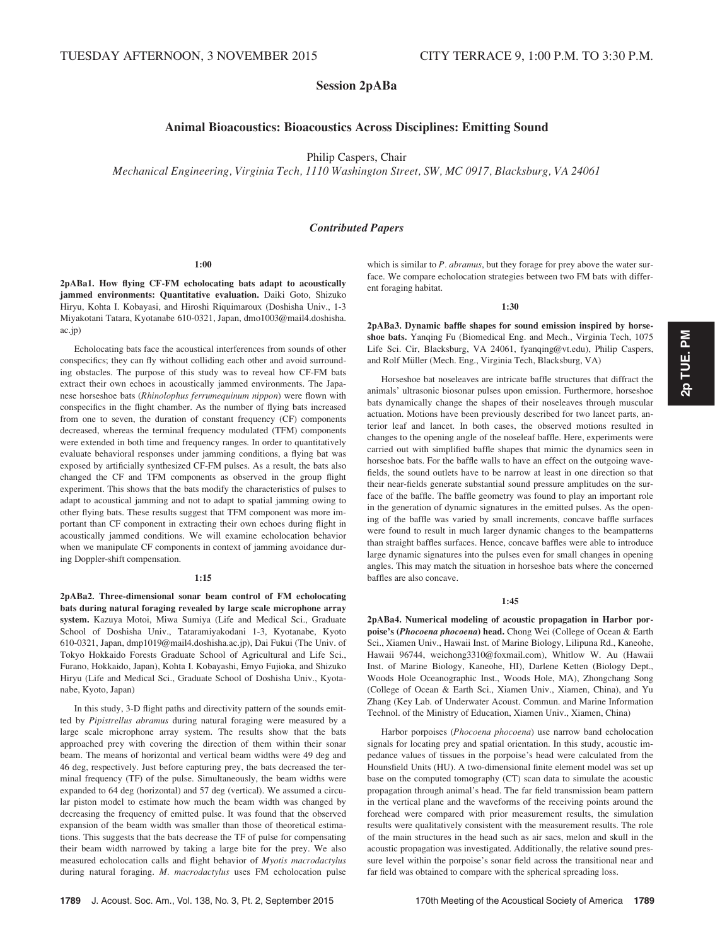# Session 2pABa

# Animal Bioacoustics: Bioacoustics Across Disciplines: Emitting Sound

Philip Caspers, Chair

Mechanical Engineering, Virginia Tech, 1110 Washington Street, SW, MC 0917, Blacksburg, VA 24061

# Contributed Papers

#### 1:00

2pABa1. How flying CF-FM echolocating bats adapt to acoustically jammed environments: Quantitative evaluation. Daiki Goto, Shizuko Hiryu, Kohta I. Kobayasi, and Hiroshi Riquimaroux (Doshisha Univ., 1-3 Miyakotani Tatara, Kyotanabe 610-0321, Japan, dmo1003@mail4.doshisha. ac.jp)

Echolocating bats face the acoustical interferences from sounds of other conspecifics; they can fly without colliding each other and avoid surrounding obstacles. The purpose of this study was to reveal how CF-FM bats extract their own echoes in acoustically jammed environments. The Japanese horseshoe bats (Rhinolophus ferrumequinum nippon) were flown with conspecifics in the flight chamber. As the number of flying bats increased from one to seven, the duration of constant frequency (CF) components decreased, whereas the terminal frequency modulated (TFM) components were extended in both time and frequency ranges. In order to quantitatively evaluate behavioral responses under jamming conditions, a flying bat was exposed by artificially synthesized CF-FM pulses. As a result, the bats also changed the CF and TFM components as observed in the group flight experiment. This shows that the bats modify the characteristics of pulses to adapt to acoustical jamming and not to adapt to spatial jamming owing to other flying bats. These results suggest that TFM component was more important than CF component in extracting their own echoes during flight in acoustically jammed conditions. We will examine echolocation behavior when we manipulate CF components in context of jamming avoidance during Doppler-shift compensation.

#### 1:15

2pABa2. Three-dimensional sonar beam control of FM echolocating bats during natural foraging revealed by large scale microphone array system. Kazuya Motoi, Miwa Sumiya (Life and Medical Sci., Graduate School of Doshisha Univ., Tataramiyakodani 1-3, Kyotanabe, Kyoto 610-0321, Japan, dmp1019@mail4.doshisha.ac.jp), Dai Fukui (The Univ. of Tokyo Hokkaido Forests Graduate School of Agricultural and Life Sci., Furano, Hokkaido, Japan), Kohta I. Kobayashi, Emyo Fujioka, and Shizuko Hiryu (Life and Medical Sci., Graduate School of Doshisha Univ., Kyotanabe, Kyoto, Japan)

In this study, 3-D flight paths and directivity pattern of the sounds emitted by Pipistrellus abramus during natural foraging were measured by a large scale microphone array system. The results show that the bats approached prey with covering the direction of them within their sonar beam. The means of horizontal and vertical beam widths were 49 deg and 46 deg, respectively. Just before capturing prey, the bats decreased the terminal frequency (TF) of the pulse. Simultaneously, the beam widths were expanded to 64 deg (horizontal) and 57 deg (vertical). We assumed a circular piston model to estimate how much the beam width was changed by decreasing the frequency of emitted pulse. It was found that the observed expansion of the beam width was smaller than those of theoretical estimations. This suggests that the bats decrease the TF of pulse for compensating their beam width narrowed by taking a large bite for the prey. We also measured echolocation calls and flight behavior of Myotis macrodactylus during natural foraging. M. macrodactylus uses FM echolocation pulse which is similar to  $P$ . abramus, but they forage for prey above the water surface. We compare echolocation strategies between two FM bats with different foraging habitat.

# 1:30

2pABa3. Dynamic baffle shapes for sound emission inspired by horseshoe bats. Yanqing Fu (Biomedical Eng. and Mech., Virginia Tech, 1075 Life Sci. Cir, Blacksburg, VA 24061, fyanqing@vt.edu), Philip Caspers, and Rolf Müller (Mech. Eng., Virginia Tech, Blacksburg, VA)

Horseshoe bat noseleaves are intricate baffle structures that diffract the animals' ultrasonic biosonar pulses upon emission. Furthermore, horseshoe bats dynamically change the shapes of their noseleaves through muscular actuation. Motions have been previously described for two lancet parts, anterior leaf and lancet. In both cases, the observed motions resulted in changes to the opening angle of the noseleaf baffle. Here, experiments were carried out with simplified baffle shapes that mimic the dynamics seen in horseshoe bats. For the baffle walls to have an effect on the outgoing wavefields, the sound outlets have to be narrow at least in one direction so that their near-fields generate substantial sound pressure amplitudes on the surface of the baffle. The baffle geometry was found to play an important role in the generation of dynamic signatures in the emitted pulses. As the opening of the baffle was varied by small increments, concave baffle surfaces were found to result in much larger dynamic changes to the beampatterns than straight baffles surfaces. Hence, concave baffles were able to introduce large dynamic signatures into the pulses even for small changes in opening angles. This may match the situation in horseshoe bats where the concerned baffles are also concave.

## 1:45

2pABa4. Numerical modeling of acoustic propagation in Harbor porpoise's (Phocoena phocoena) head. Chong Wei (College of Ocean & Earth Sci., Xiamen Univ., Hawaii Inst. of Marine Biology, Lilipuna Rd., Kaneohe, Hawaii 96744, weichong3310@foxmail.com), Whitlow W. Au (Hawaii Inst. of Marine Biology, Kaneohe, HI), Darlene Ketten (Biology Dept., Woods Hole Oceanographic Inst., Woods Hole, MA), Zhongchang Song (College of Ocean & Earth Sci., Xiamen Univ., Xiamen, China), and Yu Zhang (Key Lab. of Underwater Acoust. Commun. and Marine Information Technol. of the Ministry of Education, Xiamen Univ., Xiamen, China)

Harbor porpoises (Phocoena phocoena) use narrow band echolocation signals for locating prey and spatial orientation. In this study, acoustic impedance values of tissues in the porpoise's head were calculated from the Hounsfield Units (HU). A two-dimensional finite element model was set up base on the computed tomography (CT) scan data to simulate the acoustic propagation through animal's head. The far field transmission beam pattern in the vertical plane and the waveforms of the receiving points around the forehead were compared with prior measurement results, the simulation results were qualitatively consistent with the measurement results. The role of the main structures in the head such as air sacs, melon and skull in the acoustic propagation was investigated. Additionally, the relative sound pressure level within the porpoise's sonar field across the transitional near and far field was obtained to compare with the spherical spreading loss.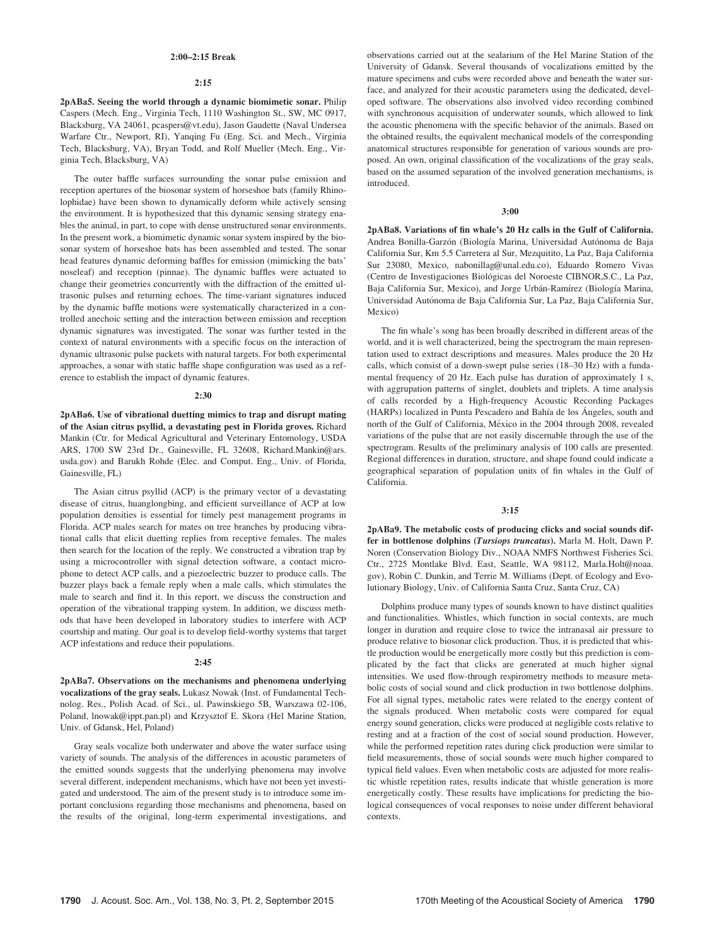## 2:00–2:15 Break

#### 2:15

2pABa5. Seeing the world through a dynamic biomimetic sonar. Philip Caspers (Mech. Eng., Virginia Tech, 1110 Washington St., SW, MC 0917, Blacksburg, VA 24061, pcaspers@vt.edu), Jason Gaudette (Naval Undersea Warfare Ctr., Newport, RI), Yanqing Fu (Eng. Sci. and Mech., Virginia Tech, Blacksburg, VA), Bryan Todd, and Rolf Mueller (Mech. Eng., Virginia Tech, Blacksburg, VA)

The outer baffle surfaces surrounding the sonar pulse emission and reception apertures of the biosonar system of horseshoe bats (family Rhinolophidae) have been shown to dynamically deform while actively sensing the environment. It is hypothesized that this dynamic sensing strategy enables the animal, in part, to cope with dense unstructured sonar environments. In the present work, a biomimetic dynamic sonar system inspired by the biosonar system of horseshoe bats has been assembled and tested. The sonar head features dynamic deforming baffles for emission (mimicking the bats' noseleaf) and reception (pinnae). The dynamic baffles were actuated to change their geometries concurrently with the diffraction of the emitted ultrasonic pulses and returning echoes. The time-variant signatures induced by the dynamic baffle motions were systematically characterized in a controlled anechoic setting and the interaction between emission and reception dynamic signatures was investigated. The sonar was further tested in the context of natural environments with a specific focus on the interaction of dynamic ultrasonic pulse packets with natural targets. For both experimental approaches, a sonar with static baffle shape configuration was used as a reference to establish the impact of dynamic features.

#### 2:30

2pABa6. Use of vibrational duetting mimics to trap and disrupt mating of the Asian citrus psyllid, a devastating pest in Florida groves. Richard Mankin (Ctr. for Medical Agricultural and Veterinary Entomology, USDA ARS, 1700 SW 23rd Dr., Gainesville, FL 32608, Richard.Mankin@ars. usda.gov) and Barukh Rohde (Elec. and Comput. Eng., Univ. of Florida, Gainesville, FL)

The Asian citrus psyllid (ACP) is the primary vector of a devastating disease of citrus, huanglongbing, and efficient surveillance of ACP at low population densities is essential for timely pest management programs in Florida. ACP males search for mates on tree branches by producing vibrational calls that elicit duetting replies from receptive females. The males then search for the location of the reply. We constructed a vibration trap by using a microcontroller with signal detection software, a contact microphone to detect ACP calls, and a piezoelectric buzzer to produce calls. The buzzer plays back a female reply when a male calls, which stimulates the male to search and find it. In this report, we discuss the construction and operation of the vibrational trapping system. In addition, we discuss methods that have been developed in laboratory studies to interfere with ACP courtship and mating. Our goal is to develop field-worthy systems that target ACP infestations and reduce their populations.

#### 2:45

2pABa7. Observations on the mechanisms and phenomena underlying vocalizations of the gray seals. Lukasz Nowak (Inst. of Fundamental Technolog. Res., Polish Acad. of Sci., ul. Pawinskiego 5B, Warszawa 02-106, Poland, lnowak@ippt.pan.pl) and Krzysztof E. Skora (Hel Marine Station, Univ. of Gdansk, Hel, Poland)

Gray seals vocalize both underwater and above the water surface using variety of sounds. The analysis of the differences in acoustic parameters of the emitted sounds suggests that the underlying phenomena may involve several different, independent mechanisms, which have not been yet investigated and understood. The aim of the present study is to introduce some important conclusions regarding those mechanisms and phenomena, based on the results of the original, long-term experimental investigations, and observations carried out at the sealarium of the Hel Marine Station of the University of Gdansk. Several thousands of vocalizations emitted by the mature specimens and cubs were recorded above and beneath the water surface, and analyzed for their acoustic parameters using the dedicated, developed software. The observations also involved video recording combined with synchronous acquisition of underwater sounds, which allowed to link the acoustic phenomena with the specific behavior of the animals. Based on the obtained results, the equivalent mechanical models of the corresponding anatomical structures responsible for generation of various sounds are proposed. An own, original classification of the vocalizations of the gray seals, based on the assumed separation of the involved generation mechanisms, is introduced.

## 3:00

2pABa8. Variations of fin whale's 20 Hz calls in the Gulf of California. Andrea Bonilla-Garzón (Biología Marina, Universidad Autónoma de Baja California Sur, Km 5.5 Carretera al Sur, Mezquitito, La Paz, Baja California Sur 23080, Mexico, nabonillag@unal.edu.co), Eduardo Romero Vivas (Centro de Investigaciones Biológicas del Noroeste CIBNOR, S.C., La Paz, Baja California Sur, Mexico), and Jorge Urbán-Ramírez (Biología Marina, Universidad Autónoma de Baja California Sur, La Paz, Baja California Sur, Mexico)

The fin whale's song has been broadly described in different areas of the world, and it is well characterized, being the spectrogram the main representation used to extract descriptions and measures. Males produce the 20 Hz calls, which consist of a down-swept pulse series (18–30 Hz) with a fundamental frequency of 20 Hz. Each pulse has duration of approximately 1 s, with aggrupation patterns of singlet, doublets and triplets. A time analysis of calls recorded by a High-frequency Acoustic Recording Packages (HARPs) localized in Punta Pescadero and Bahía de los Ángeles, south and north of the Gulf of California, México in the 2004 through 2008, revealed variations of the pulse that are not easily discernable through the use of the spectrogram. Results of the preliminary analysis of 100 calls are presented. Regional differences in duration, structure, and shape found could indicate a geographical separation of population units of fin whales in the Gulf of California.

# 3:15

2pABa9. The metabolic costs of producing clicks and social sounds differ in bottlenose dolphins (Tursiops truncatus). Marla M. Holt, Dawn P. Noren (Conservation Biology Div., NOAA NMFS Northwest Fisheries Sci. Ctr., 2725 Montlake Blvd. East, Seattle, WA 98112, Marla.Holt@noaa. gov), Robin C. Dunkin, and Terrie M. Williams (Dept. of Ecology and Evolutionary Biology, Univ. of California Santa Cruz, Santa Cruz, CA)

Dolphins produce many types of sounds known to have distinct qualities and functionalities. Whistles, which function in social contexts, are much longer in duration and require close to twice the intranasal air pressure to produce relative to biosonar click production. Thus, it is predicted that whistle production would be energetically more costly but this prediction is complicated by the fact that clicks are generated at much higher signal intensities. We used flow-through respirometry methods to measure metabolic costs of social sound and click production in two bottlenose dolphins. For all signal types, metabolic rates were related to the energy content of the signals produced. When metabolic costs were compared for equal energy sound generation, clicks were produced at negligible costs relative to resting and at a fraction of the cost of social sound production. However, while the performed repetition rates during click production were similar to field measurements, those of social sounds were much higher compared to typical field values. Even when metabolic costs are adjusted for more realistic whistle repetition rates, results indicate that whistle generation is more energetically costly. These results have implications for predicting the biological consequences of vocal responses to noise under different behavioral contexts.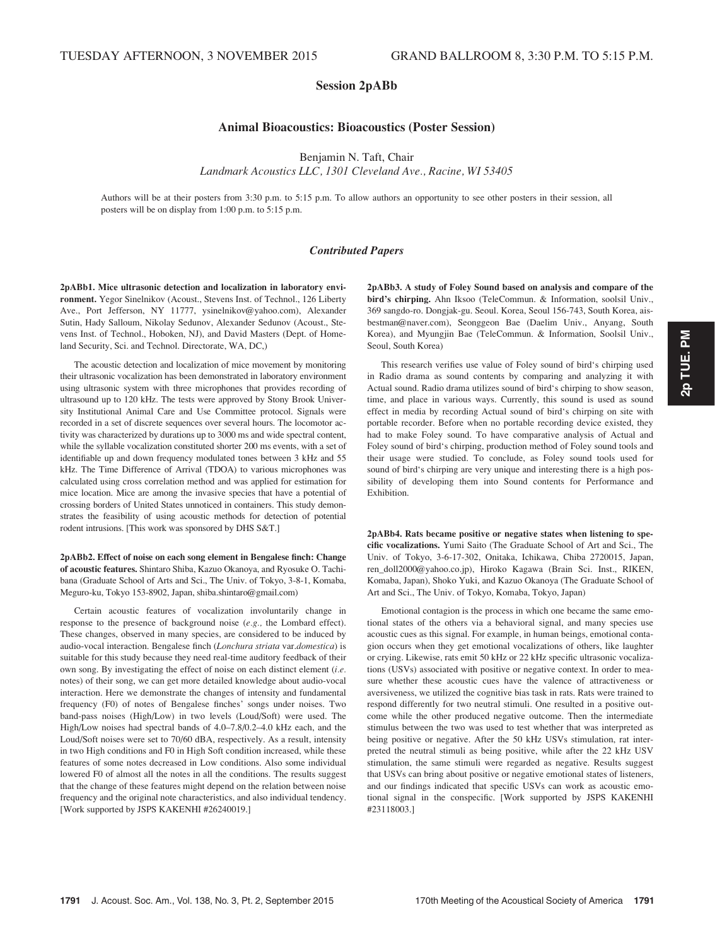# Session 2pABb

# Animal Bioacoustics: Bioacoustics (Poster Session)

Benjamin N. Taft, Chair

Landmark Acoustics LLC, 1301 Cleveland Ave., Racine, WI 53405

Authors will be at their posters from 3:30 p.m. to 5:15 p.m. To allow authors an opportunity to see other posters in their session, all posters will be on display from 1:00 p.m. to 5:15 p.m.

# Contributed Papers

2pABb1. Mice ultrasonic detection and localization in laboratory environment. Yegor Sinelnikov (Acoust., Stevens Inst. of Technol., 126 Liberty Ave., Port Jefferson, NY 11777, ysinelnikov@yahoo.com), Alexander Sutin, Hady Salloum, Nikolay Sedunov, Alexander Sedunov (Acoust., Stevens Inst. of Technol., Hoboken, NJ), and David Masters (Dept. of Homeland Security, Sci. and Technol. Directorate, WA, DC,)

The acoustic detection and localization of mice movement by monitoring their ultrasonic vocalization has been demonstrated in laboratory environment using ultrasonic system with three microphones that provides recording of ultrasound up to 120 kHz. The tests were approved by Stony Brook University Institutional Animal Care and Use Committee protocol. Signals were recorded in a set of discrete sequences over several hours. The locomotor activity was characterized by durations up to 3000 ms and wide spectral content, while the syllable vocalization constituted shorter 200 ms events, with a set of identifiable up and down frequency modulated tones between 3 kHz and 55 kHz. The Time Difference of Arrival (TDOA) to various microphones was calculated using cross correlation method and was applied for estimation for mice location. Mice are among the invasive species that have a potential of crossing borders of United States unnoticed in containers. This study demonstrates the feasibility of using acoustic methods for detection of potential rodent intrusions. [This work was sponsored by DHS S&T.]

2pABb2. Effect of noise on each song element in Bengalese finch: Change of acoustic features. Shintaro Shiba, Kazuo Okanoya, and Ryosuke O. Tachibana (Graduate School of Arts and Sci., The Univ. of Tokyo, 3-8-1, Komaba, Meguro-ku, Tokyo 153-8902, Japan, shiba.shintaro@gmail.com)

Certain acoustic features of vocalization involuntarily change in response to the presence of background noise (e.g., the Lombard effect). These changes, observed in many species, are considered to be induced by audio-vocal interaction. Bengalese finch (Lonchura striata var.domestica) is suitable for this study because they need real-time auditory feedback of their own song. By investigating the effect of noise on each distinct element (i.e. notes) of their song, we can get more detailed knowledge about audio-vocal interaction. Here we demonstrate the changes of intensity and fundamental frequency (F0) of notes of Bengalese finches' songs under noises. Two band-pass noises (High/Low) in two levels (Loud/Soft) were used. The High/Low noises had spectral bands of 4.0–7.8/0.2–4.0 kHz each, and the Loud/Soft noises were set to 70/60 dBA, respectively. As a result, intensity in two High conditions and F0 in High Soft condition increased, while these features of some notes decreased in Low conditions. Also some individual lowered F0 of almost all the notes in all the conditions. The results suggest that the change of these features might depend on the relation between noise frequency and the original note characteristics, and also individual tendency. [Work supported by JSPS KAKENHI #26240019.]

2pABb3. A study of Foley Sound based on analysis and compare of the bird's chirping. Ahn Iksoo (TeleCommun. & Information, soolsil Univ., 369 sangdo-ro. Dongjak-gu. Seoul. Korea, Seoul 156-743, South Korea, aisbestman@naver.com), Seonggeon Bae (Daelim Univ., Anyang, South Korea), and Myungjin Bae (TeleCommun. & Information, Soolsil Univ., Seoul, South Korea)

This research verifies use value of Foley sound of bird's chirping used in Radio drama as sound contents by comparing and analyzing it with Actual sound. Radio drama utilizes sound of bird's chirping to show season, time, and place in various ways. Currently, this sound is used as sound effect in media by recording Actual sound of bird's chirping on site with portable recorder. Before when no portable recording device existed, they had to make Foley sound. To have comparative analysis of Actual and Foley sound of bird's chirping, production method of Foley sound tools and their usage were studied. To conclude, as Foley sound tools used for sound of bird's chirping are very unique and interesting there is a high possibility of developing them into Sound contents for Performance and Exhibition.

2pABb4. Rats became positive or negative states when listening to specific vocalizations. Yumi Saito (The Graduate School of Art and Sci., The Univ. of Tokyo, 3-6-17-302, Onitaka, Ichikawa, Chiba 2720015, Japan, ren\_doll2000@yahoo.co.jp), Hiroko Kagawa (Brain Sci. Inst., RIKEN, Komaba, Japan), Shoko Yuki, and Kazuo Okanoya (The Graduate School of Art and Sci., The Univ. of Tokyo, Komaba, Tokyo, Japan)

Emotional contagion is the process in which one became the same emotional states of the others via a behavioral signal, and many species use acoustic cues as this signal. For example, in human beings, emotional contagion occurs when they get emotional vocalizations of others, like laughter or crying. Likewise, rats emit 50 kHz or 22 kHz specific ultrasonic vocalizations (USVs) associated with positive or negative context. In order to measure whether these acoustic cues have the valence of attractiveness or aversiveness, we utilized the cognitive bias task in rats. Rats were trained to respond differently for two neutral stimuli. One resulted in a positive outcome while the other produced negative outcome. Then the intermediate stimulus between the two was used to test whether that was interpreted as being positive or negative. After the 50 kHz USVs stimulation, rat interpreted the neutral stimuli as being positive, while after the 22 kHz USV stimulation, the same stimuli were regarded as negative. Results suggest that USVs can bring about positive or negative emotional states of listeners, and our findings indicated that specific USVs can work as acoustic emotional signal in the conspecific. [Work supported by JSPS KAKENHI #23118003.]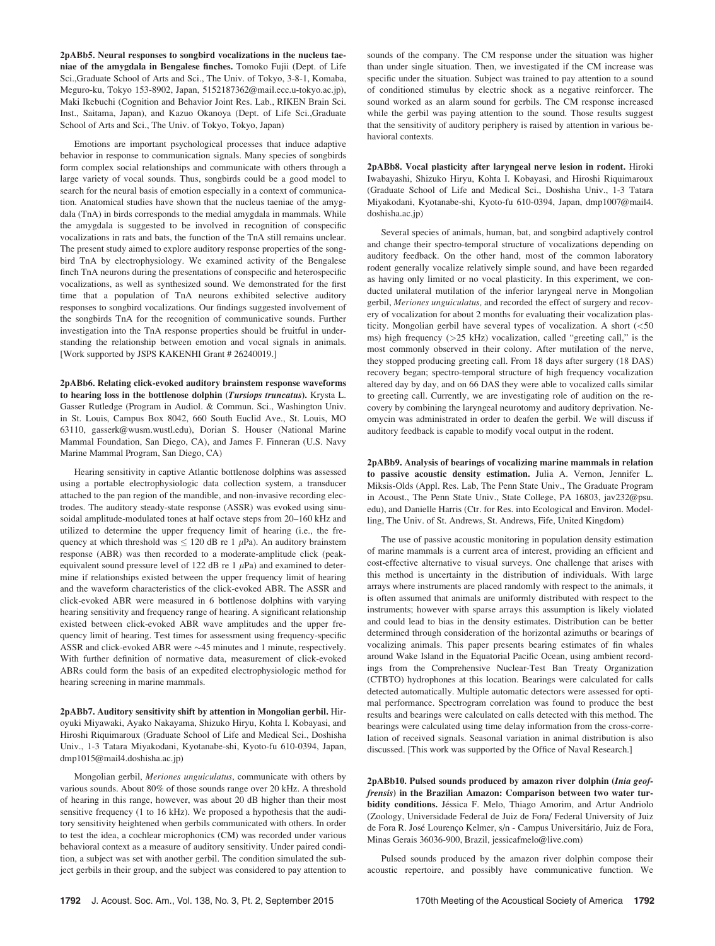2pABb5. Neural responses to songbird vocalizations in the nucleus taeniae of the amygdala in Bengalese finches. Tomoko Fujii (Dept. of Life Sci.,Graduate School of Arts and Sci., The Univ. of Tokyo, 3-8-1, Komaba, Meguro-ku, Tokyo 153-8902, Japan, 5152187362@mail.ecc.u-tokyo.ac.jp), Maki Ikebuchi (Cognition and Behavior Joint Res. Lab., RIKEN Brain Sci. Inst., Saitama, Japan), and Kazuo Okanoya (Dept. of Life Sci.,Graduate School of Arts and Sci., The Univ. of Tokyo, Tokyo, Japan)

Emotions are important psychological processes that induce adaptive behavior in response to communication signals. Many species of songbirds form complex social relationships and communicate with others through a large variety of vocal sounds. Thus, songbirds could be a good model to search for the neural basis of emotion especially in a context of communication. Anatomical studies have shown that the nucleus taeniae of the amygdala (TnA) in birds corresponds to the medial amygdala in mammals. While the amygdala is suggested to be involved in recognition of conspecific vocalizations in rats and bats, the function of the TnA still remains unclear. The present study aimed to explore auditory response properties of the songbird TnA by electrophysiology. We examined activity of the Bengalese finch TnA neurons during the presentations of conspecific and heterospecific vocalizations, as well as synthesized sound. We demonstrated for the first time that a population of TnA neurons exhibited selective auditory responses to songbird vocalizations. Our findings suggested involvement of the songbirds TnA for the recognition of communicative sounds. Further investigation into the TnA response properties should be fruitful in understanding the relationship between emotion and vocal signals in animals. [Work supported by JSPS KAKENHI Grant # 26240019.]

2pABb6. Relating click-evoked auditory brainstem response waveforms to hearing loss in the bottlenose dolphin (Tursiops truncatus). Krysta L. Gasser Rutledge (Program in Audiol. & Commun. Sci., Washington Univ. in St. Louis, Campus Box 8042, 660 South Euclid Ave., St. Louis, MO 63110, gasserk@wusm.wustl.edu), Dorian S. Houser (National Marine Mammal Foundation, San Diego, CA), and James F. Finneran (U.S. Navy Marine Mammal Program, San Diego, CA)

Hearing sensitivity in captive Atlantic bottlenose dolphins was assessed using a portable electrophysiologic data collection system, a transducer attached to the pan region of the mandible, and non-invasive recording electrodes. The auditory steady-state response (ASSR) was evoked using sinusoidal amplitude-modulated tones at half octave steps from 20–160 kHz and utilized to determine the upper frequency limit of hearing (i.e., the frequency at which threshold was  $\leq 120$  dB re 1  $\mu$ Pa). An auditory brainstem response (ABR) was then recorded to a moderate-amplitude click (peakequivalent sound pressure level of 122 dB re 1  $\mu$ Pa) and examined to determine if relationships existed between the upper frequency limit of hearing and the waveform characteristics of the click-evoked ABR. The ASSR and click-evoked ABR were measured in 6 bottlenose dolphins with varying hearing sensitivity and frequency range of hearing. A significant relationship existed between click-evoked ABR wave amplitudes and the upper frequency limit of hearing. Test times for assessment using frequency-specific ASSR and click-evoked ABR were  $\sim$  45 minutes and 1 minute, respectively. With further definition of normative data, measurement of click-evoked ABRs could form the basis of an expedited electrophysiologic method for hearing screening in marine mammals.

2pABb7. Auditory sensitivity shift by attention in Mongolian gerbil. Hiroyuki Miyawaki, Ayako Nakayama, Shizuko Hiryu, Kohta I. Kobayasi, and Hiroshi Riquimaroux (Graduate School of Life and Medical Sci., Doshisha Univ., 1-3 Tatara Miyakodani, Kyotanabe-shi, Kyoto-fu 610-0394, Japan, dmp1015@mail4.doshisha.ac.jp)

Mongolian gerbil, Meriones unguiculatus, communicate with others by various sounds. About 80% of those sounds range over 20 kHz. A threshold of hearing in this range, however, was about 20 dB higher than their most sensitive frequency (1 to 16 kHz). We proposed a hypothesis that the auditory sensitivity heightened when gerbils communicated with others. In order to test the idea, a cochlear microphonics (CM) was recorded under various behavioral context as a measure of auditory sensitivity. Under paired condition, a subject was set with another gerbil. The condition simulated the subject gerbils in their group, and the subject was considered to pay attention to sounds of the company. The CM response under the situation was higher than under single situation. Then, we investigated if the CM increase was specific under the situation. Subject was trained to pay attention to a sound of conditioned stimulus by electric shock as a negative reinforcer. The sound worked as an alarm sound for gerbils. The CM response increased while the gerbil was paying attention to the sound. Those results suggest that the sensitivity of auditory periphery is raised by attention in various behavioral contexts.

2pABb8. Vocal plasticity after laryngeal nerve lesion in rodent. Hiroki Iwabayashi, Shizuko Hiryu, Kohta I. Kobayasi, and Hiroshi Riquimaroux (Graduate School of Life and Medical Sci., Doshisha Univ., 1-3 Tatara Miyakodani, Kyotanabe-shi, Kyoto-fu 610-0394, Japan, dmp1007@mail4. doshisha.ac.jp)

Several species of animals, human, bat, and songbird adaptively control and change their spectro-temporal structure of vocalizations depending on auditory feedback. On the other hand, most of the common laboratory rodent generally vocalize relatively simple sound, and have been regarded as having only limited or no vocal plasticity. In this experiment, we conducted unilateral mutilation of the inferior laryngeal nerve in Mongolian gerbil, Meriones unguiculatus, and recorded the effect of surgery and recovery of vocalization for about 2 months for evaluating their vocalization plasticity. Mongolian gerbil have several types of vocalization. A short (<50 ms) high frequency  $(>=25 \text{ kHz})$  vocalization, called "greeting call," is the most commonly observed in their colony. After mutilation of the nerve, they stopped producing greeting call. From 18 days after surgery (18 DAS) recovery began; spectro-temporal structure of high frequency vocalization altered day by day, and on 66 DAS they were able to vocalized calls similar to greeting call. Currently, we are investigating role of audition on the recovery by combining the laryngeal neurotomy and auditory deprivation. Neomycin was administrated in order to deafen the gerbil. We will discuss if auditory feedback is capable to modify vocal output in the rodent.

2pABb9. Analysis of bearings of vocalizing marine mammals in relation to passive acoustic density estimation. Julia A. Vernon, Jennifer L. Miksis-Olds (Appl. Res. Lab, The Penn State Univ., The Graduate Program in Acoust., The Penn State Univ., State College, PA 16803, jav232@psu. edu), and Danielle Harris (Ctr. for Res. into Ecological and Environ. Modelling, The Univ. of St. Andrews, St. Andrews, Fife, United Kingdom)

The use of passive acoustic monitoring in population density estimation of marine mammals is a current area of interest, providing an efficient and cost-effective alternative to visual surveys. One challenge that arises with this method is uncertainty in the distribution of individuals. With large arrays where instruments are placed randomly with respect to the animals, it is often assumed that animals are uniformly distributed with respect to the instruments; however with sparse arrays this assumption is likely violated and could lead to bias in the density estimates. Distribution can be better determined through consideration of the horizontal azimuths or bearings of vocalizing animals. This paper presents bearing estimates of fin whales around Wake Island in the Equatorial Pacific Ocean, using ambient recordings from the Comprehensive Nuclear-Test Ban Treaty Organization (CTBTO) hydrophones at this location. Bearings were calculated for calls detected automatically. Multiple automatic detectors were assessed for optimal performance. Spectrogram correlation was found to produce the best results and bearings were calculated on calls detected with this method. The bearings were calculated using time delay information from the cross-correlation of received signals. Seasonal variation in animal distribution is also discussed. [This work was supported by the Office of Naval Research.]

2pABb10. Pulsed sounds produced by amazon river dolphin (Inia geoffrensis) in the Brazilian Amazon: Comparison between two water turbidity conditions. Jéssica F. Melo, Thiago Amorim, and Artur Andriolo (Zoology, Universidade Federal de Juiz de Fora/ Federal University of Juiz de Fora R. José Lourenço Kelmer, s/n - Campus Universitário, Juiz de Fora, Minas Gerais 36036-900, Brazil, jessicafmelo@live.com)

Pulsed sounds produced by the amazon river dolphin compose their acoustic repertoire, and possibly have communicative function. We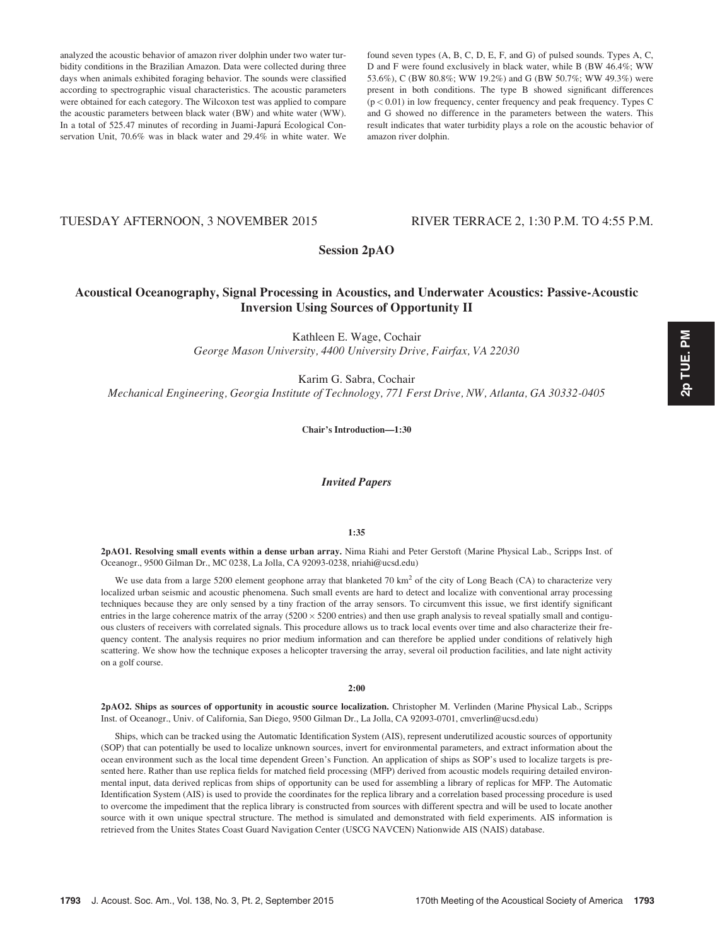analyzed the acoustic behavior of amazon river dolphin under two water turbidity conditions in the Brazilian Amazon. Data were collected during three days when animals exhibited foraging behavior. The sounds were classified according to spectrographic visual characteristics. The acoustic parameters were obtained for each category. The Wilcoxon test was applied to compare the acoustic parameters between black water (BW) and white water (WW). In a total of 525.47 minutes of recording in Juami-Japurá Ecological Conservation Unit, 70.6% was in black water and 29.4% in white water. We

found seven types (A, B, C, D, E, F, and G) of pulsed sounds. Types A, C, D and F were found exclusively in black water, while B (BW 46.4%; WW 53.6%), C (BW 80.8%; WW 19.2%) and G (BW 50.7%; WW 49.3%) were present in both conditions. The type B showed significant differences (p < 0.01) in low frequency, center frequency and peak frequency. Types C and G showed no difference in the parameters between the waters. This result indicates that water turbidity plays a role on the acoustic behavior of amazon river dolphin.

# TUESDAY AFTERNOON, 3 NOVEMBER 2015 RIVER TERRACE 2, 1:30 P.M. TO 4:55 P.M.

# Session 2pAO

# Acoustical Oceanography, Signal Processing in Acoustics, and Underwater Acoustics: Passive-Acoustic Inversion Using Sources of Opportunity II

Kathleen E. Wage, Cochair George Mason University, 4400 University Drive, Fairfax, VA 22030

Karim G. Sabra, Cochair Mechanical Engineering, Georgia Institute of Technology, 771 Ferst Drive, NW, Atlanta, GA 30332-0405

Chair's Introduction—1:30

Invited Papers

#### 1:35

2pAO1. Resolving small events within a dense urban array. Nima Riahi and Peter Gerstoft (Marine Physical Lab., Scripps Inst. of Oceanogr., 9500 Gilman Dr., MC 0238, La Jolla, CA 92093-0238, nriahi@ucsd.edu)

We use data from a large 5200 element geophone array that blanketed 70 km<sup>2</sup> of the city of Long Beach (CA) to characterize very localized urban seismic and acoustic phenomena. Such small events are hard to detect and localize with conventional array processing techniques because they are only sensed by a tiny fraction of the array sensors. To circumvent this issue, we first identify significant entries in the large coherence matrix of the array  $(5200 \times 5200$  entries) and then use graph analysis to reveal spatially small and contiguous clusters of receivers with correlated signals. This procedure allows us to track local events over time and also characterize their frequency content. The analysis requires no prior medium information and can therefore be applied under conditions of relatively high scattering. We show how the technique exposes a helicopter traversing the array, several oil production facilities, and late night activity on a golf course.

#### 2:00

2pAO2. Ships as sources of opportunity in acoustic source localization. Christopher M. Verlinden (Marine Physical Lab., Scripps Inst. of Oceanogr., Univ. of California, San Diego, 9500 Gilman Dr., La Jolla, CA 92093-0701, cmverlin@ucsd.edu)

Ships, which can be tracked using the Automatic Identification System (AIS), represent underutilized acoustic sources of opportunity (SOP) that can potentially be used to localize unknown sources, invert for environmental parameters, and extract information about the ocean environment such as the local time dependent Green's Function. An application of ships as SOP's used to localize targets is presented here. Rather than use replica fields for matched field processing (MFP) derived from acoustic models requiring detailed environmental input, data derived replicas from ships of opportunity can be used for assembling a library of replicas for MFP. The Automatic Identification System (AIS) is used to provide the coordinates for the replica library and a correlation based processing procedure is used to overcome the impediment that the replica library is constructed from sources with different spectra and will be used to locate another source with it own unique spectral structure. The method is simulated and demonstrated with field experiments. AIS information is retrieved from the Unites States Coast Guard Navigation Center (USCG NAVCEN) Nationwide AIS (NAIS) database.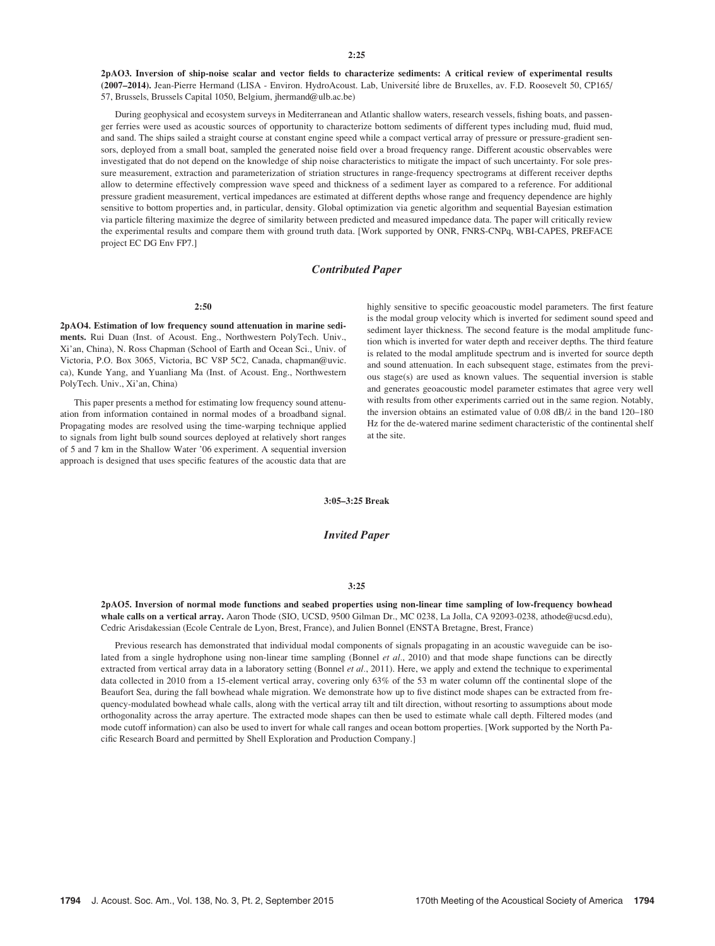2pAO3. Inversion of ship-noise scalar and vector fields to characterize sediments: A critical review of experimental results (2007-2014). Jean-Pierre Hermand (LISA - Environ. HydroAcoust. Lab, Université libre de Bruxelles, av. F.D. Roosevelt 50, CP165/ 57, Brussels, Brussels Capital 1050, Belgium, jhermand@ulb.ac.be)

During geophysical and ecosystem surveys in Mediterranean and Atlantic shallow waters, research vessels, fishing boats, and passenger ferries were used as acoustic sources of opportunity to characterize bottom sediments of different types including mud, fluid mud, and sand. The ships sailed a straight course at constant engine speed while a compact vertical array of pressure or pressure-gradient sensors, deployed from a small boat, sampled the generated noise field over a broad frequency range. Different acoustic observables were investigated that do not depend on the knowledge of ship noise characteristics to mitigate the impact of such uncertainty. For sole pressure measurement, extraction and parameterization of striation structures in range-frequency spectrograms at different receiver depths allow to determine effectively compression wave speed and thickness of a sediment layer as compared to a reference. For additional pressure gradient measurement, vertical impedances are estimated at different depths whose range and frequency dependence are highly sensitive to bottom properties and, in particular, density. Global optimization via genetic algorithm and sequential Bayesian estimation via particle filtering maximize the degree of similarity between predicted and measured impedance data. The paper will critically review the experimental results and compare them with ground truth data. [Work supported by ONR, FNRS-CNPq, WBI-CAPES, PREFACE project EC DG Env FP7.]

## Contributed Paper

#### 2:50

2pAO4. Estimation of low frequency sound attenuation in marine sediments. Rui Duan (Inst. of Acoust. Eng., Northwestern PolyTech. Univ., Xi'an, China), N. Ross Chapman (School of Earth and Ocean Sci., Univ. of Victoria, P.O. Box 3065, Victoria, BC V8P 5C2, Canada, chapman@uvic. ca), Kunde Yang, and Yuanliang Ma (Inst. of Acoust. Eng., Northwestern PolyTech. Univ., Xi'an, China)

This paper presents a method for estimating low frequency sound attenuation from information contained in normal modes of a broadband signal. Propagating modes are resolved using the time-warping technique applied to signals from light bulb sound sources deployed at relatively short ranges of 5 and 7 km in the Shallow Water '06 experiment. A sequential inversion approach is designed that uses specific features of the acoustic data that are highly sensitive to specific geoacoustic model parameters. The first feature is the modal group velocity which is inverted for sediment sound speed and sediment layer thickness. The second feature is the modal amplitude function which is inverted for water depth and receiver depths. The third feature is related to the modal amplitude spectrum and is inverted for source depth and sound attenuation. In each subsequent stage, estimates from the previous stage(s) are used as known values. The sequential inversion is stable and generates geoacoustic model parameter estimates that agree very well with results from other experiments carried out in the same region. Notably, the inversion obtains an estimated value of 0.08 dB/ $\lambda$  in the band 120–180 Hz for the de-watered marine sediment characteristic of the continental shelf at the site.

3:05–3:25 Break

Invited Paper

## 3:25

2pAO5. Inversion of normal mode functions and seabed properties using non-linear time sampling of low-frequency bowhead whale calls on a vertical array. Aaron Thode (SIO, UCSD, 9500 Gilman Dr., MC 0238, La Jolla, CA 92093-0238, athode@ucsd.edu), Cedric Arisdakessian (Ecole Centrale de Lyon, Brest, France), and Julien Bonnel (ENSTA Bretagne, Brest, France)

Previous research has demonstrated that individual modal components of signals propagating in an acoustic waveguide can be isolated from a single hydrophone using non-linear time sampling (Bonnel et al., 2010) and that mode shape functions can be directly extracted from vertical array data in a laboratory setting (Bonnel et al., 2011). Here, we apply and extend the technique to experimental data collected in 2010 from a 15-element vertical array, covering only 63% of the 53 m water column off the continental slope of the Beaufort Sea, during the fall bowhead whale migration. We demonstrate how up to five distinct mode shapes can be extracted from frequency-modulated bowhead whale calls, along with the vertical array tilt and tilt direction, without resorting to assumptions about mode orthogonality across the array aperture. The extracted mode shapes can then be used to estimate whale call depth. Filtered modes (and mode cutoff information) can also be used to invert for whale call ranges and ocean bottom properties. [Work supported by the North Pacific Research Board and permitted by Shell Exploration and Production Company.]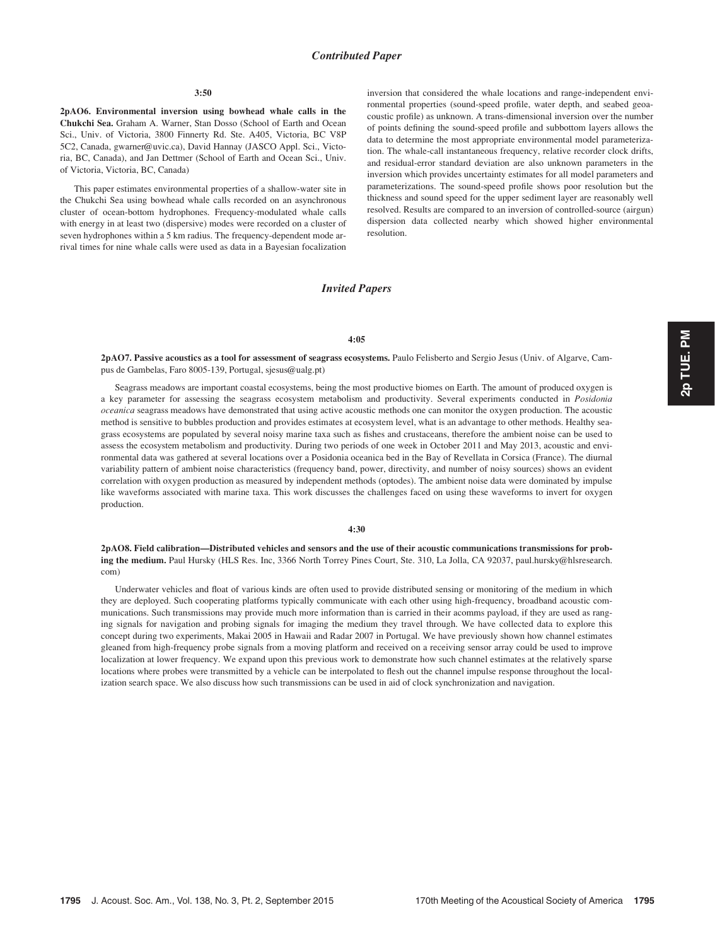## Contributed Paper

#### 3:50

2pAO6. Environmental inversion using bowhead whale calls in the Chukchi Sea. Graham A. Warner, Stan Dosso (School of Earth and Ocean Sci., Univ. of Victoria, 3800 Finnerty Rd. Ste. A405, Victoria, BC V8P 5C2, Canada, gwarner@uvic.ca), David Hannay (JASCO Appl. Sci., Victoria, BC, Canada), and Jan Dettmer (School of Earth and Ocean Sci., Univ. of Victoria, Victoria, BC, Canada)

This paper estimates environmental properties of a shallow-water site in the Chukchi Sea using bowhead whale calls recorded on an asynchronous cluster of ocean-bottom hydrophones. Frequency-modulated whale calls with energy in at least two (dispersive) modes were recorded on a cluster of seven hydrophones within a 5 km radius. The frequency-dependent mode arrival times for nine whale calls were used as data in a Bayesian focalization inversion that considered the whale locations and range-independent environmental properties (sound-speed profile, water depth, and seabed geoacoustic profile) as unknown. A trans-dimensional inversion over the number of points defining the sound-speed profile and subbottom layers allows the data to determine the most appropriate environmental model parameterization. The whale-call instantaneous frequency, relative recorder clock drifts, and residual-error standard deviation are also unknown parameters in the inversion which provides uncertainty estimates for all model parameters and parameterizations. The sound-speed profile shows poor resolution but the thickness and sound speed for the upper sediment layer are reasonably well resolved. Results are compared to an inversion of controlled-source (airgun) dispersion data collected nearby which showed higher environmental resolution.

# Invited Papers

## 4:05

2pAO7. Passive acoustics as a tool for assessment of seagrass ecosystems. Paulo Felisberto and Sergio Jesus (Univ. of Algarve, Campus de Gambelas, Faro 8005-139, Portugal, sjesus@ualg.pt)

Seagrass meadows are important coastal ecosystems, being the most productive biomes on Earth. The amount of produced oxygen is a key parameter for assessing the seagrass ecosystem metabolism and productivity. Several experiments conducted in Posidonia oceanica seagrass meadows have demonstrated that using active acoustic methods one can monitor the oxygen production. The acoustic method is sensitive to bubbles production and provides estimates at ecosystem level, what is an advantage to other methods. Healthy seagrass ecosystems are populated by several noisy marine taxa such as fishes and crustaceans, therefore the ambient noise can be used to assess the ecosystem metabolism and productivity. During two periods of one week in October 2011 and May 2013, acoustic and environmental data was gathered at several locations over a Posidonia oceanica bed in the Bay of Revellata in Corsica (France). The diurnal variability pattern of ambient noise characteristics (frequency band, power, directivity, and number of noisy sources) shows an evident correlation with oxygen production as measured by independent methods (optodes). The ambient noise data were dominated by impulse like waveforms associated with marine taxa. This work discusses the challenges faced on using these waveforms to invert for oxygen production.

# 4:30

2pAO8. Field calibration—Distributed vehicles and sensors and the use of their acoustic communications transmissions for probing the medium. Paul Hursky (HLS Res. Inc, 3366 North Torrey Pines Court, Ste. 310, La Jolla, CA 92037, paul.hursky@hlsresearch. com)

Underwater vehicles and float of various kinds are often used to provide distributed sensing or monitoring of the medium in which they are deployed. Such cooperating platforms typically communicate with each other using high-frequency, broadband acoustic communications. Such transmissions may provide much more information than is carried in their acomms payload, if they are used as ranging signals for navigation and probing signals for imaging the medium they travel through. We have collected data to explore this concept during two experiments, Makai 2005 in Hawaii and Radar 2007 in Portugal. We have previously shown how channel estimates gleaned from high-frequency probe signals from a moving platform and received on a receiving sensor array could be used to improve localization at lower frequency. We expand upon this previous work to demonstrate how such channel estimates at the relatively sparse locations where probes were transmitted by a vehicle can be interpolated to flesh out the channel impulse response throughout the localization search space. We also discuss how such transmissions can be used in aid of clock synchronization and navigation.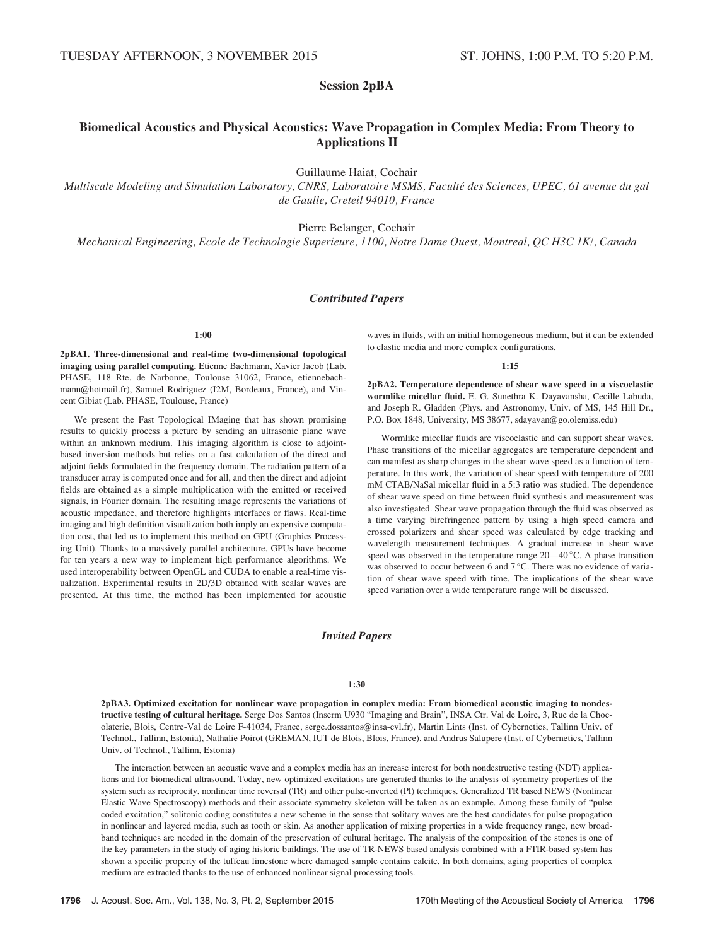# Session 2pBA

# Biomedical Acoustics and Physical Acoustics: Wave Propagation in Complex Media: From Theory to Applications II

Guillaume Haiat, Cochair

Multiscale Modeling and Simulation Laboratory, CNRS, Laboratoire MSMS, Faculté des Sciences, UPEC, 61 avenue du gal de Gaulle, Creteil 94010, France

Pierre Belanger, Cochair

Mechanical Engineering, Ecole de Technologie Superieure, 1100, Notre Dame Ouest, Montreal, QC H3C 1K/, Canada

# Contributed Papers

## 1:00

2pBA1. Three-dimensional and real-time two-dimensional topological imaging using parallel computing. Etienne Bachmann, Xavier Jacob (Lab. PHASE, 118 Rte. de Narbonne, Toulouse 31062, France, etiennebachmann@hotmail.fr), Samuel Rodriguez (I2M, Bordeaux, France), and Vincent Gibiat (Lab. PHASE, Toulouse, France)

We present the Fast Topological IMaging that has shown promising results to quickly process a picture by sending an ultrasonic plane wave within an unknown medium. This imaging algorithm is close to adjointbased inversion methods but relies on a fast calculation of the direct and adjoint fields formulated in the frequency domain. The radiation pattern of a transducer array is computed once and for all, and then the direct and adjoint fields are obtained as a simple multiplication with the emitted or received signals, in Fourier domain. The resulting image represents the variations of acoustic impedance, and therefore highlights interfaces or flaws. Real-time imaging and high definition visualization both imply an expensive computation cost, that led us to implement this method on GPU (Graphics Processing Unit). Thanks to a massively parallel architecture, GPUs have become for ten years a new way to implement high performance algorithms. We used interoperability between OpenGL and CUDA to enable a real-time visualization. Experimental results in 2D/3D obtained with scalar waves are presented. At this time, the method has been implemented for acoustic waves in fluids, with an initial homogeneous medium, but it can be extended to elastic media and more complex configurations.

#### 1:15

2pBA2. Temperature dependence of shear wave speed in a viscoelastic wormlike micellar fluid. E. G. Sunethra K. Dayavansha, Cecille Labuda, and Joseph R. Gladden (Phys. and Astronomy, Univ. of MS, 145 Hill Dr., P.O. Box 1848, University, MS 38677, sdayavan@go.olemiss.edu)

Wormlike micellar fluids are viscoelastic and can support shear waves. Phase transitions of the micellar aggregates are temperature dependent and can manifest as sharp changes in the shear wave speed as a function of temperature. In this work, the variation of shear speed with temperature of 200 mM CTAB/NaSal micellar fluid in a 5:3 ratio was studied. The dependence of shear wave speed on time between fluid synthesis and measurement was also investigated. Shear wave propagation through the fluid was observed as a time varying birefringence pattern by using a high speed camera and crossed polarizers and shear speed was calculated by edge tracking and wavelength measurement techniques. A gradual increase in shear wave speed was observed in the temperature range  $20-40\degree$ C. A phase transition was observed to occur between 6 and  $7^{\circ}$ C. There was no evidence of variation of shear wave speed with time. The implications of the shear wave speed variation over a wide temperature range will be discussed.

# Invited Papers

#### 1:30

2pBA3. Optimized excitation for nonlinear wave propagation in complex media: From biomedical acoustic imaging to nondestructive testing of cultural heritage. Serge Dos Santos (Inserm U930 "Imaging and Brain", INSA Ctr. Val de Loire, 3, Rue de la Chocolaterie, Blois, Centre-Val de Loire F-41034, France, serge.dossantos@insa-cvl.fr), Martin Lints (Inst. of Cybernetics, Tallinn Univ. of Technol., Tallinn, Estonia), Nathalie Poirot (GREMAN, IUT de Blois, Blois, France), and Andrus Salupere (Inst. of Cybernetics, Tallinn Univ. of Technol., Tallinn, Estonia)

The interaction between an acoustic wave and a complex media has an increase interest for both nondestructive testing (NDT) applications and for biomedical ultrasound. Today, new optimized excitations are generated thanks to the analysis of symmetry properties of the system such as reciprocity, nonlinear time reversal (TR) and other pulse-inverted (PI) techniques. Generalized TR based NEWS (Nonlinear Elastic Wave Spectroscopy) methods and their associate symmetry skeleton will be taken as an example. Among these family of "pulse coded excitation," solitonic coding constitutes a new scheme in the sense that solitary waves are the best candidates for pulse propagation in nonlinear and layered media, such as tooth or skin. As another application of mixing properties in a wide frequency range, new broadband techniques are needed in the domain of the preservation of cultural heritage. The analysis of the composition of the stones is one of the key parameters in the study of aging historic buildings. The use of TR-NEWS based analysis combined with a FTIR-based system has shown a specific property of the tuffeau limestone where damaged sample contains calcite. In both domains, aging properties of complex medium are extracted thanks to the use of enhanced nonlinear signal processing tools.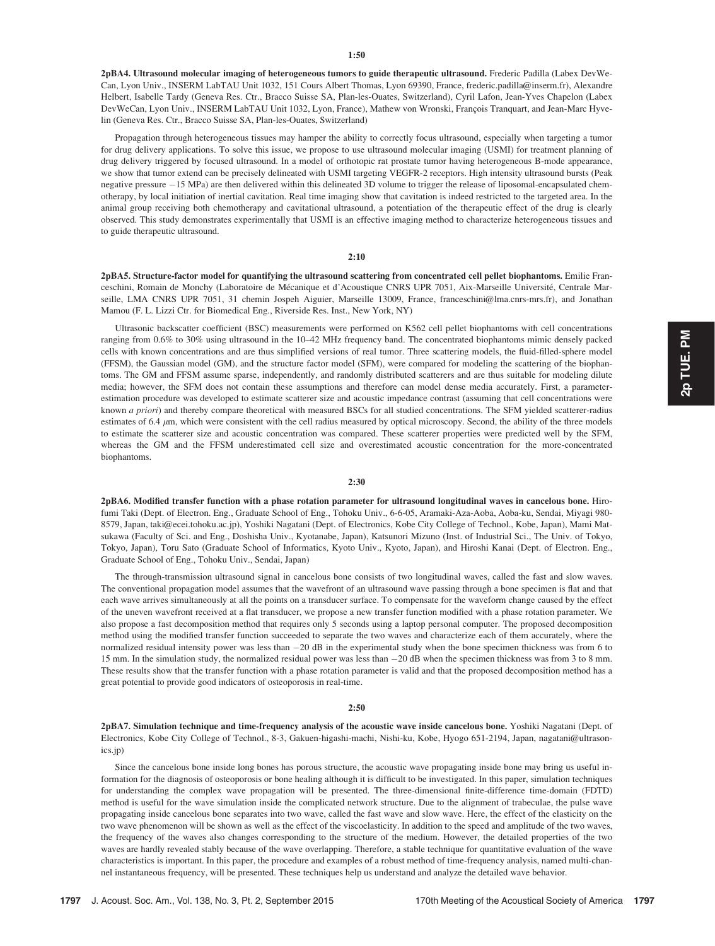2pBA4. Ultrasound molecular imaging of heterogeneous tumors to guide therapeutic ultrasound. Frederic Padilla (Labex DevWe-Can, Lyon Univ., INSERM LabTAU Unit 1032, 151 Cours Albert Thomas, Lyon 69390, France, frederic.padilla@inserm.fr), Alexandre Helbert, Isabelle Tardy (Geneva Res. Ctr., Bracco Suisse SA, Plan-les-Ouates, Switzerland), Cyril Lafon, Jean-Yves Chapelon (Labex DevWeCan, Lyon Univ., INSERM LabTAU Unit 1032, Lyon, France), Mathew von Wronski, François Tranquart, and Jean-Marc Hyvelin (Geneva Res. Ctr., Bracco Suisse SA, Plan-les-Ouates, Switzerland)

Propagation through heterogeneous tissues may hamper the ability to correctly focus ultrasound, especially when targeting a tumor for drug delivery applications. To solve this issue, we propose to use ultrasound molecular imaging (USMI) for treatment planning of drug delivery triggered by focused ultrasound. In a model of orthotopic rat prostate tumor having heterogeneous B-mode appearance, we show that tumor extend can be precisely delineated with USMI targeting VEGFR-2 receptors. High intensity ultrasound bursts (Peak negative pressure  $-15$  MPa) are then delivered within this delineated 3D volume to trigger the release of liposomal-encapsulated chemotherapy, by local initiation of inertial cavitation. Real time imaging show that cavitation is indeed restricted to the targeted area. In the animal group receiving both chemotherapy and cavitational ultrasound, a potentiation of the therapeutic effect of the drug is clearly observed. This study demonstrates experimentally that USMI is an effective imaging method to characterize heterogeneous tissues and to guide therapeutic ultrasound.

# 2:10

2pBA5. Structure-factor model for quantifying the ultrasound scattering from concentrated cell pellet biophantoms. Emilie Franceschini, Romain de Monchy (Laboratoire de Mécanique et d'Acoustique CNRS UPR 7051, Aix-Marseille Université, Centrale Marseille, LMA CNRS UPR 7051, 31 chemin Jospeh Aiguier, Marseille 13009, France, franceschini@lma.cnrs-mrs.fr), and Jonathan Mamou (F. L. Lizzi Ctr. for Biomedical Eng., Riverside Res. Inst., New York, NY)

Ultrasonic backscatter coefficient (BSC) measurements were performed on K562 cell pellet biophantoms with cell concentrations ranging from 0.6% to 30% using ultrasound in the 10–42 MHz frequency band. The concentrated biophantoms mimic densely packed cells with known concentrations and are thus simplified versions of real tumor. Three scattering models, the fluid-filled-sphere model (FFSM), the Gaussian model (GM), and the structure factor model (SFM), were compared for modeling the scattering of the biophantoms. The GM and FFSM assume sparse, independently, and randomly distributed scatterers and are thus suitable for modeling dilute media; however, the SFM does not contain these assumptions and therefore can model dense media accurately. First, a parameterestimation procedure was developed to estimate scatterer size and acoustic impedance contrast (assuming that cell concentrations were known a priori) and thereby compare theoretical with measured BSCs for all studied concentrations. The SFM yielded scatterer-radius estimates of 6.4  $\mu$ m, which were consistent with the cell radius measured by optical microscopy. Second, the ability of the three models to estimate the scatterer size and acoustic concentration was compared. These scatterer properties were predicted well by the SFM, whereas the GM and the FFSM underestimated cell size and overestimated acoustic concentration for the more-concentrated biophantoms.

#### 2:30

2pBA6. Modified transfer function with a phase rotation parameter for ultrasound longitudinal waves in cancelous bone. Hirofumi Taki (Dept. of Electron. Eng., Graduate School of Eng., Tohoku Univ., 6-6-05, Aramaki-Aza-Aoba, Aoba-ku, Sendai, Miyagi 980- 8579, Japan, taki@ecei.tohoku.ac.jp), Yoshiki Nagatani (Dept. of Electronics, Kobe City College of Technol., Kobe, Japan), Mami Matsukawa (Faculty of Sci. and Eng., Doshisha Univ., Kyotanabe, Japan), Katsunori Mizuno (Inst. of Industrial Sci., The Univ. of Tokyo, Tokyo, Japan), Toru Sato (Graduate School of Informatics, Kyoto Univ., Kyoto, Japan), and Hiroshi Kanai (Dept. of Electron. Eng., Graduate School of Eng., Tohoku Univ., Sendai, Japan)

The through-transmission ultrasound signal in cancelous bone consists of two longitudinal waves, called the fast and slow waves. The conventional propagation model assumes that the wavefront of an ultrasound wave passing through a bone specimen is flat and that each wave arrives simultaneously at all the points on a transducer surface. To compensate for the waveform change caused by the effect of the uneven wavefront received at a flat transducer, we propose a new transfer function modified with a phase rotation parameter. We also propose a fast decomposition method that requires only 5 seconds using a laptop personal computer. The proposed decomposition method using the modified transfer function succeeded to separate the two waves and characterize each of them accurately, where the normalized residual intensity power was less than  $-20$  dB in the experimental study when the bone specimen thickness was from 6 to 15 mm. In the simulation study, the normalized residual power was less than 20 dB when the specimen thickness was from 3 to 8 mm. These results show that the transfer function with a phase rotation parameter is valid and that the proposed decomposition method has a great potential to provide good indicators of osteoporosis in real-time.

#### 2:50

2pBA7. Simulation technique and time-frequency analysis of the acoustic wave inside cancelous bone. Yoshiki Nagatani (Dept. of Electronics, Kobe City College of Technol., 8-3, Gakuen-higashi-machi, Nishi-ku, Kobe, Hyogo 651-2194, Japan, nagatani@ultrasonics.jp)

Since the cancelous bone inside long bones has porous structure, the acoustic wave propagating inside bone may bring us useful information for the diagnosis of osteoporosis or bone healing although it is difficult to be investigated. In this paper, simulation techniques for understanding the complex wave propagation will be presented. The three-dimensional finite-difference time-domain (FDTD) method is useful for the wave simulation inside the complicated network structure. Due to the alignment of trabeculae, the pulse wave propagating inside cancelous bone separates into two wave, called the fast wave and slow wave. Here, the effect of the elasticity on the two wave phenomenon will be shown as well as the effect of the viscoelasticity. In addition to the speed and amplitude of the two waves, the frequency of the waves also changes corresponding to the structure of the medium. However, the detailed properties of the two waves are hardly revealed stably because of the wave overlapping. Therefore, a stable technique for quantitative evaluation of the wave characteristics is important. In this paper, the procedure and examples of a robust method of time-frequency analysis, named multi-channel instantaneous frequency, will be presented. These techniques help us understand and analyze the detailed wave behavior.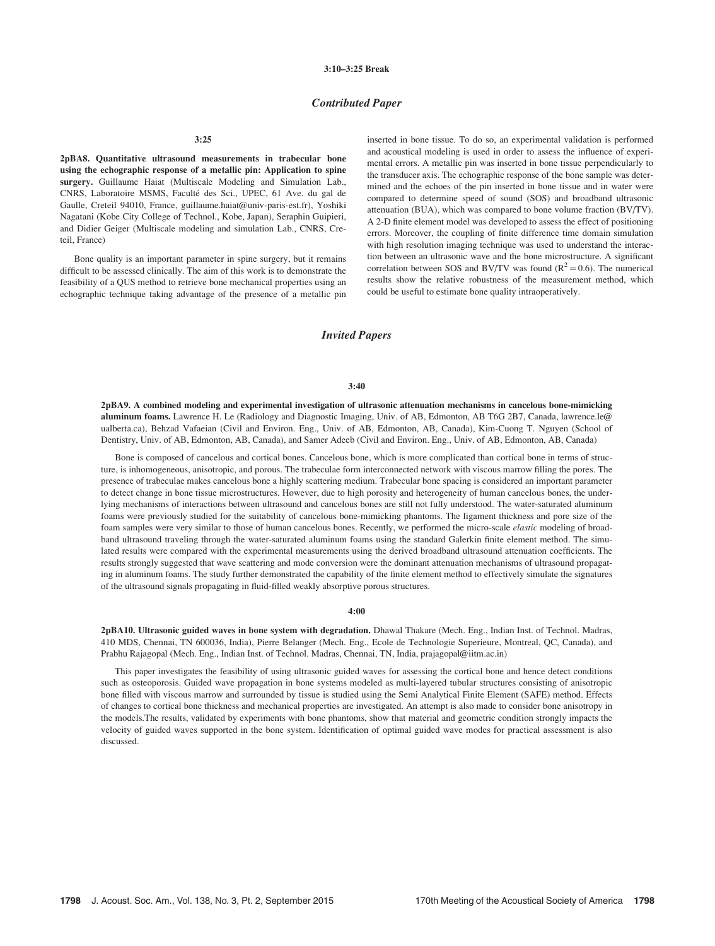# Contributed Paper

3:25

2pBA8. Quantitative ultrasound measurements in trabecular bone using the echographic response of a metallic pin: Application to spine surgery. Guillaume Haiat (Multiscale Modeling and Simulation Lab., CNRS, Laboratoire MSMS, Faculté des Sci., UPEC, 61 Ave. du gal de Gaulle, Creteil 94010, France, guillaume.haiat@univ-paris-est.fr), Yoshiki Nagatani (Kobe City College of Technol., Kobe, Japan), Seraphin Guipieri, and Didier Geiger (Multiscale modeling and simulation Lab., CNRS, Creteil, France)

Bone quality is an important parameter in spine surgery, but it remains difficult to be assessed clinically. The aim of this work is to demonstrate the feasibility of a QUS method to retrieve bone mechanical properties using an echographic technique taking advantage of the presence of a metallic pin inserted in bone tissue. To do so, an experimental validation is performed and acoustical modeling is used in order to assess the influence of experimental errors. A metallic pin was inserted in bone tissue perpendicularly to the transducer axis. The echographic response of the bone sample was determined and the echoes of the pin inserted in bone tissue and in water were compared to determine speed of sound (SOS) and broadband ultrasonic attenuation (BUA), which was compared to bone volume fraction (BV/TV). A 2-D finite element model was developed to assess the effect of positioning errors. Moreover, the coupling of finite difference time domain simulation with high resolution imaging technique was used to understand the interaction between an ultrasonic wave and the bone microstructure. A significant correlation between SOS and BV/TV was found  $(R^2 = 0.6)$ . The numerical results show the relative robustness of the measurement method, which could be useful to estimate bone quality intraoperatively.

## Invited Papers

#### 3:40

2pBA9. A combined modeling and experimental investigation of ultrasonic attenuation mechanisms in cancelous bone-mimicking aluminum foams. Lawrence H. Le (Radiology and Diagnostic Imaging, Univ. of AB, Edmonton, AB T6G 2B7, Canada, lawrence.le@ ualberta.ca), Behzad Vafaeian (Civil and Environ. Eng., Univ. of AB, Edmonton, AB, Canada), Kim-Cuong T. Nguyen (School of Dentistry, Univ. of AB, Edmonton, AB, Canada), and Samer Adeeb (Civil and Environ. Eng., Univ. of AB, Edmonton, AB, Canada)

Bone is composed of cancelous and cortical bones. Cancelous bone, which is more complicated than cortical bone in terms of structure, is inhomogeneous, anisotropic, and porous. The trabeculae form interconnected network with viscous marrow filling the pores. The presence of trabeculae makes cancelous bone a highly scattering medium. Trabecular bone spacing is considered an important parameter to detect change in bone tissue microstructures. However, due to high porosity and heterogeneity of human cancelous bones, the underlying mechanisms of interactions between ultrasound and cancelous bones are still not fully understood. The water-saturated aluminum foams were previously studied for the suitability of cancelous bone-mimicking phantoms. The ligament thickness and pore size of the foam samples were very similar to those of human cancelous bones. Recently, we performed the micro-scale elastic modeling of broadband ultrasound traveling through the water-saturated aluminum foams using the standard Galerkin finite element method. The simulated results were compared with the experimental measurements using the derived broadband ultrasound attenuation coefficients. The results strongly suggested that wave scattering and mode conversion were the dominant attenuation mechanisms of ultrasound propagating in aluminum foams. The study further demonstrated the capability of the finite element method to effectively simulate the signatures of the ultrasound signals propagating in fluid-filled weakly absorptive porous structures.

## 4:00

2pBA10. Ultrasonic guided waves in bone system with degradation. Dhawal Thakare (Mech. Eng., Indian Inst. of Technol. Madras, 410 MDS, Chennai, TN 600036, India), Pierre Belanger (Mech. Eng., Ecole de Technologie Superieure, Montreal, QC, Canada), and Prabhu Rajagopal (Mech. Eng., Indian Inst. of Technol. Madras, Chennai, TN, India, prajagopal@iitm.ac.in)

This paper investigates the feasibility of using ultrasonic guided waves for assessing the cortical bone and hence detect conditions such as osteoporosis. Guided wave propagation in bone systems modeled as multi-layered tubular structures consisting of anisotropic bone filled with viscous marrow and surrounded by tissue is studied using the Semi Analytical Finite Element (SAFE) method. Effects of changes to cortical bone thickness and mechanical properties are investigated. An attempt is also made to consider bone anisotropy in the models.The results, validated by experiments with bone phantoms, show that material and geometric condition strongly impacts the velocity of guided waves supported in the bone system. Identification of optimal guided wave modes for practical assessment is also discussed.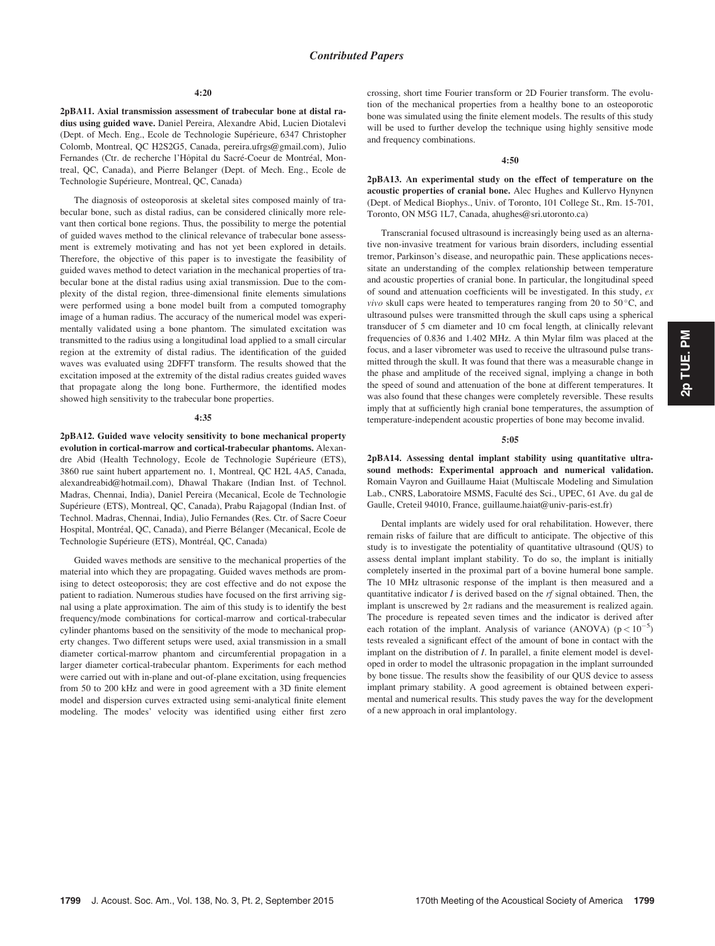2pBA11. Axial transmission assessment of trabecular bone at distal radius using guided wave. Daniel Pereira, Alexandre Abid, Lucien Diotalevi (Dept. of Mech. Eng., Ecole de Technologie Supérieure, 6347 Christopher Colomb, Montreal, QC H2S2G5, Canada, pereira.ufrgs@gmail.com), Julio Fernandes (Ctr. de recherche l'Hôpital du Sacré-Coeur de Montréal, Montreal, QC, Canada), and Pierre Belanger (Dept. of Mech. Eng., Ecole de Technologie Supérieure, Montreal, QC, Canada)

The diagnosis of osteoporosis at skeletal sites composed mainly of trabecular bone, such as distal radius, can be considered clinically more relevant then cortical bone regions. Thus, the possibility to merge the potential of guided waves method to the clinical relevance of trabecular bone assessment is extremely motivating and has not yet been explored in details. Therefore, the objective of this paper is to investigate the feasibility of guided waves method to detect variation in the mechanical properties of trabecular bone at the distal radius using axial transmission. Due to the complexity of the distal region, three-dimensional finite elements simulations were performed using a bone model built from a computed tomography image of a human radius. The accuracy of the numerical model was experimentally validated using a bone phantom. The simulated excitation was transmitted to the radius using a longitudinal load applied to a small circular region at the extremity of distal radius. The identification of the guided waves was evaluated using 2DFFT transform. The results showed that the excitation imposed at the extremity of the distal radius creates guided waves that propagate along the long bone. Furthermore, the identified modes showed high sensitivity to the trabecular bone properties.

## 4:35

2pBA12. Guided wave velocity sensitivity to bone mechanical property evolution in cortical-marrow and cortical-trabecular phantoms. Alexandre Abid (Health Technology, Ecole de Technologie Supérieure (ETS), 3860 rue saint hubert appartement no. 1, Montreal, QC H2L 4A5, Canada, alexandreabid@hotmail.com), Dhawal Thakare (Indian Inst. of Technol. Madras, Chennai, India), Daniel Pereira (Mecanical, Ecole de Technologie Supérieure (ETS), Montreal, QC, Canada), Prabu Rajagopal (Indian Inst. of Technol. Madras, Chennai, India), Julio Fernandes (Res. Ctr. of Sacre Coeur Hospital, Montréal, QC, Canada), and Pierre Bélanger (Mecanical, Ecole de Technologie Supérieure (ETS), Montréal, QC, Canada)

Guided waves methods are sensitive to the mechanical properties of the material into which they are propagating. Guided waves methods are promising to detect osteoporosis; they are cost effective and do not expose the patient to radiation. Numerous studies have focused on the first arriving signal using a plate approximation. The aim of this study is to identify the best frequency/mode combinations for cortical-marrow and cortical-trabecular cylinder phantoms based on the sensitivity of the mode to mechanical property changes. Two different setups were used, axial transmission in a small diameter cortical-marrow phantom and circumferential propagation in a larger diameter cortical-trabecular phantom. Experiments for each method were carried out with in-plane and out-of-plane excitation, using frequencies from 50 to 200 kHz and were in good agreement with a 3D finite element model and dispersion curves extracted using semi-analytical finite element modeling. The modes' velocity was identified using either first zero crossing, short time Fourier transform or 2D Fourier transform. The evolution of the mechanical properties from a healthy bone to an osteoporotic bone was simulated using the finite element models. The results of this study will be used to further develop the technique using highly sensitive mode and frequency combinations.

#### 4:50

2pBA13. An experimental study on the effect of temperature on the acoustic properties of cranial bone. Alec Hughes and Kullervo Hynynen (Dept. of Medical Biophys., Univ. of Toronto, 101 College St., Rm. 15-701, Toronto, ON M5G 1L7, Canada, ahughes@sri.utoronto.ca)

Transcranial focused ultrasound is increasingly being used as an alternative non-invasive treatment for various brain disorders, including essential tremor, Parkinson's disease, and neuropathic pain. These applications necessitate an understanding of the complex relationship between temperature and acoustic properties of cranial bone. In particular, the longitudinal speed of sound and attenuation coefficients will be investigated. In this study,  $ex$ *vivo* skull caps were heated to temperatures ranging from 20 to 50 $\degree$ C, and ultrasound pulses were transmitted through the skull caps using a spherical transducer of 5 cm diameter and 10 cm focal length, at clinically relevant frequencies of 0.836 and 1.402 MHz. A thin Mylar film was placed at the focus, and a laser vibrometer was used to receive the ultrasound pulse transmitted through the skull. It was found that there was a measurable change in the phase and amplitude of the received signal, implying a change in both the speed of sound and attenuation of the bone at different temperatures. It was also found that these changes were completely reversible. These results imply that at sufficiently high cranial bone temperatures, the assumption of temperature-independent acoustic properties of bone may become invalid.

#### 5:05

2pBA14. Assessing dental implant stability using quantitative ultrasound methods: Experimental approach and numerical validation. Romain Vayron and Guillaume Haiat (Multiscale Modeling and Simulation Lab., CNRS, Laboratoire MSMS, Faculté des Sci., UPEC, 61 Ave. du gal de Gaulle, Creteil 94010, France, guillaume.haiat@univ-paris-est.fr)

Dental implants are widely used for oral rehabilitation. However, there remain risks of failure that are difficult to anticipate. The objective of this study is to investigate the potentiality of quantitative ultrasound (QUS) to assess dental implant implant stability. To do so, the implant is initially completely inserted in the proximal part of a bovine humeral bone sample. The 10 MHz ultrasonic response of the implant is then measured and a quantitative indicator  $I$  is derived based on the  $rf$  signal obtained. Then, the implant is unscrewed by  $2\pi$  radians and the measurement is realized again. The procedure is repeated seven times and the indicator is derived after each rotation of the implant. Analysis of variance (ANOVA)  $(p < 10^{-5})$ tests revealed a significant effect of the amount of bone in contact with the implant on the distribution of I. In parallel, a finite element model is developed in order to model the ultrasonic propagation in the implant surrounded by bone tissue. The results show the feasibility of our QUS device to assess implant primary stability. A good agreement is obtained between experimental and numerical results. This study paves the way for the development of a new approach in oral implantology.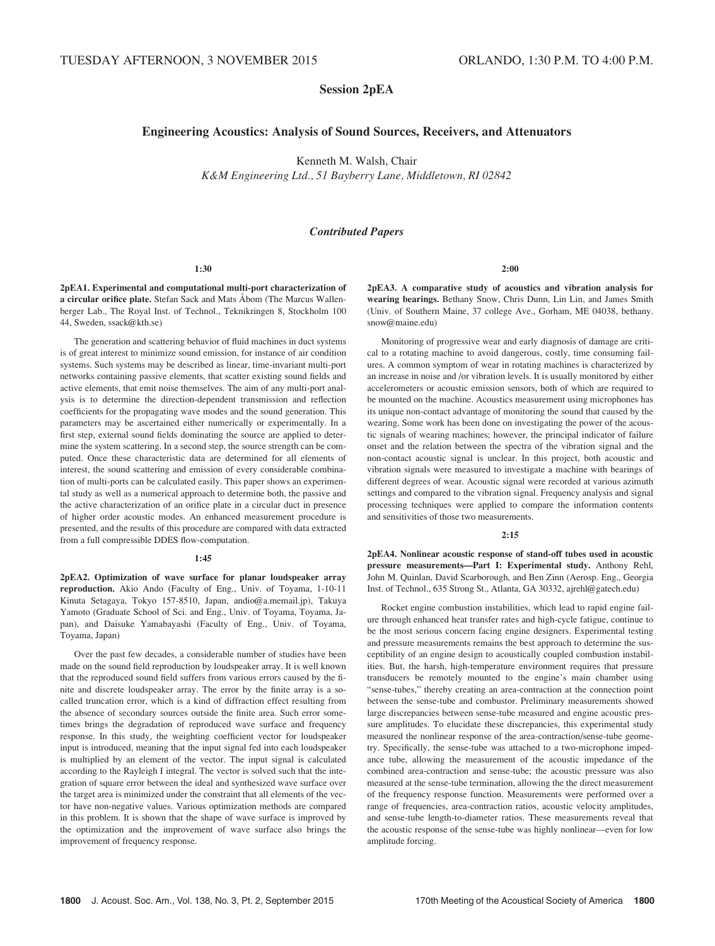# Session 2pEA

# Engineering Acoustics: Analysis of Sound Sources, Receivers, and Attenuators

Kenneth M. Walsh, Chair

K&M Engineering Ltd., 51 Bayberry Lane, Middletown, RI 02842

#### Contributed Papers

#### 1:30

2pEA1. Experimental and computational multi-port characterization of a circular orifice plate. Stefan Sack and Mats Åbom (The Marcus Wallenberger Lab., The Royal Inst. of Technol., Teknikringen 8, Stockholm 100 44, Sweden, ssack@kth.se)

The generation and scattering behavior of fluid machines in duct systems is of great interest to minimize sound emission, for instance of air condition systems. Such systems may be described as linear, time-invariant multi-port networks containing passive elements, that scatter existing sound fields and active elements, that emit noise themselves. The aim of any multi-port analysis is to determine the direction-dependent transmission and reflection coefficients for the propagating wave modes and the sound generation. This parameters may be ascertained either numerically or experimentally. In a first step, external sound fields dominating the source are applied to determine the system scattering. In a second step, the source strength can be computed. Once these characteristic data are determined for all elements of interest, the sound scattering and emission of every considerable combination of multi-ports can be calculated easily. This paper shows an experimental study as well as a numerical approach to determine both, the passive and the active characterization of an orifice plate in a circular duct in presence of higher order acoustic modes. An enhanced measurement procedure is presented, and the results of this procedure are compared with data extracted from a full compressible DDES flow-computation.

#### 1:45

2pEA2. Optimization of wave surface for planar loudspeaker array reproduction. Akio Ando (Faculty of Eng., Univ. of Toyama, 1-10-11 Kinuta Setagaya, Tokyo 157-8510, Japan, andio@a.memail.jp), Takuya Yamoto (Graduate School of Sci. and Eng., Univ. of Toyama, Toyama, Japan), and Daisuke Yamabayashi (Faculty of Eng., Univ. of Toyama, Toyama, Japan)

Over the past few decades, a considerable number of studies have been made on the sound field reproduction by loudspeaker array. It is well known that the reproduced sound field suffers from various errors caused by the finite and discrete loudspeaker array. The error by the finite array is a socalled truncation error, which is a kind of diffraction effect resulting from the absence of secondary sources outside the finite area. Such error sometimes brings the degradation of reproduced wave surface and frequency response. In this study, the weighting coefficient vector for loudspeaker input is introduced, meaning that the input signal fed into each loudspeaker is multiplied by an element of the vector. The input signal is calculated according to the Rayleigh I integral. The vector is solved such that the integration of square error between the ideal and synthesized wave surface over the target area is minimized under the constraint that all elements of the vector have non-negative values. Various optimization methods are compared in this problem. It is shown that the shape of wave surface is improved by the optimization and the improvement of wave surface also brings the improvement of frequency response.

2:00

2pEA3. A comparative study of acoustics and vibration analysis for wearing bearings. Bethany Snow, Chris Dunn, Lin Lin, and James Smith (Univ. of Southern Maine, 37 college Ave., Gorham, ME 04038, bethany. snow@maine.edu)

Monitoring of progressive wear and early diagnosis of damage are critical to a rotating machine to avoid dangerous, costly, time consuming failures. A common symptom of wear in rotating machines is characterized by an increase in noise and /or vibration levels. It is usually monitored by either accelerometers or acoustic emission sensors, both of which are required to be mounted on the machine. Acoustics measurement using microphones has its unique non-contact advantage of monitoring the sound that caused by the wearing. Some work has been done on investigating the power of the acoustic signals of wearing machines; however, the principal indicator of failure onset and the relation between the spectra of the vibration signal and the non-contact acoustic signal is unclear. In this project, both acoustic and vibration signals were measured to investigate a machine with bearings of different degrees of wear. Acoustic signal were recorded at various azimuth settings and compared to the vibration signal. Frequency analysis and signal processing techniques were applied to compare the information contents and sensitivities of those two measurements.

# $2:15$

2pEA4. Nonlinear acoustic response of stand-off tubes used in acoustic pressure measurements—Part I: Experimental study. Anthony Rehl, John M. Quinlan, David Scarborough, and Ben Zinn (Aerosp. Eng., Georgia Inst. of Technol., 635 Strong St., Atlanta, GA 30332, ajrehl@gatech.edu)

Rocket engine combustion instabilities, which lead to rapid engine failure through enhanced heat transfer rates and high-cycle fatigue, continue to be the most serious concern facing engine designers. Experimental testing and pressure measurements remains the best approach to determine the susceptibility of an engine design to acoustically coupled combustion instabilities. But, the harsh, high-temperature environment requires that pressure transducers be remotely mounted to the engine's main chamber using "sense-tubes," thereby creating an area-contraction at the connection point between the sense-tube and combustor. Preliminary measurements showed large discrepancies between sense-tube measured and engine acoustic pressure amplitudes. To elucidate these discrepancies, this experimental study measured the nonlinear response of the area-contraction/sense-tube geometry. Specifically, the sense-tube was attached to a two-microphone impedance tube, allowing the measurement of the acoustic impedance of the combined area-contraction and sense-tube; the acoustic pressure was also measured at the sense-tube termination, allowing the the direct measurement of the frequency response function. Measurements were performed over a range of frequencies, area-contraction ratios, acoustic velocity amplitudes, and sense-tube length-to-diameter ratios. These measurements reveal that the acoustic response of the sense-tube was highly nonlinear—even for low amplitude forcing.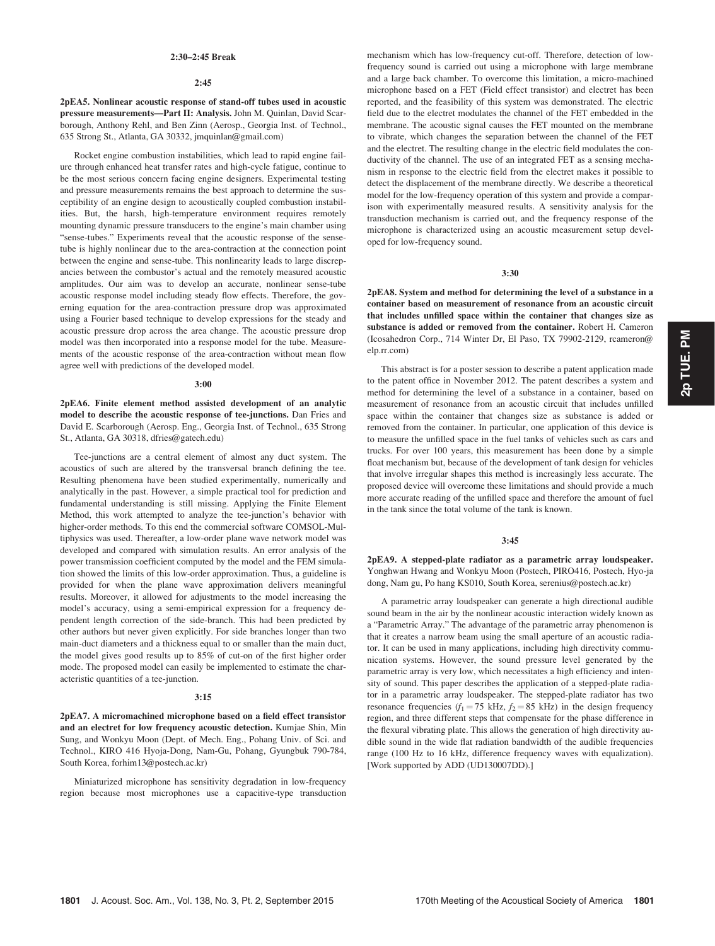# 2:30–2:45 Break

#### 2:45

2pEA5. Nonlinear acoustic response of stand-off tubes used in acoustic pressure measurements—Part II: Analysis. John M. Quinlan, David Scarborough, Anthony Rehl, and Ben Zinn (Aerosp., Georgia Inst. of Technol., 635 Strong St., Atlanta, GA 30332, jmquinlan@gmail.com)

Rocket engine combustion instabilities, which lead to rapid engine failure through enhanced heat transfer rates and high-cycle fatigue, continue to be the most serious concern facing engine designers. Experimental testing and pressure measurements remains the best approach to determine the susceptibility of an engine design to acoustically coupled combustion instabilities. But, the harsh, high-temperature environment requires remotely mounting dynamic pressure transducers to the engine's main chamber using "sense-tubes." Experiments reveal that the acoustic response of the sensetube is highly nonlinear due to the area-contraction at the connection point between the engine and sense-tube. This nonlinearity leads to large discrepancies between the combustor's actual and the remotely measured acoustic amplitudes. Our aim was to develop an accurate, nonlinear sense-tube acoustic response model including steady flow effects. Therefore, the governing equation for the area-contraction pressure drop was approximated using a Fourier based technique to develop expressions for the steady and acoustic pressure drop across the area change. The acoustic pressure drop model was then incorporated into a response model for the tube. Measurements of the acoustic response of the area-contraction without mean flow agree well with predictions of the developed model.

## 3:00

2pEA6. Finite element method assisted development of an analytic model to describe the acoustic response of tee-junctions. Dan Fries and David E. Scarborough (Aerosp. Eng., Georgia Inst. of Technol., 635 Strong St., Atlanta, GA 30318, dfries@gatech.edu)

Tee-junctions are a central element of almost any duct system. The acoustics of such are altered by the transversal branch defining the tee. Resulting phenomena have been studied experimentally, numerically and analytically in the past. However, a simple practical tool for prediction and fundamental understanding is still missing. Applying the Finite Element Method, this work attempted to analyze the tee-junction's behavior with higher-order methods. To this end the commercial software COMSOL-Multiphysics was used. Thereafter, a low-order plane wave network model was developed and compared with simulation results. An error analysis of the power transmission coefficient computed by the model and the FEM simulation showed the limits of this low-order approximation. Thus, a guideline is provided for when the plane wave approximation delivers meaningful results. Moreover, it allowed for adjustments to the model increasing the model's accuracy, using a semi-empirical expression for a frequency dependent length correction of the side-branch. This had been predicted by other authors but never given explicitly. For side branches longer than two main-duct diameters and a thickness equal to or smaller than the main duct, the model gives good results up to 85% of cut-on of the first higher order mode. The proposed model can easily be implemented to estimate the characteristic quantities of a tee-junction.

#### 3:15

2pEA7. A micromachined microphone based on a field effect transistor and an electret for low frequency acoustic detection. Kumjae Shin, Min Sung, and Wonkyu Moon (Dept. of Mech. Eng., Pohang Univ. of Sci. and Technol., KIRO 416 Hyoja-Dong, Nam-Gu, Pohang, Gyungbuk 790-784, South Korea, forhim13@postech.ac.kr)

Miniaturized microphone has sensitivity degradation in low-frequency region because most microphones use a capacitive-type transduction mechanism which has low-frequency cut-off. Therefore, detection of lowfrequency sound is carried out using a microphone with large membrane and a large back chamber. To overcome this limitation, a micro-machined microphone based on a FET (Field effect transistor) and electret has been reported, and the feasibility of this system was demonstrated. The electric field due to the electret modulates the channel of the FET embedded in the membrane. The acoustic signal causes the FET mounted on the membrane to vibrate, which changes the separation between the channel of the FET and the electret. The resulting change in the electric field modulates the conductivity of the channel. The use of an integrated FET as a sensing mechanism in response to the electric field from the electret makes it possible to detect the displacement of the membrane directly. We describe a theoretical model for the low-frequency operation of this system and provide a comparison with experimentally measured results. A sensitivity analysis for the transduction mechanism is carried out, and the frequency response of the microphone is characterized using an acoustic measurement setup developed for low-frequency sound.

#### 3:30

2pEA8. System and method for determining the level of a substance in a container based on measurement of resonance from an acoustic circuit that includes unfilled space within the container that changes size as substance is added or removed from the container. Robert H. Cameron (Icosahedron Corp., 714 Winter Dr, El Paso, TX 79902-2129, rcameron@ elp.rr.com)

This abstract is for a poster session to describe a patent application made to the patent office in November 2012. The patent describes a system and method for determining the level of a substance in a container, based on measurement of resonance from an acoustic circuit that includes unfilled space within the container that changes size as substance is added or removed from the container. In particular, one application of this device is to measure the unfilled space in the fuel tanks of vehicles such as cars and trucks. For over 100 years, this measurement has been done by a simple float mechanism but, because of the development of tank design for vehicles that involve irregular shapes this method is increasingly less accurate. The proposed device will overcome these limitations and should provide a much more accurate reading of the unfilled space and therefore the amount of fuel in the tank since the total volume of the tank is known.

# 3:45

2pEA9. A stepped-plate radiator as a parametric array loudspeaker. Yonghwan Hwang and Wonkyu Moon (Postech, PIRO416, Postech, Hyo-ja dong, Nam gu, Po hang KS010, South Korea, serenius@postech.ac.kr)

A parametric array loudspeaker can generate a high directional audible sound beam in the air by the nonlinear acoustic interaction widely known as a "Parametric Array." The advantage of the parametric array phenomenon is that it creates a narrow beam using the small aperture of an acoustic radiator. It can be used in many applications, including high directivity communication systems. However, the sound pressure level generated by the parametric array is very low, which necessitates a high efficiency and intensity of sound. This paper describes the application of a stepped-plate radiator in a parametric array loudspeaker. The stepped-plate radiator has two resonance frequencies  $(f_1 = 75 \text{ kHz}, f_2 = 85 \text{ kHz})$  in the design frequency region, and three different steps that compensate for the phase difference in the flexural vibrating plate. This allows the generation of high directivity audible sound in the wide flat radiation bandwidth of the audible frequencies range (100 Hz to 16 kHz, difference frequency waves with equalization). [Work supported by ADD (UD130007DD).]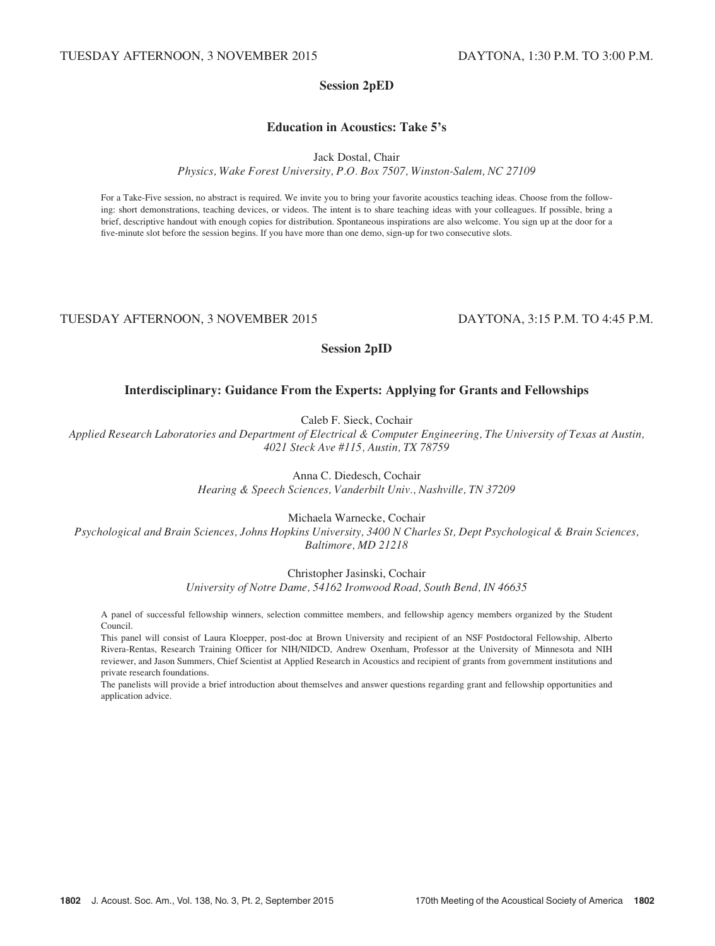# Session 2pED

# Education in Acoustics: Take 5's

Jack Dostal, Chair

Physics, Wake Forest University, P.O. Box 7507, Winston-Salem, NC 27109

For a Take-Five session, no abstract is required. We invite you to bring your favorite acoustics teaching ideas. Choose from the following: short demonstrations, teaching devices, or videos. The intent is to share teaching ideas with your colleagues. If possible, bring a brief, descriptive handout with enough copies for distribution. Spontaneous inspirations are also welcome. You sign up at the door for a five-minute slot before the session begins. If you have more than one demo, sign-up for two consecutive slots.

# TUESDAY AFTERNOON, 3 NOVEMBER 2015 DAYTONA, 3:15 P.M. TO 4:45 P.M.

# Session 2pID

# Interdisciplinary: Guidance From the Experts: Applying for Grants and Fellowships

Caleb F. Sieck, Cochair

Applied Research Laboratories and Department of Electrical & Computer Engineering, The University of Texas at Austin, 4021 Steck Ave #115, Austin, TX 78759

Anna C. Diedesch, Cochair

Hearing & Speech Sciences, Vanderbilt Univ., Nashville, TN 37209

Michaela Warnecke, Cochair

Psychological and Brain Sciences, Johns Hopkins University, 3400 N Charles St, Dept Psychological & Brain Sciences, Baltimore, MD 21218

Christopher Jasinski, Cochair

University of Notre Dame, 54162 Ironwood Road, South Bend, IN 46635

A panel of successful fellowship winners, selection committee members, and fellowship agency members organized by the Student Council.

This panel will consist of Laura Kloepper, post-doc at Brown University and recipient of an NSF Postdoctoral Fellowship, Alberto Rivera-Rentas, Research Training Officer for NIH/NIDCD, Andrew Oxenham, Professor at the University of Minnesota and NIH reviewer, and Jason Summers, Chief Scientist at Applied Research in Acoustics and recipient of grants from government institutions and private research foundations.

The panelists will provide a brief introduction about themselves and answer questions regarding grant and fellowship opportunities and application advice.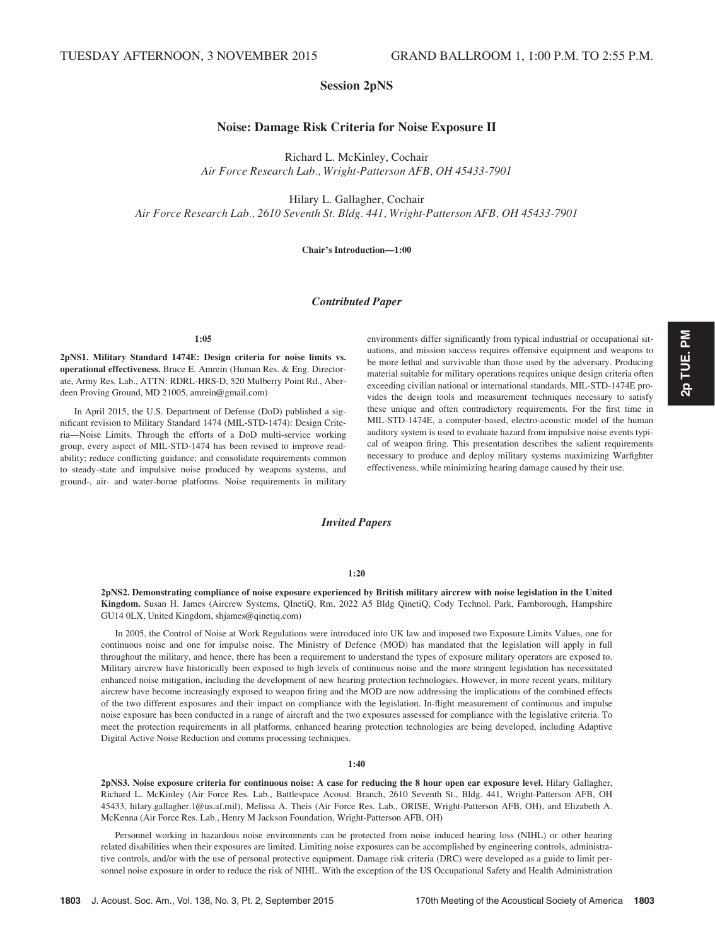# Session 2pNS

# Noise: Damage Risk Criteria for Noise Exposure II

Richard L. McKinley, Cochair Air Force Research Lab., Wright-Patterson AFB, OH 45433-7901

Hilary L. Gallagher, Cochair Air Force Research Lab., 2610 Seventh St. Bldg. 441, Wright-Patterson AFB, OH 45433-7901

Chair's Introduction—1:00

# Contributed Paper

## 1:05

2pNS1. Military Standard 1474E: Design criteria for noise limits vs. operational effectiveness. Bruce E. Amrein (Human Res. & Eng. Directorate, Army Res. Lab., ATTN: RDRL-HRS-D, 520 Mulberry Point Rd., Aberdeen Proving Ground, MD 21005, amrein@gmail.com)

In April 2015, the U.S. Department of Defense (DoD) published a significant revision to Military Standard 1474 (MIL-STD-1474): Design Criteria—Noise Limits. Through the efforts of a DoD multi-service working group, every aspect of MIL-STD-1474 has been revised to improve readability; reduce conflicting guidance; and consolidate requirements common to steady-state and impulsive noise produced by weapons systems, and ground-, air- and water-borne platforms. Noise requirements in military environments differ significantly from typical industrial or occupational situations, and mission success requires offensive equipment and weapons to be more lethal and survivable than those used by the adversary. Producing material suitable for military operations requires unique design criteria often exceeding civilian national or international standards. MIL-STD-1474E provides the design tools and measurement techniques necessary to satisfy these unique and often contradictory requirements. For the first time in MIL-STD-1474E, a computer-based, electro-acoustic model of the human auditory system is used to evaluate hazard from impulsive noise events typical of weapon firing. This presentation describes the salient requirements necessary to produce and deploy military systems maximizing Warfighter effectiveness, while minimizing hearing damage caused by their use.

# Invited Papers

## 1:20

2pNS2. Demonstrating compliance of noise exposure experienced by British military aircrew with noise legislation in the United Kingdom. Susan H. James (Aircrew Systems, QInetiQ, Rm. 2022 A5 Bldg QinetiQ, Cody Technol. Park, Farnborough, Hampshire GU14 0LX, United Kingdom, shjames@qinetiq.com)

In 2005, the Control of Noise at Work Regulations were introduced into UK law and imposed two Exposure Limits Values, one for continuous noise and one for impulse noise. The Ministry of Defence (MOD) has mandated that the legislation will apply in full throughout the military, and hence, there has been a requirement to understand the types of exposure military operators are exposed to. Military aircrew have historically been exposed to high levels of continuous noise and the more stringent legislation has necessitated enhanced noise mitigation, including the development of new hearing protection technologies. However, in more recent years, military aircrew have become increasingly exposed to weapon firing and the MOD are now addressing the implications of the combined effects of the two different exposures and their impact on compliance with the legislation. In-flight measurement of continuous and impulse noise exposure has been conducted in a range of aircraft and the two exposures assessed for compliance with the legislative criteria. To meet the protection requirements in all platforms, enhanced hearing protection technologies are being developed, including Adaptive Digital Active Noise Reduction and comms processing techniques.

# 1:40

2pNS3. Noise exposure criteria for continuous noise: A case for reducing the 8 hour open ear exposure level. Hilary Gallagher, Richard L. McKinley (Air Force Res. Lab., Battlespace Acoust. Branch, 2610 Seventh St., Bldg. 441, Wright-Patterson AFB, OH 45433, hilary.gallagher.1@us.af.mil), Melissa A. Theis (Air Force Res. Lab., ORISE, Wright-Patterson AFB, OH), and Elizabeth A. McKenna (Air Force Res. Lab., Henry M Jackson Foundation, Wright-Patterson AFB, OH)

Personnel working in hazardous noise environments can be protected from noise induced hearing loss (NIHL) or other hearing related disabilities when their exposures are limited. Limiting noise exposures can be accomplished by engineering controls, administrative controls, and/or with the use of personal protective equipment. Damage risk criteria (DRC) were developed as a guide to limit personnel noise exposure in order to reduce the risk of NIHL. With the exception of the US Occupational Safety and Health Administration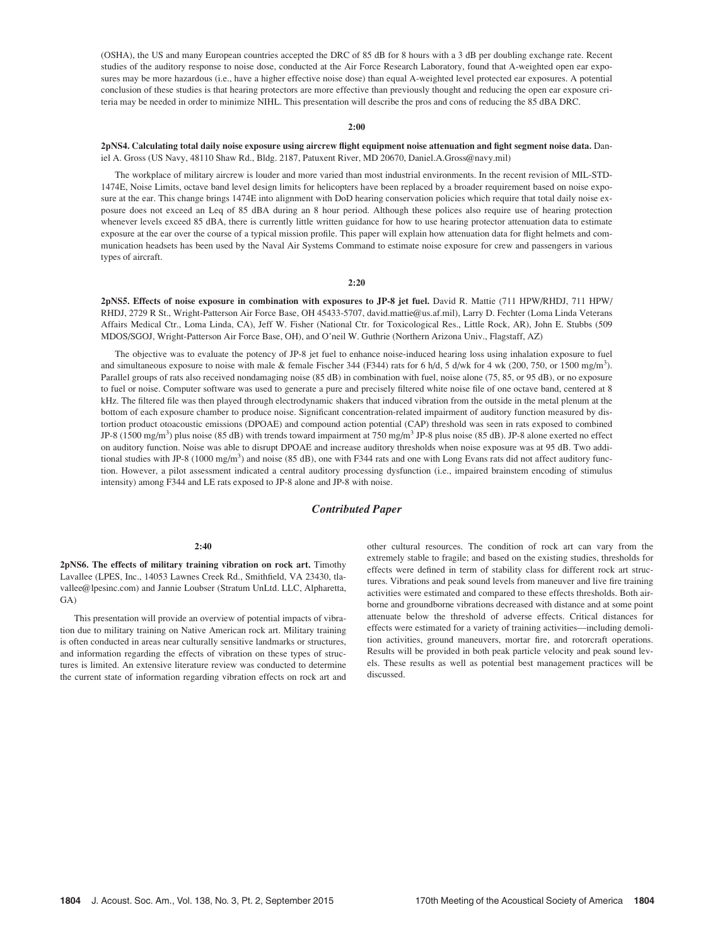(OSHA), the US and many European countries accepted the DRC of 85 dB for 8 hours with a 3 dB per doubling exchange rate. Recent studies of the auditory response to noise dose, conducted at the Air Force Research Laboratory, found that A-weighted open ear exposures may be more hazardous (i.e., have a higher effective noise dose) than equal A-weighted level protected ear exposures. A potential conclusion of these studies is that hearing protectors are more effective than previously thought and reducing the open ear exposure criteria may be needed in order to minimize NIHL. This presentation will describe the pros and cons of reducing the 85 dBA DRC.

## 2:00

2pNS4. Calculating total daily noise exposure using aircrew flight equipment noise attenuation and fight segment noise data. Daniel A. Gross (US Navy, 48110 Shaw Rd., Bldg. 2187, Patuxent River, MD 20670, Daniel.A.Gross@navy.mil)

The workplace of military aircrew is louder and more varied than most industrial environments. In the recent revision of MIL-STD-1474E, Noise Limits, octave band level design limits for helicopters have been replaced by a broader requirement based on noise exposure at the ear. This change brings 1474E into alignment with DoD hearing conservation policies which require that total daily noise exposure does not exceed an Leq of 85 dBA during an 8 hour period. Although these polices also require use of hearing protection whenever levels exceed 85 dBA, there is currently little written guidance for how to use hearing protector attenuation data to estimate exposure at the ear over the course of a typical mission profile. This paper will explain how attenuation data for flight helmets and communication headsets has been used by the Naval Air Systems Command to estimate noise exposure for crew and passengers in various types of aircraft.

#### 2:20

2pNS5. Effects of noise exposure in combination with exposures to JP-8 jet fuel. David R. Mattie (711 HPW/RHDJ, 711 HPW/ RHDJ, 2729 R St., Wright-Patterson Air Force Base, OH 45433-5707, david.mattie@us.af.mil), Larry D. Fechter (Loma Linda Veterans Affairs Medical Ctr., Loma Linda, CA), Jeff W. Fisher (National Ctr. for Toxicological Res., Little Rock, AR), John E. Stubbs (509 MDOS/SGOJ, Wright-Patterson Air Force Base, OH), and O'neil W. Guthrie (Northern Arizona Univ., Flagstaff, AZ)

The objective was to evaluate the potency of JP-8 jet fuel to enhance noise-induced hearing loss using inhalation exposure to fuel and simultaneous exposure to noise with male & female Fischer 344 (F344) rats for 6 h/d, 5 d/wk for 4 wk (200, 750, or 1500 mg/m<sup>3</sup>). Parallel groups of rats also received nondamaging noise (85 dB) in combination with fuel, noise alone (75, 85, or 95 dB), or no exposure to fuel or noise. Computer software was used to generate a pure and precisely filtered white noise file of one octave band, centered at 8 kHz. The filtered file was then played through electrodynamic shakers that induced vibration from the outside in the metal plenum at the bottom of each exposure chamber to produce noise. Significant concentration-related impairment of auditory function measured by distortion product otoacoustic emissions (DPOAE) and compound action potential (CAP) threshold was seen in rats exposed to combined JP-8 (1500 mg/m<sup>3</sup>) plus noise (85 dB) with trends toward impairment at 750 mg/m<sup>3</sup> JP-8 plus noise (85 dB). JP-8 alone exerted no effect on auditory function. Noise was able to disrupt DPOAE and increase auditory thresholds when noise exposure was at 95 dB. Two additional studies with JP-8 (1000 mg/m<sup>3</sup>) and noise (85 dB), one with F344 rats and one with Long Evans rats did not affect auditory function. However, a pilot assessment indicated a central auditory processing dysfunction (i.e., impaired brainstem encoding of stimulus intensity) among F344 and LE rats exposed to JP-8 alone and JP-8 with noise.

## Contributed Paper

#### $2:40$

2pNS6. The effects of military training vibration on rock art. Timothy Lavallee (LPES, Inc., 14053 Lawnes Creek Rd., Smithfield, VA 23430, tlavallee@lpesinc.com) and Jannie Loubser (Stratum UnLtd. LLC, Alpharetta, GA)

This presentation will provide an overview of potential impacts of vibration due to military training on Native American rock art. Military training is often conducted in areas near culturally sensitive landmarks or structures, and information regarding the effects of vibration on these types of structures is limited. An extensive literature review was conducted to determine the current state of information regarding vibration effects on rock art and

other cultural resources. The condition of rock art can vary from the extremely stable to fragile; and based on the existing studies, thresholds for effects were defined in term of stability class for different rock art structures. Vibrations and peak sound levels from maneuver and live fire training activities were estimated and compared to these effects thresholds. Both airborne and groundborne vibrations decreased with distance and at some point attenuate below the threshold of adverse effects. Critical distances for effects were estimated for a variety of training activities—including demolition activities, ground maneuvers, mortar fire, and rotorcraft operations. Results will be provided in both peak particle velocity and peak sound levels. These results as well as potential best management practices will be discussed.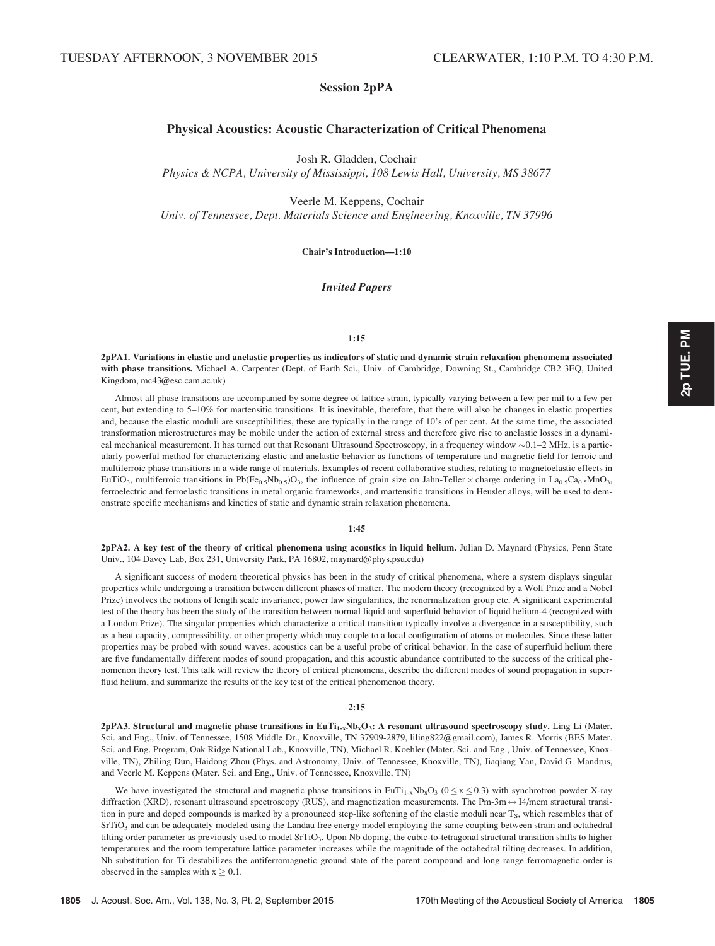# Session 2pPA

# Physical Acoustics: Acoustic Characterization of Critical Phenomena

Josh R. Gladden, Cochair

Physics & NCPA, University of Mississippi, 108 Lewis Hall, University, MS 38677

Veerle M. Keppens, Cochair Univ. of Tennessee, Dept. Materials Science and Engineering, Knoxville, TN 37996

Chair's Introduction—1:10

# Invited Papers

# 1:15

2pPA1. Variations in elastic and anelastic properties as indicators of static and dynamic strain relaxation phenomena associated with phase transitions. Michael A. Carpenter (Dept. of Earth Sci., Univ. of Cambridge, Downing St., Cambridge CB2 3EQ, United Kingdom, mc43@esc.cam.ac.uk)

Almost all phase transitions are accompanied by some degree of lattice strain, typically varying between a few per mil to a few per cent, but extending to 5–10% for martensitic transitions. It is inevitable, therefore, that there will also be changes in elastic properties and, because the elastic moduli are susceptibilities, these are typically in the range of 10's of per cent. At the same time, the associated transformation microstructures may be mobile under the action of external stress and therefore give rise to anelastic losses in a dynamical mechanical measurement. It has turned out that Resonant Ultrasound Spectroscopy, in a frequency window  $\sim 0.1-2$  MHz, is a particularly powerful method for characterizing elastic and anelastic behavior as functions of temperature and magnetic field for ferroic and multiferroic phase transitions in a wide range of materials. Examples of recent collaborative studies, relating to magnetoelastic effects in EuTiO<sub>3</sub>, multiferroic transitions in Pb(Fe<sub>0.5</sub>Nb<sub>0.5</sub>)O<sub>3</sub>, the influence of grain size on Jahn-Teller  $\times$  charge ordering in La<sub>0.5</sub>Ca<sub>0.5</sub>MnO<sub>3</sub>, ferroelectric and ferroelastic transitions in metal organic frameworks, and martensitic transitions in Heusler alloys, will be used to demonstrate specific mechanisms and kinetics of static and dynamic strain relaxation phenomena.

# 1:45

2pPA2. A key test of the theory of critical phenomena using acoustics in liquid helium. Julian D. Maynard (Physics, Penn State Univ., 104 Davey Lab, Box 231, University Park, PA 16802, maynard@phys.psu.edu)

A significant success of modern theoretical physics has been in the study of critical phenomena, where a system displays singular properties while undergoing a transition between different phases of matter. The modern theory (recognized by a Wolf Prize and a Nobel Prize) involves the notions of length scale invariance, power law singularities, the renormalization group etc. A significant experimental test of the theory has been the study of the transition between normal liquid and superfluid behavior of liquid helium-4 (recognized with a London Prize). The singular properties which characterize a critical transition typically involve a divergence in a susceptibility, such as a heat capacity, compressibility, or other property which may couple to a local configuration of atoms or molecules. Since these latter properties may be probed with sound waves, acoustics can be a useful probe of critical behavior. In the case of superfluid helium there are five fundamentally different modes of sound propagation, and this acoustic abundance contributed to the success of the critical phenomenon theory test. This talk will review the theory of critical phenomena, describe the different modes of sound propagation in superfluid helium, and summarize the results of the key test of the critical phenomenon theory.

# $2:15$

2pPA3. Structural and magnetic phase transitions in  $EuTi_{1x}Nb_xO_3$ : A resonant ultrasound spectroscopy study. Ling Li (Mater. Sci. and Eng., Univ. of Tennessee, 1508 Middle Dr., Knoxville, TN 37909-2879, liling822@gmail.com), James R. Morris (BES Mater. Sci. and Eng. Program, Oak Ridge National Lab., Knoxville, TN), Michael R. Koehler (Mater. Sci. and Eng., Univ. of Tennessee, Knoxville, TN), Zhiling Dun, Haidong Zhou (Phys. and Astronomy, Univ. of Tennessee, Knoxville, TN), Jiaqiang Yan, David G. Mandrus, and Veerle M. Keppens (Mater. Sci. and Eng., Univ. of Tennessee, Knoxville, TN)

We have investigated the structural and magnetic phase transitions in EuTi<sub>1-x</sub>Nb<sub>x</sub>O<sub>3</sub> ( $0 \le x \le 0.3$ ) with synchrotron powder X-ray diffraction (XRD), resonant ultrasound spectroscopy (RUS), and magnetization measurements. The Pm-3m  $\leftrightarrow$  I4/mcm structural transition in pure and doped compounds is marked by a pronounced step-like softening of the elastic moduli near  $T_s$ , which resembles that of SrTiO<sub>3</sub> and can be adequately modeled using the Landau free energy model employing the same coupling between strain and octahedral tilting order parameter as previously used to model SrTiO<sub>3</sub>. Upon Nb doping, the cubic-to-tetragonal structural transition shifts to higher temperatures and the room temperature lattice parameter increases while the magnitude of the octahedral tilting decreases. In addition, Nb substitution for Ti destabilizes the antiferromagnetic ground state of the parent compound and long range ferromagnetic order is observed in the samples with  $x \geq 0.1$ .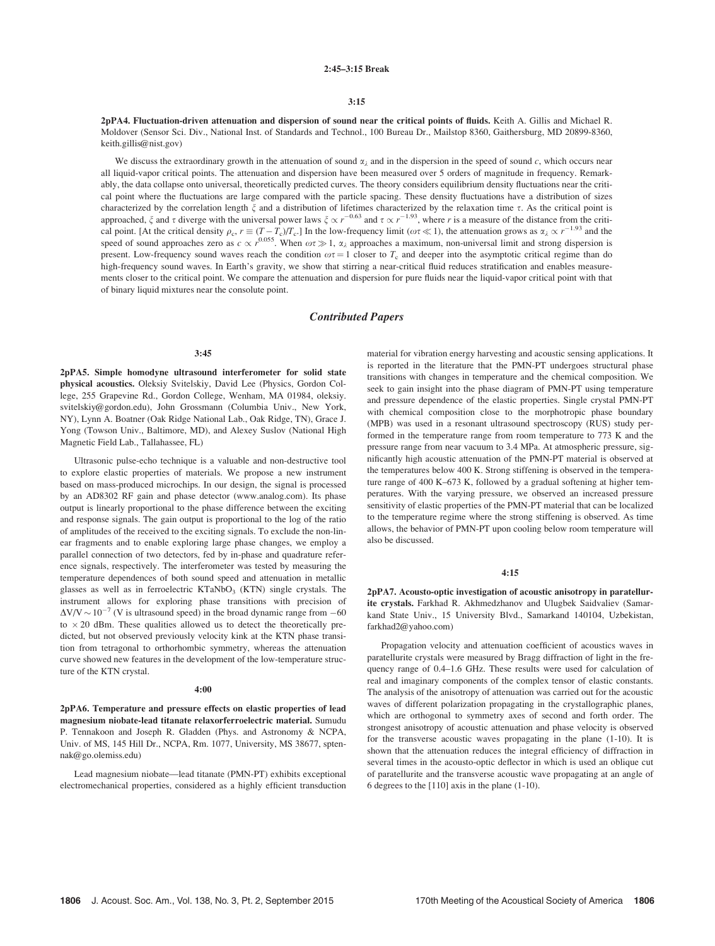## 2:45–3:15 Break

#### 3:15

2pPA4. Fluctuation-driven attenuation and dispersion of sound near the critical points of fluids. Keith A. Gillis and Michael R. Moldover (Sensor Sci. Div., National Inst. of Standards and Technol., 100 Bureau Dr., Mailstop 8360, Gaithersburg, MD 20899-8360, keith.gillis@nist.gov)

We discuss the extraordinary growth in the attenuation of sound  $\alpha_{\lambda}$  and in the dispersion in the speed of sound c, which occurs near all liquid-vapor critical points. The attenuation and dispersion have been measured over 5 orders of magnitude in frequency. Remarkably, the data collapse onto universal, theoretically predicted curves. The theory considers equilibrium density fluctuations near the critical point where the fluctuations are large compared with the particle spacing. These density fluctuations have a distribution of sizes characterized by the correlation length  $\xi$  and a distribution of lifetimes characterized by the relaxation time  $\tau$ . As the critical point is approached,  $\zeta$  and  $\tau$  diverge with the universal power laws  $\zeta \propto r^{-0.63}$  and  $\tau \propto r^{-1.93}$ , where r is a measure of the distance from the critical point. [At the critical density  $\rho_c$ ,  $r \equiv (T - T_c)/T_c$ .] In the low-frequency limit ( $\omega \tau \ll 1$ ), the attenuation grows as  $\alpha_{\lambda} \propto r^{-1.93}$  and the speed of sound approaches zero as  $c \propto r^{0.055}$ . When  $\omega \tau \gg 1$ ,  $\alpha_{\lambda}$  approaches a maximum, non-universal limit and strong dispersion is present. Low-frequency sound waves reach the condition  $\omega \tau = 1$  closer to  $T_c$  and deeper into the asymptotic critical regime than do high-frequency sound waves. In Earth's gravity, we show that stirring a near-critical fluid reduces stratification and enables measurements closer to the critical point. We compare the attenuation and dispersion for pure fluids near the liquid-vapor critical point with that of binary liquid mixtures near the consolute point.

# Contributed Papers

#### 3:45

2pPA5. Simple homodyne ultrasound interferometer for solid state physical acoustics. Oleksiy Svitelskiy, David Lee (Physics, Gordon College, 255 Grapevine Rd., Gordon College, Wenham, MA 01984, oleksiy. svitelskiy@gordon.edu), John Grossmann (Columbia Univ., New York, NY), Lynn A. Boatner (Oak Ridge National Lab., Oak Ridge, TN), Grace J. Yong (Towson Univ., Baltimore, MD), and Alexey Suslov (National High Magnetic Field Lab., Tallahassee, FL)

Ultrasonic pulse-echo technique is a valuable and non-destructive tool to explore elastic properties of materials. We propose a new instrument based on mass-produced microchips. In our design, the signal is processed by an AD8302 RF gain and phase detector (www.analog.com). Its phase output is linearly proportional to the phase difference between the exciting and response signals. The gain output is proportional to the log of the ratio of amplitudes of the received to the exciting signals. To exclude the non-linear fragments and to enable exploring large phase changes, we employ a parallel connection of two detectors, fed by in-phase and quadrature reference signals, respectively. The interferometer was tested by measuring the temperature dependences of both sound speed and attenuation in metallic glasses as well as in ferroelectric  $KTaNbO<sub>3</sub>$  (KTN) single crystals. The instrument allows for exploring phase transitions with precision of  $\Delta$ V/V  $\sim$  10<sup>-7</sup> (V is ultrasound speed) in the broad dynamic range from -60 to  $\times$  20 dBm. These qualities allowed us to detect the theoretically predicted, but not observed previously velocity kink at the KTN phase transition from tetragonal to orthorhombic symmetry, whereas the attenuation curve showed new features in the development of the low-temperature structure of the KTN crystal.

#### 4:00

2pPA6. Temperature and pressure effects on elastic properties of lead magnesium niobate-lead titanate relaxorferroelectric material. Sumudu P. Tennakoon and Joseph R. Gladden (Phys. and Astronomy & NCPA, Univ. of MS, 145 Hill Dr., NCPA, Rm. 1077, University, MS 38677, sptennak@go.olemiss.edu)

Lead magnesium niobate—lead titanate (PMN-PT) exhibits exceptional electromechanical properties, considered as a highly efficient transduction material for vibration energy harvesting and acoustic sensing applications. It is reported in the literature that the PMN-PT undergoes structural phase transitions with changes in temperature and the chemical composition. We seek to gain insight into the phase diagram of PMN-PT using temperature and pressure dependence of the elastic properties. Single crystal PMN-PT with chemical composition close to the morphotropic phase boundary (MPB) was used in a resonant ultrasound spectroscopy (RUS) study performed in the temperature range from room temperature to 773 K and the pressure range from near vacuum to 3.4 MPa. At atmospheric pressure, significantly high acoustic attenuation of the PMN-PT material is observed at the temperatures below 400 K. Strong stiffening is observed in the temperature range of 400 K–673 K, followed by a gradual softening at higher temperatures. With the varying pressure, we observed an increased pressure sensitivity of elastic properties of the PMN-PT material that can be localized to the temperature regime where the strong stiffening is observed. As time allows, the behavior of PMN-PT upon cooling below room temperature will also be discussed.

## 4:15

2pPA7. Acousto-optic investigation of acoustic anisotropy in paratellurite crystals. Farkhad R. Akhmedzhanov and Ulugbek Saidvaliev (Samarkand State Univ., 15 University Blvd., Samarkand 140104, Uzbekistan, farkhad2@yahoo.com)

Propagation velocity and attenuation coefficient of acoustics waves in paratellurite crystals were measured by Bragg diffraction of light in the frequency range of 0.4–1.6 GHz. These results were used for calculation of real and imaginary components of the complex tensor of elastic constants. The analysis of the anisotropy of attenuation was carried out for the acoustic waves of different polarization propagating in the crystallographic planes, which are orthogonal to symmetry axes of second and forth order. The strongest anisotropy of acoustic attenuation and phase velocity is observed for the transverse acoustic waves propagating in the plane (1-10). It is shown that the attenuation reduces the integral efficiency of diffraction in several times in the acousto-optic deflector in which is used an oblique cut of paratellurite and the transverse acoustic wave propagating at an angle of 6 degrees to the [110] axis in the plane (1-10).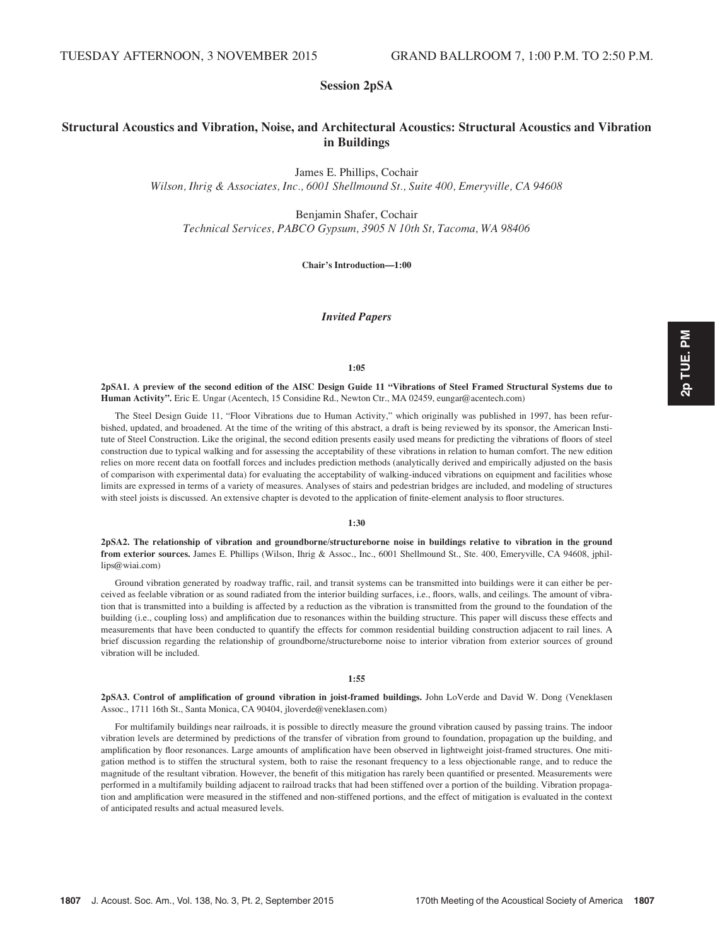# Session 2pSA

# Structural Acoustics and Vibration, Noise, and Architectural Acoustics: Structural Acoustics and Vibration in Buildings

James E. Phillips, Cochair

Wilson, Ihrig & Associates, Inc., 6001 Shellmound St., Suite 400, Emeryville, CA 94608

Benjamin Shafer, Cochair Technical Services, PABCO Gypsum, 3905 N 10th St, Tacoma, WA 98406

Chair's Introduction—1:00

Invited Papers

## 1:05

2pSA1. A preview of the second edition of the AISC Design Guide 11 "Vibrations of Steel Framed Structural Systems due to Human Activity". Eric E. Ungar (Acentech, 15 Considine Rd., Newton Ctr., MA 02459, eungar@acentech.com)

The Steel Design Guide 11, "Floor Vibrations due to Human Activity," which originally was published in 1997, has been refurbished, updated, and broadened. At the time of the writing of this abstract, a draft is being reviewed by its sponsor, the American Institute of Steel Construction. Like the original, the second edition presents easily used means for predicting the vibrations of floors of steel construction due to typical walking and for assessing the acceptability of these vibrations in relation to human comfort. The new edition relies on more recent data on footfall forces and includes prediction methods (analytically derived and empirically adjusted on the basis of comparison with experimental data) for evaluating the acceptability of walking-induced vibrations on equipment and facilities whose limits are expressed in terms of a variety of measures. Analyses of stairs and pedestrian bridges are included, and modeling of structures with steel joists is discussed. An extensive chapter is devoted to the application of finite-element analysis to floor structures.

1:30

2pSA2. The relationship of vibration and groundborne/structureborne noise in buildings relative to vibration in the ground from exterior sources. James E. Phillips (Wilson, Ihrig & Assoc., Inc., 6001 Shellmound St., Ste. 400, Emeryville, CA 94608, jphillips@wiai.com)

Ground vibration generated by roadway traffic, rail, and transit systems can be transmitted into buildings were it can either be perceived as feelable vibration or as sound radiated from the interior building surfaces, i.e., floors, walls, and ceilings. The amount of vibration that is transmitted into a building is affected by a reduction as the vibration is transmitted from the ground to the foundation of the building (i.e., coupling loss) and amplification due to resonances within the building structure. This paper will discuss these effects and measurements that have been conducted to quantify the effects for common residential building construction adjacent to rail lines. A brief discussion regarding the relationship of groundborne/structureborne noise to interior vibration from exterior sources of ground vibration will be included.

#### 1:55

2pSA3. Control of amplification of ground vibration in joist-framed buildings. John LoVerde and David W. Dong (Veneklasen Assoc., 1711 16th St., Santa Monica, CA 90404, jloverde@veneklasen.com)

For multifamily buildings near railroads, it is possible to directly measure the ground vibration caused by passing trains. The indoor vibration levels are determined by predictions of the transfer of vibration from ground to foundation, propagation up the building, and amplification by floor resonances. Large amounts of amplification have been observed in lightweight joist-framed structures. One mitigation method is to stiffen the structural system, both to raise the resonant frequency to a less objectionable range, and to reduce the magnitude of the resultant vibration. However, the benefit of this mitigation has rarely been quantified or presented. Measurements were performed in a multifamily building adjacent to railroad tracks that had been stiffened over a portion of the building. Vibration propagation and amplification were measured in the stiffened and non-stiffened portions, and the effect of mitigation is evaluated in the context of anticipated results and actual measured levels.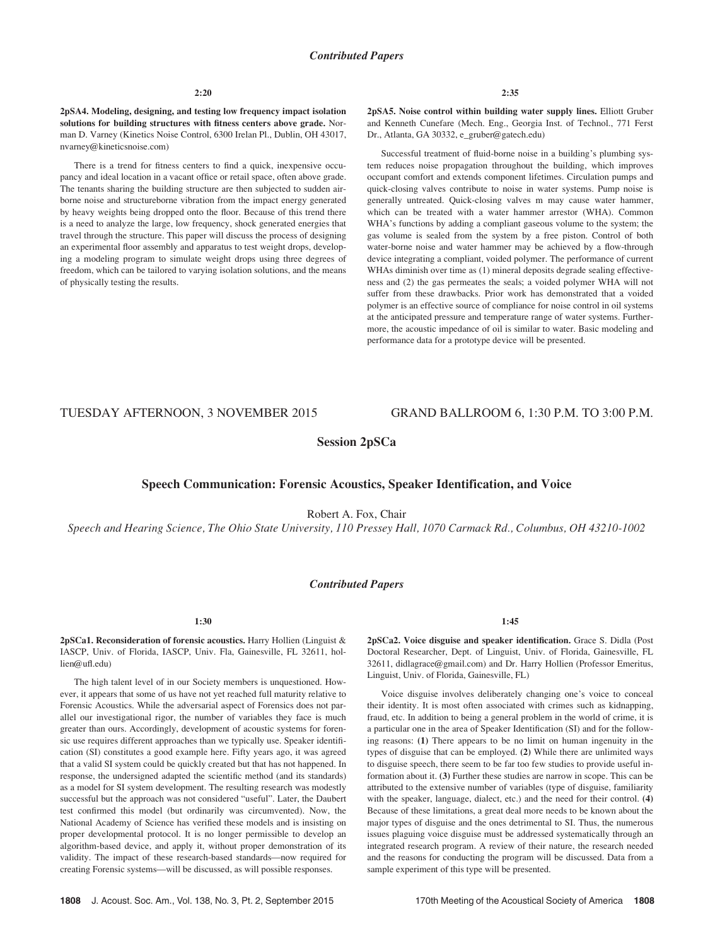2pSA4. Modeling, designing, and testing low frequency impact isolation solutions for building structures with fitness centers above grade. Norman D. Varney (Kinetics Noise Control, 6300 Irelan Pl., Dublin, OH 43017, nvarney@kineticsnoise.com)

There is a trend for fitness centers to find a quick, inexpensive occupancy and ideal location in a vacant office or retail space, often above grade. The tenants sharing the building structure are then subjected to sudden airborne noise and structureborne vibration from the impact energy generated by heavy weights being dropped onto the floor. Because of this trend there is a need to analyze the large, low frequency, shock generated energies that travel through the structure. This paper will discuss the process of designing an experimental floor assembly and apparatus to test weight drops, developing a modeling program to simulate weight drops using three degrees of freedom, which can be tailored to varying isolation solutions, and the means of physically testing the results.

2:35

2pSA5. Noise control within building water supply lines. Elliott Gruber and Kenneth Cunefare (Mech. Eng., Georgia Inst. of Technol., 771 Ferst Dr., Atlanta, GA 30332, e\_gruber@gatech.edu)

Successful treatment of fluid-borne noise in a building's plumbing system reduces noise propagation throughout the building, which improves occupant comfort and extends component lifetimes. Circulation pumps and quick-closing valves contribute to noise in water systems. Pump noise is generally untreated. Quick-closing valves m may cause water hammer, which can be treated with a water hammer arrestor (WHA). Common WHA's functions by adding a compliant gaseous volume to the system; the gas volume is sealed from the system by a free piston. Control of both water-borne noise and water hammer may be achieved by a flow-through device integrating a compliant, voided polymer. The performance of current WHAs diminish over time as (1) mineral deposits degrade sealing effectiveness and (2) the gas permeates the seals; a voided polymer WHA will not suffer from these drawbacks. Prior work has demonstrated that a voided polymer is an effective source of compliance for noise control in oil systems at the anticipated pressure and temperature range of water systems. Furthermore, the acoustic impedance of oil is similar to water. Basic modeling and performance data for a prototype device will be presented.

# TUESDAY AFTERNOON, 3 NOVEMBER 2015 GRAND BALLROOM 6, 1:30 P.M. TO 3:00 P.M.

# Session 2pSCa

# Speech Communication: Forensic Acoustics, Speaker Identification, and Voice

Robert A. Fox, Chair

Speech and Hearing Science, The Ohio State University, 110 Pressey Hall, 1070 Carmack Rd., Columbus, OH 43210-1002

## Contributed Papers

1:30

2pSCa1. Reconsideration of forensic acoustics. Harry Hollien (Linguist & IASCP, Univ. of Florida, IASCP, Univ. Fla, Gainesville, FL 32611, hollien@ufl.edu)

The high talent level of in our Society members is unquestioned. However, it appears that some of us have not yet reached full maturity relative to Forensic Acoustics. While the adversarial aspect of Forensics does not parallel our investigational rigor, the number of variables they face is much greater than ours. Accordingly, development of acoustic systems for forensic use requires different approaches than we typically use. Speaker identification (SI) constitutes a good example here. Fifty years ago, it was agreed that a valid SI system could be quickly created but that has not happened. In response, the undersigned adapted the scientific method (and its standards) as a model for SI system development. The resulting research was modestly successful but the approach was not considered "useful". Later, the Daubert test confirmed this model (but ordinarily was circumvented). Now, the National Academy of Science has verified these models and is insisting on proper developmental protocol. It is no longer permissible to develop an algorithm-based device, and apply it, without proper demonstration of its validity. The impact of these research-based standards—now required for creating Forensic systems—will be discussed, as will possible responses.

1:45

2pSCa2. Voice disguise and speaker identification. Grace S. Didla (Post Doctoral Researcher, Dept. of Linguist, Univ. of Florida, Gainesville, FL 32611, didlagrace@gmail.com) and Dr. Harry Hollien (Professor Emeritus, Linguist, Univ. of Florida, Gainesville, FL)

Voice disguise involves deliberately changing one's voice to conceal their identity. It is most often associated with crimes such as kidnapping, fraud, etc. In addition to being a general problem in the world of crime, it is a particular one in the area of Speaker Identification (SI) and for the following reasons: (1) There appears to be no limit on human ingenuity in the types of disguise that can be employed. (2) While there are unlimited ways to disguise speech, there seem to be far too few studies to provide useful information about it. (3) Further these studies are narrow in scope. This can be attributed to the extensive number of variables (type of disguise, familiarity with the speaker, language, dialect, etc.) and the need for their control. (4) Because of these limitations, a great deal more needs to be known about the major types of disguise and the ones detrimental to SI. Thus, the numerous issues plaguing voice disguise must be addressed systematically through an integrated research program. A review of their nature, the research needed and the reasons for conducting the program will be discussed. Data from a sample experiment of this type will be presented.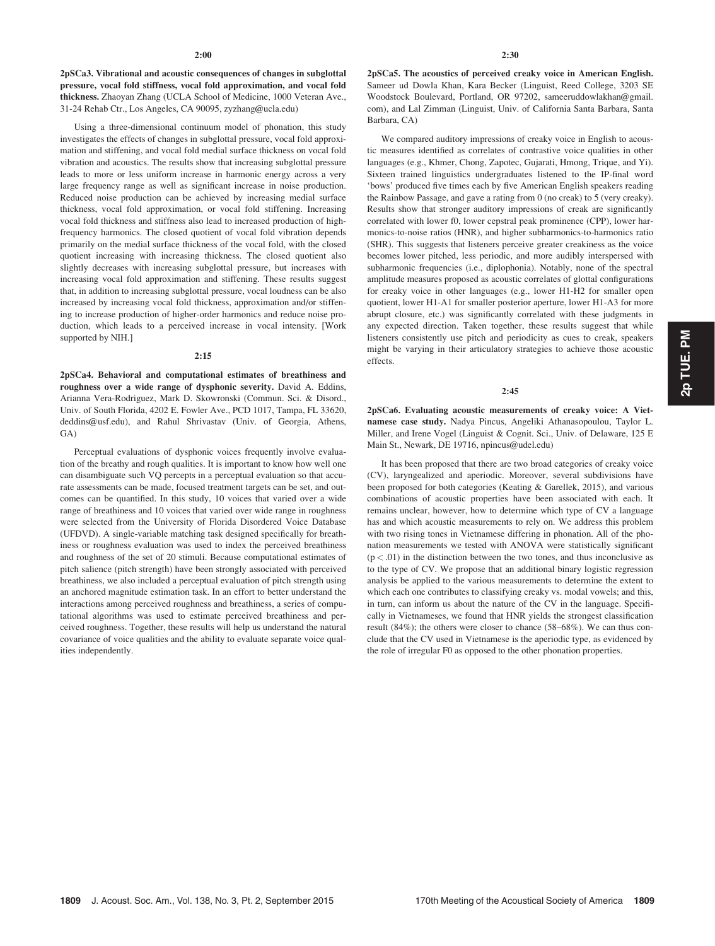2pSCa3. Vibrational and acoustic consequences of changes in subglottal pressure, vocal fold stiffness, vocal fold approximation, and vocal fold thickness. Zhaoyan Zhang (UCLA School of Medicine, 1000 Veteran Ave., 31-24 Rehab Ctr., Los Angeles, CA 90095, zyzhang@ucla.edu)

Using a three-dimensional continuum model of phonation, this study investigates the effects of changes in subglottal pressure, vocal fold approximation and stiffening, and vocal fold medial surface thickness on vocal fold vibration and acoustics. The results show that increasing subglottal pressure leads to more or less uniform increase in harmonic energy across a very large frequency range as well as significant increase in noise production. Reduced noise production can be achieved by increasing medial surface thickness, vocal fold approximation, or vocal fold stiffening. Increasing vocal fold thickness and stiffness also lead to increased production of highfrequency harmonics. The closed quotient of vocal fold vibration depends primarily on the medial surface thickness of the vocal fold, with the closed quotient increasing with increasing thickness. The closed quotient also slightly decreases with increasing subglottal pressure, but increases with increasing vocal fold approximation and stiffening. These results suggest that, in addition to increasing subglottal pressure, vocal loudness can be also increased by increasing vocal fold thickness, approximation and/or stiffening to increase production of higher-order harmonics and reduce noise production, which leads to a perceived increase in vocal intensity. [Work supported by NIH.]

## 2:15

2pSCa4. Behavioral and computational estimates of breathiness and roughness over a wide range of dysphonic severity. David A. Eddins, Arianna Vera-Rodriguez, Mark D. Skowronski (Commun. Sci. & Disord., Univ. of South Florida, 4202 E. Fowler Ave., PCD 1017, Tampa, FL 33620, deddins@usf.edu), and Rahul Shrivastav (Univ. of Georgia, Athens, GA)

Perceptual evaluations of dysphonic voices frequently involve evaluation of the breathy and rough qualities. It is important to know how well one can disambiguate such VQ percepts in a perceptual evaluation so that accurate assessments can be made, focused treatment targets can be set, and outcomes can be quantified. In this study, 10 voices that varied over a wide range of breathiness and 10 voices that varied over wide range in roughness were selected from the University of Florida Disordered Voice Database (UFDVD). A single-variable matching task designed specifically for breathiness or roughness evaluation was used to index the perceived breathiness and roughness of the set of 20 stimuli. Because computational estimates of pitch salience (pitch strength) have been strongly associated with perceived breathiness, we also included a perceptual evaluation of pitch strength using an anchored magnitude estimation task. In an effort to better understand the interactions among perceived roughness and breathiness, a series of computational algorithms was used to estimate perceived breathiness and perceived roughness. Together, these results will help us understand the natural covariance of voice qualities and the ability to evaluate separate voice qualities independently.

2pSCa5. The acoustics of perceived creaky voice in American English. Sameer ud Dowla Khan, Kara Becker (Linguist, Reed College, 3203 SE Woodstock Boulevard, Portland, OR 97202, sameeruddowlakhan@gmail. com), and Lal Zimman (Linguist, Univ. of California Santa Barbara, Santa Barbara, CA)

We compared auditory impressions of creaky voice in English to acoustic measures identified as correlates of contrastive voice qualities in other languages (e.g., Khmer, Chong, Zapotec, Gujarati, Hmong, Trique, and Yi). Sixteen trained linguistics undergraduates listened to the IP-final word 'bows' produced five times each by five American English speakers reading the Rainbow Passage, and gave a rating from 0 (no creak) to 5 (very creaky). Results show that stronger auditory impressions of creak are significantly correlated with lower f0, lower cepstral peak prominence (CPP), lower harmonics-to-noise ratios (HNR), and higher subharmonics-to-harmonics ratio (SHR). This suggests that listeners perceive greater creakiness as the voice becomes lower pitched, less periodic, and more audibly interspersed with subharmonic frequencies (i.e., diplophonia). Notably, none of the spectral amplitude measures proposed as acoustic correlates of glottal configurations for creaky voice in other languages (e.g., lower H1-H2 for smaller open quotient, lower H1-A1 for smaller posterior aperture, lower H1-A3 for more abrupt closure, etc.) was significantly correlated with these judgments in any expected direction. Taken together, these results suggest that while listeners consistently use pitch and periodicity as cues to creak, speakers might be varying in their articulatory strategies to achieve those acoustic effects.

## $2:45$

2pSCa6. Evaluating acoustic measurements of creaky voice: A Vietnamese case study. Nadya Pincus, Angeliki Athanasopoulou, Taylor L. Miller, and Irene Vogel (Linguist & Cognit. Sci., Univ. of Delaware, 125 E Main St., Newark, DE 19716, npincus@udel.edu)

It has been proposed that there are two broad categories of creaky voice (CV), laryngealized and aperiodic. Moreover, several subdivisions have been proposed for both categories (Keating & Garellek, 2015), and various combinations of acoustic properties have been associated with each. It remains unclear, however, how to determine which type of CV a language has and which acoustic measurements to rely on. We address this problem with two rising tones in Vietnamese differing in phonation. All of the phonation measurements we tested with ANOVA were statistically significant  $(p < .01)$  in the distinction between the two tones, and thus inconclusive as to the type of CV. We propose that an additional binary logistic regression analysis be applied to the various measurements to determine the extent to which each one contributes to classifying creaky vs. modal vowels; and this, in turn, can inform us about the nature of the CV in the language. Specifically in Vietnameses, we found that HNR yields the strongest classification result (84%); the others were closer to chance (58–68%). We can thus conclude that the CV used in Vietnamese is the aperiodic type, as evidenced by the role of irregular F0 as opposed to the other phonation properties.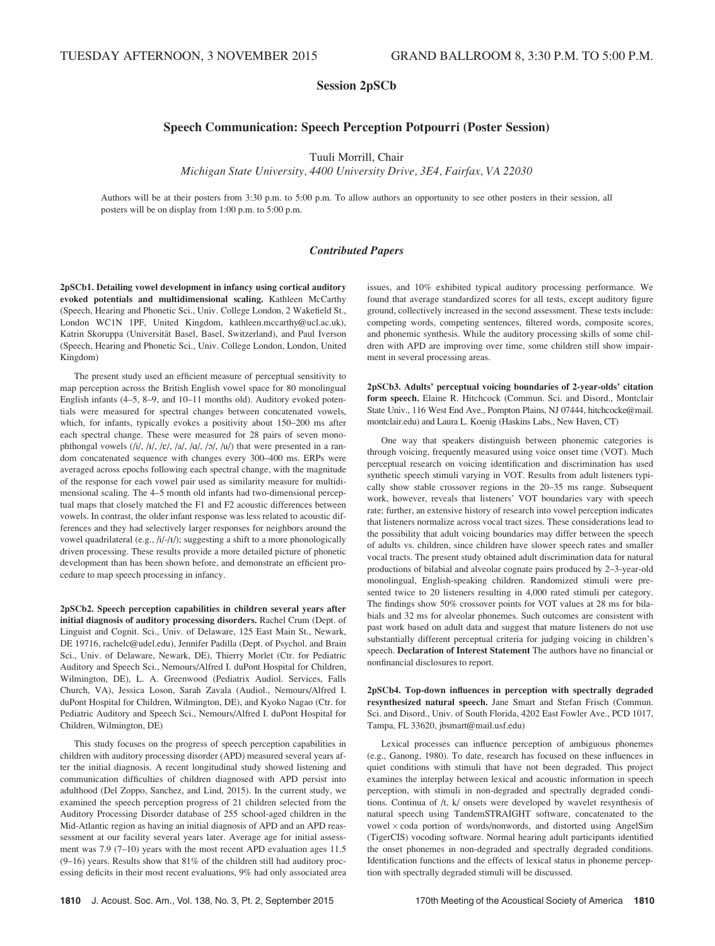# Session 2pSCb

# Speech Communication: Speech Perception Potpourri (Poster Session)

Tuuli Morrill, Chair

Michigan State University, 4400 University Drive, 3E4, Fairfax, VA 22030

Authors will be at their posters from 3:30 p.m. to 5:00 p.m. To allow authors an opportunity to see other posters in their session, all posters will be on display from 1:00 p.m. to 5:00 p.m.

# Contributed Papers

2pSCb1. Detailing vowel development in infancy using cortical auditory evoked potentials and multidimensional scaling. Kathleen McCarthy (Speech, Hearing and Phonetic Sci., Univ. College London, 2 Wakefield St., London WC1N 1PF, United Kingdom, kathleen.mccarthy@ucl.ac.uk), Katrin Skoruppa (Universität Basel, Basel, Switzerland), and Paul Iverson (Speech, Hearing and Phonetic Sci., Univ. College London, London, United Kingdom)

The present study used an efficient measure of perceptual sensitivity to map perception across the British English vowel space for 80 monolingual English infants (4–5, 8–9, and 10–11 months old). Auditory evoked potentials were measured for spectral changes between concatenated vowels, which, for infants, typically evokes a positivity about 150–200 ms after each spectral change. These were measured for 28 pairs of seven monophthongal vowels  $(i/$ ,  $/i/$ ,  $/\varepsilon$ ,  $/\varepsilon$ ,  $/\varepsilon$ ,  $/\varepsilon$ ,  $/\varepsilon$ ,  $/\varepsilon$ ,  $/\varepsilon$ ,  $/\varepsilon$ ,  $/\varepsilon$ ,  $/\varepsilon$ ,  $/\varepsilon$ ,  $/\varepsilon$ ,  $/\varepsilon$ ,  $/\varepsilon$ ,  $/\varepsilon$ ,  $/\varepsilon$ ,  $/\varepsilon$ ,  $/\varepsilon$ ,  $/\varepsilon$ ,  $/\varepsilon$ ,  $/\varepsilon$ ,  $/\varepsilon$ ,  $/\varepsilon$ ,  $/\varepsilon$ , dom concatenated sequence with changes every 300–400 ms. ERPs were averaged across epochs following each spectral change, with the magnitude of the response for each vowel pair used as similarity measure for multidimensional scaling. The 4–5 month old infants had two-dimensional perceptual maps that closely matched the F1 and F2 acoustic differences between vowels. In contrast, the older infant response was less related to acoustic differences and they had selectively larger responses for neighbors around the vowel quadrilateral (e.g., /i/-/I/); suggesting a shift to a more phonologically driven processing. These results provide a more detailed picture of phonetic development than has been shown before, and demonstrate an efficient procedure to map speech processing in infancy.

2pSCb2. Speech perception capabilities in children several years after initial diagnosis of auditory processing disorders. Rachel Crum (Dept. of Linguist and Cognit. Sci., Univ. of Delaware, 125 East Main St., Newark, DE 19716, rachelc@udel.edu), Jennifer Padilla (Dept. of Psychol. and Brain Sci., Univ. of Delaware, Newark, DE), Thierry Morlet (Ctr. for Pediatric Auditory and Speech Sci., Nemours/Alfred I. duPont Hospital for Children, Wilmington, DE), L. A. Greenwood (Pediatrix Audiol. Services, Falls Church, VA), Jessica Loson, Sarah Zavala (Audiol., Nemours/Alfred I. duPont Hospital for Children, Wilmington, DE), and Kyoko Nagao (Ctr. for Pediatric Auditory and Speech Sci., Nemours/Alfred I. duPont Hospital for Children, Wilmington, DE)

This study focuses on the progress of speech perception capabilities in children with auditory processing disorder (APD) measured several years after the initial diagnosis. A recent longitudinal study showed listening and communication difficulties of children diagnosed with APD persist into adulthood (Del Zoppo, Sanchez, and Lind, 2015). In the current study, we examined the speech perception progress of 21 children selected from the Auditory Processing Disorder database of 255 school-aged children in the Mid-Atlantic region as having an initial diagnosis of APD and an APD reassessment at our facility several years later. Average age for initial assessment was 7.9 (7–10) years with the most recent APD evaluation ages 11.5 (9–16) years. Results show that 81% of the children still had auditory processing deficits in their most recent evaluations, 9% had only associated area issues, and 10% exhibited typical auditory processing performance. We found that average standardized scores for all tests, except auditory figure ground, collectively increased in the second assessment. These tests include: competing words, competing sentences, filtered words, composite scores, and phonemic synthesis. While the auditory processing skills of some children with APD are improving over time, some children still show impairment in several processing areas.

2pSCb3. Adults' perceptual voicing boundaries of 2-year-olds' citation form speech. Elaine R. Hitchcock (Commun. Sci. and Disord., Montclair State Univ., 116 West End Ave., Pompton Plains, NJ 07444, hitchcocke@mail. montclair.edu) and Laura L. Koenig (Haskins Labs., New Haven, CT)

One way that speakers distinguish between phonemic categories is through voicing, frequently measured using voice onset time (VOT). Much perceptual research on voicing identification and discrimination has used synthetic speech stimuli varying in VOT. Results from adult listeners typically show stable crossover regions in the 20–35 ms range. Subsequent work, however, reveals that listeners' VOT boundaries vary with speech rate; further, an extensive history of research into vowel perception indicates that listeners normalize across vocal tract sizes. These considerations lead to the possibility that adult voicing boundaries may differ between the speech of adults vs. children, since children have slower speech rates and smaller vocal tracts. The present study obtained adult discrimination data for natural productions of bilabial and alveolar cognate pairs produced by 2–3-year-old monolingual, English-speaking children. Randomized stimuli were presented twice to 20 listeners resulting in 4,000 rated stimuli per category. The findings show 50% crossover points for VOT values at 28 ms for bilabials and 32 ms for alveolar phonemes. Such outcomes are consistent with past work based on adult data and suggest that mature listeners do not use substantially different perceptual criteria for judging voicing in children's speech. Declaration of Interest Statement The authors have no financial or nonfinancial disclosures to report.

2pSCb4. Top-down influences in perception with spectrally degraded resynthesized natural speech. Jane Smart and Stefan Frisch (Commun. Sci. and Disord., Univ. of South Florida, 4202 East Fowler Ave., PCD 1017, Tampa, FL 33620, jbsmart@mail.usf.edu)

Lexical processes can influence perception of ambiguous phonemes (e.g., Ganong, 1980). To date, research has focused on these influences in quiet conditions with stimuli that have not been degraded. This project examines the interplay between lexical and acoustic information in speech perception, with stimuli in non-degraded and spectrally degraded conditions. Continua of /t, k/ onsets were developed by wavelet resynthesis of natural speech using TandemSTRAIGHT software, concatenated to the vowel  $\times$  coda portion of words/nonwords, and distorted using AngelSim (TigerCIS) vocoding software. Normal hearing adult participants identified the onset phonemes in non-degraded and spectrally degraded conditions. Identification functions and the effects of lexical status in phoneme perception with spectrally degraded stimuli will be discussed.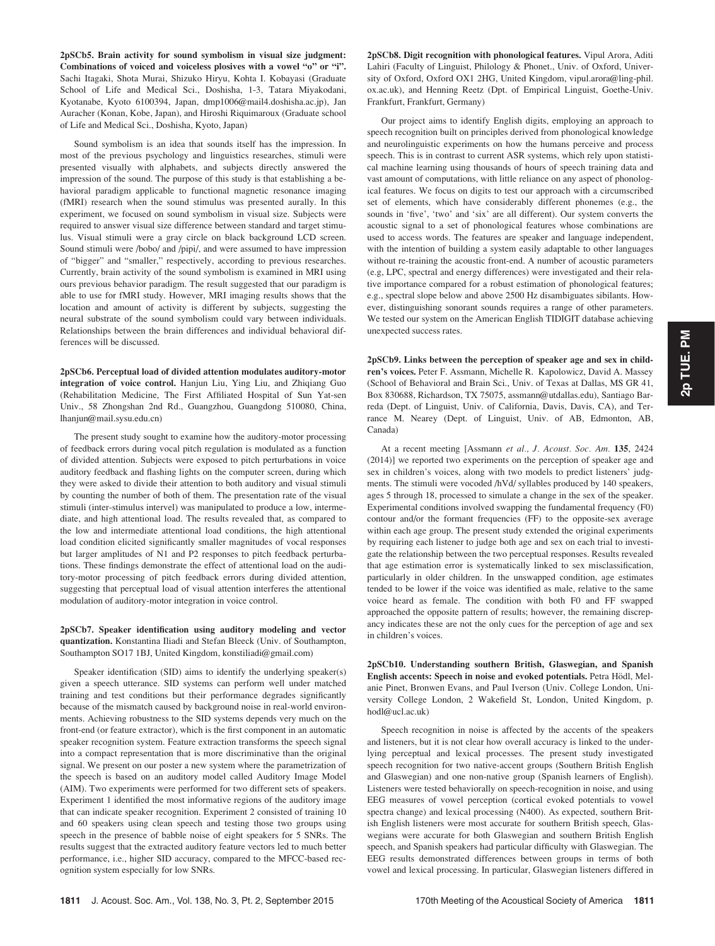2pSCb5. Brain activity for sound symbolism in visual size judgment: Combinations of voiced and voiceless plosives with a vowel "o" or "i". Sachi Itagaki, Shota Murai, Shizuko Hiryu, Kohta I. Kobayasi (Graduate School of Life and Medical Sci., Doshisha, 1-3, Tatara Miyakodani, Kyotanabe, Kyoto 6100394, Japan, dmp1006@mail4.doshisha.ac.jp), Jan Auracher (Konan, Kobe, Japan), and Hiroshi Riquimaroux (Graduate school of Life and Medical Sci., Doshisha, Kyoto, Japan)

Sound symbolism is an idea that sounds itself has the impression. In most of the previous psychology and linguistics researches, stimuli were presented visually with alphabets, and subjects directly answered the impression of the sound. The purpose of this study is that establishing a behavioral paradigm applicable to functional magnetic resonance imaging (fMRI) research when the sound stimulus was presented aurally. In this experiment, we focused on sound symbolism in visual size. Subjects were required to answer visual size difference between standard and target stimulus. Visual stimuli were a gray circle on black background LCD screen. Sound stimuli were /bobo/ and /pipi/, and were assumed to have impression of "bigger" and "smaller," respectively, according to previous researches. Currently, brain activity of the sound symbolism is examined in MRI using ours previous behavior paradigm. The result suggested that our paradigm is able to use for fMRI study. However, MRI imaging results shows that the location and amount of activity is different by subjects, suggesting the neural substrate of the sound symbolism could vary between individuals. Relationships between the brain differences and individual behavioral differences will be discussed.

2pSCb6. Perceptual load of divided attention modulates auditory-motor integration of voice control. Hanjun Liu, Ying Liu, and Zhiqiang Guo (Rehabilitation Medicine, The First Affiliated Hospital of Sun Yat-sen Univ., 58 Zhongshan 2nd Rd., Guangzhou, Guangdong 510080, China, lhanjun@mail.sysu.edu.cn)

The present study sought to examine how the auditory-motor processing of feedback errors during vocal pitch regulation is modulated as a function of divided attention. Subjects were exposed to pitch perturbations in voice auditory feedback and flashing lights on the computer screen, during which they were asked to divide their attention to both auditory and visual stimuli by counting the number of both of them. The presentation rate of the visual stimuli (inter-stimulus intervel) was manipulated to produce a low, intermediate, and high attentional load. The results revealed that, as compared to the low and intermediate attentional load conditions, the high attentional load condition elicited significantly smaller magnitudes of vocal responses but larger amplitudes of N1 and P2 responses to pitch feedback perturbations. These findings demonstrate the effect of attentional load on the auditory-motor processing of pitch feedback errors during divided attention, suggesting that perceptual load of visual attention interferes the attentional modulation of auditory-motor integration in voice control.

2pSCb7. Speaker identification using auditory modeling and vector quantization. Konstantina Iliadi and Stefan Bleeck (Univ. of Southampton, Southampton SO17 1BJ, United Kingdom, konstiliadi@gmail.com)

Speaker identification (SID) aims to identify the underlying speaker(s) given a speech utterance. SID systems can perform well under matched training and test conditions but their performance degrades significantly because of the mismatch caused by background noise in real-world environments. Achieving robustness to the SID systems depends very much on the front-end (or feature extractor), which is the first component in an automatic speaker recognition system. Feature extraction transforms the speech signal into a compact representation that is more discriminative than the original signal. We present on our poster a new system where the parametrization of the speech is based on an auditory model called Auditory Image Model (AIM). Two experiments were performed for two different sets of speakers. Experiment 1 identified the most informative regions of the auditory image that can indicate speaker recognition. Experiment 2 consisted of training 10 and 60 speakers using clean speech and testing those two groups using speech in the presence of babble noise of eight speakers for 5 SNRs. The results suggest that the extracted auditory feature vectors led to much better performance, i.e., higher SID accuracy, compared to the MFCC-based recognition system especially for low SNRs.

2pSCb8. Digit recognition with phonological features. Vipul Arora, Aditi Lahiri (Faculty of Linguist, Philology & Phonet., Univ. of Oxford, University of Oxford, Oxford OX1 2HG, United Kingdom, vipul.arora@ling-phil. ox.ac.uk), and Henning Reetz (Dpt. of Empirical Linguist, Goethe-Univ. Frankfurt, Frankfurt, Germany)

Our project aims to identify English digits, employing an approach to speech recognition built on principles derived from phonological knowledge and neurolinguistic experiments on how the humans perceive and process speech. This is in contrast to current ASR systems, which rely upon statistical machine learning using thousands of hours of speech training data and vast amount of computations, with little reliance on any aspect of phonological features. We focus on digits to test our approach with a circumscribed set of elements, which have considerably different phonemes (e.g., the sounds in 'five', 'two' and 'six' are all different). Our system converts the acoustic signal to a set of phonological features whose combinations are used to access words. The features are speaker and language independent, with the intention of building a system easily adaptable to other languages without re-training the acoustic front-end. A number of acoustic parameters (e.g, LPC, spectral and energy differences) were investigated and their relative importance compared for a robust estimation of phonological features; e.g., spectral slope below and above 2500 Hz disambiguates sibilants. However, distinguishing sonorant sounds requires a range of other parameters. We tested our system on the American English TIDIGIT database achieving unexpected success rates.

2pSCb9. Links between the perception of speaker age and sex in children's voices. Peter F. Assmann, Michelle R. Kapolowicz, David A. Massey (School of Behavioral and Brain Sci., Univ. of Texas at Dallas, MS GR 41, Box 830688, Richardson, TX 75075, assmann@utdallas.edu), Santiago Barreda (Dept. of Linguist, Univ. of California, Davis, Davis, CA), and Terrance M. Nearey (Dept. of Linguist, Univ. of AB, Edmonton, AB, Canada)

At a recent meeting [Assmann et al., J. Acoust. Soc. Am. 135, 2424 (2014)] we reported two experiments on the perception of speaker age and sex in children's voices, along with two models to predict listeners' judgments. The stimuli were vocoded /hVd/ syllables produced by 140 speakers, ages 5 through 18, processed to simulate a change in the sex of the speaker. Experimental conditions involved swapping the fundamental frequency (F0) contour and/or the formant frequencies (FF) to the opposite-sex average within each age group. The present study extended the original experiments by requiring each listener to judge both age and sex on each trial to investigate the relationship between the two perceptual responses. Results revealed that age estimation error is systematically linked to sex misclassification, particularly in older children. In the unswapped condition, age estimates tended to be lower if the voice was identified as male, relative to the same voice heard as female. The condition with both F0 and FF swapped approached the opposite pattern of results; however, the remaining discrepancy indicates these are not the only cues for the perception of age and sex in children's voices.

2pSCb10. Understanding southern British, Glaswegian, and Spanish English accents: Speech in noise and evoked potentials. Petra Hödl, Melanie Pinet, Bronwen Evans, and Paul Iverson (Univ. College London, University College London, 2 Wakefield St, London, United Kingdom, p. hodl@ucl.ac.uk)

Speech recognition in noise is affected by the accents of the speakers and listeners, but it is not clear how overall accuracy is linked to the underlying perceptual and lexical processes. The present study investigated speech recognition for two native-accent groups (Southern British English and Glaswegian) and one non-native group (Spanish learners of English). Listeners were tested behaviorally on speech-recognition in noise, and using EEG measures of vowel perception (cortical evoked potentials to vowel spectra change) and lexical processing (N400). As expected, southern British English listeners were most accurate for southern British speech, Glaswegians were accurate for both Glaswegian and southern British English speech, and Spanish speakers had particular difficulty with Glaswegian. The EEG results demonstrated differences between groups in terms of both vowel and lexical processing. In particular, Glaswegian listeners differed in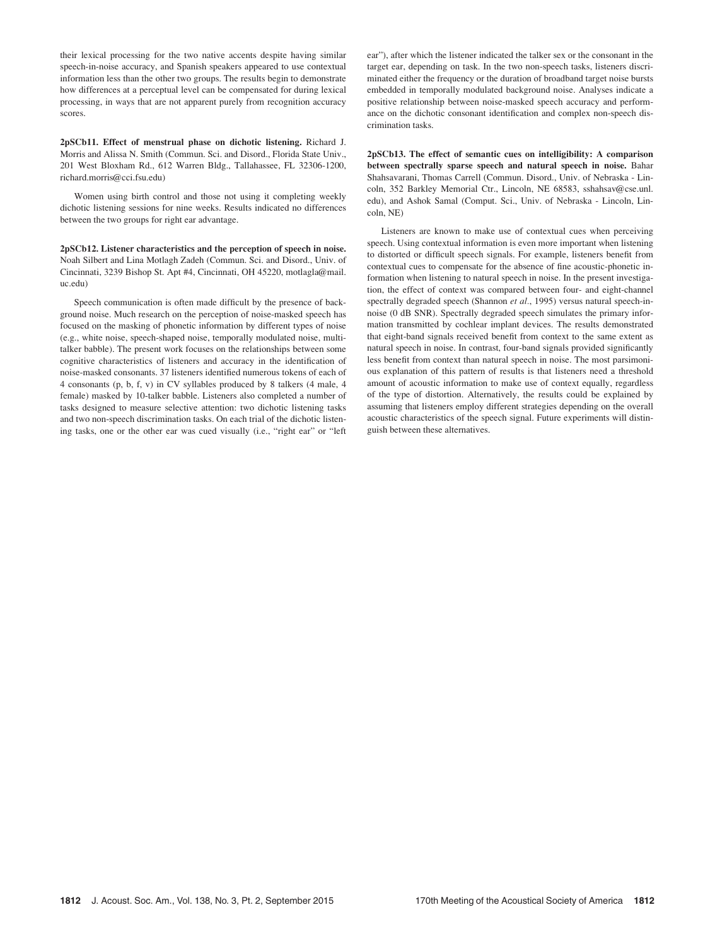their lexical processing for the two native accents despite having similar speech-in-noise accuracy, and Spanish speakers appeared to use contextual information less than the other two groups. The results begin to demonstrate how differences at a perceptual level can be compensated for during lexical processing, in ways that are not apparent purely from recognition accuracy scores.

2pSCb11. Effect of menstrual phase on dichotic listening. Richard J. Morris and Alissa N. Smith (Commun. Sci. and Disord., Florida State Univ., 201 West Bloxham Rd., 612 Warren Bldg., Tallahassee, FL 32306-1200, richard.morris@cci.fsu.edu)

Women using birth control and those not using it completing weekly dichotic listening sessions for nine weeks. Results indicated no differences between the two groups for right ear advantage.

2pSCb12. Listener characteristics and the perception of speech in noise. Noah Silbert and Lina Motlagh Zadeh (Commun. Sci. and Disord., Univ. of Cincinnati, 3239 Bishop St. Apt #4, Cincinnati, OH 45220, motlagla@mail. uc.edu)

Speech communication is often made difficult by the presence of background noise. Much research on the perception of noise-masked speech has focused on the masking of phonetic information by different types of noise (e.g., white noise, speech-shaped noise, temporally modulated noise, multitalker babble). The present work focuses on the relationships between some cognitive characteristics of listeners and accuracy in the identification of noise-masked consonants. 37 listeners identified numerous tokens of each of 4 consonants (p, b, f, v) in CV syllables produced by 8 talkers (4 male, 4 female) masked by 10-talker babble. Listeners also completed a number of tasks designed to measure selective attention: two dichotic listening tasks and two non-speech discrimination tasks. On each trial of the dichotic listening tasks, one or the other ear was cued visually (i.e., "right ear" or "left ear"), after which the listener indicated the talker sex or the consonant in the target ear, depending on task. In the two non-speech tasks, listeners discriminated either the frequency or the duration of broadband target noise bursts embedded in temporally modulated background noise. Analyses indicate a positive relationship between noise-masked speech accuracy and performance on the dichotic consonant identification and complex non-speech discrimination tasks.

2pSCb13. The effect of semantic cues on intelligibility: A comparison between spectrally sparse speech and natural speech in noise. Bahar Shahsavarani, Thomas Carrell (Commun. Disord., Univ. of Nebraska - Lincoln, 352 Barkley Memorial Ctr., Lincoln, NE 68583, sshahsav@cse.unl. edu), and Ashok Samal (Comput. Sci., Univ. of Nebraska - Lincoln, Lincoln, NE)

Listeners are known to make use of contextual cues when perceiving speech. Using contextual information is even more important when listening to distorted or difficult speech signals. For example, listeners benefit from contextual cues to compensate for the absence of fine acoustic-phonetic information when listening to natural speech in noise. In the present investigation, the effect of context was compared between four- and eight-channel spectrally degraded speech (Shannon et al., 1995) versus natural speech-innoise (0 dB SNR). Spectrally degraded speech simulates the primary information transmitted by cochlear implant devices. The results demonstrated that eight-band signals received benefit from context to the same extent as natural speech in noise. In contrast, four-band signals provided significantly less benefit from context than natural speech in noise. The most parsimonious explanation of this pattern of results is that listeners need a threshold amount of acoustic information to make use of context equally, regardless of the type of distortion. Alternatively, the results could be explained by assuming that listeners employ different strategies depending on the overall acoustic characteristics of the speech signal. Future experiments will distinguish between these alternatives.